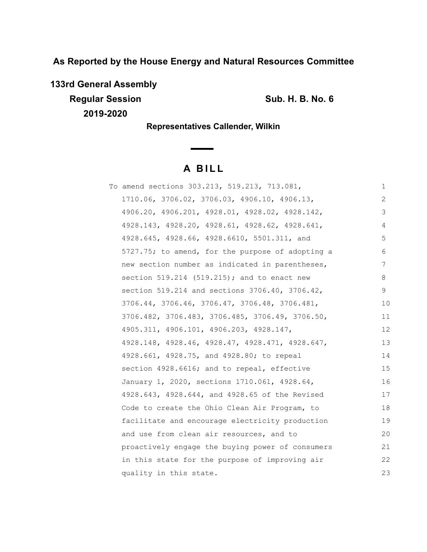**As Reported by the House Energy and Natural Resources Committee**

**133rd General Assembly**

**Regular Session Sub. H. B. No. 6 Sub. H. B. No. 6 2019-2020**

**Representatives Callender, Wilkin**

# **A B I L L**

| To amend sections 303.213, 519.213, 713.081,     | 1  |
|--------------------------------------------------|----|
| 1710.06, 3706.02, 3706.03, 4906.10, 4906.13,     | 2  |
| 4906.20, 4906.201, 4928.01, 4928.02, 4928.142,   | 3  |
| 4928.143, 4928.20, 4928.61, 4928.62, 4928.641,   | 4  |
| 4928.645, 4928.66, 4928.6610, 5501.311, and      | 5  |
| 5727.75; to amend, for the purpose of adopting a | 6  |
| new section number as indicated in parentheses,  | 7  |
| section $519.214$ (519.215); and to enact new    | 8  |
| section 519.214 and sections 3706.40, 3706.42,   | 9  |
| 3706.44, 3706.46, 3706.47, 3706.48, 3706.481,    | 10 |
| 3706.482, 3706.483, 3706.485, 3706.49, 3706.50,  | 11 |
| 4905.311, 4906.101, 4906.203, 4928.147,          | 12 |
| 4928.148, 4928.46, 4928.47, 4928.471, 4928.647,  | 13 |
| 4928.661, 4928.75, and 4928.80; to repeal        | 14 |
| section 4928.6616; and to repeal, effective      | 15 |
| January 1, 2020, sections 1710.061, 4928.64,     | 16 |
| 4928.643, 4928.644, and 4928.65 of the Revised   | 17 |
| Code to create the Ohio Clean Air Program, to    | 18 |
| facilitate and encourage electricity production  | 19 |
| and use from clean air resources, and to         | 20 |
| proactively engage the buying power of consumers | 21 |
| in this state for the purpose of improving air   | 22 |
| quality in this state.                           | 23 |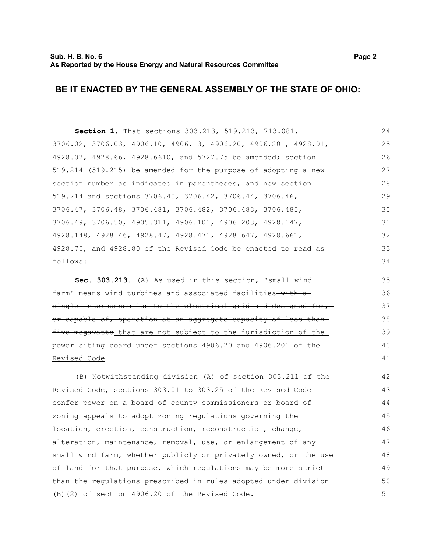# **BE IT ENACTED BY THE GENERAL ASSEMBLY OF THE STATE OF OHIO:**

**Section 1.** That sections 303.213, 519.213, 713.081, 3706.02, 3706.03, 4906.10, 4906.13, 4906.20, 4906.201, 4928.01, 4928.02, 4928.66, 4928.6610, and 5727.75 be amended; section 519.214 (519.215) be amended for the purpose of adopting a new section number as indicated in parentheses; and new section 519.214 and sections 3706.40, 3706.42, 3706.44, 3706.46, 3706.47, 3706.48, 3706.481, 3706.482, 3706.483, 3706.485, 3706.49, 3706.50, 4905.311, 4906.101, 4906.203, 4928.147, 4928.148, 4928.46, 4928.47, 4928.471, 4928.647, 4928.661, 4928.75, and 4928.80 of the Revised Code be enacted to read as follows: 24 25 26 27 28 29 30 31 32 33 34

**Sec. 303.213.** (A) As used in this section, "small wind farm" means wind turbines and associated facilities with a single interconnection to the electrical grid and designed for, or capable of, operation at an aggregate capacity of less than five megawatts that are not subject to the jurisdiction of the power siting board under sections 4906.20 and 4906.201 of the Revised Code.

(B) Notwithstanding division (A) of section 303.211 of the Revised Code, sections 303.01 to 303.25 of the Revised Code confer power on a board of county commissioners or board of zoning appeals to adopt zoning regulations governing the location, erection, construction, reconstruction, change, alteration, maintenance, removal, use, or enlargement of any small wind farm, whether publicly or privately owned, or the use of land for that purpose, which regulations may be more strict than the regulations prescribed in rules adopted under division (B)(2) of section 4906.20 of the Revised Code. 42 43 44 45 46 47 48 49 50 51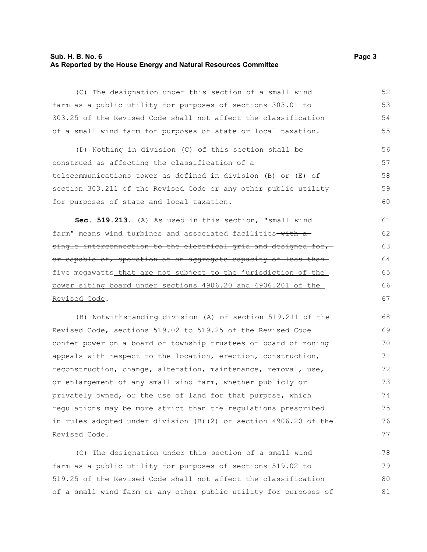## **Sub. H. B. No. 6 Page 3 As Reported by the House Energy and Natural Resources Committee**

(C) The designation under this section of a small wind farm as a public utility for purposes of sections 303.01 to 303.25 of the Revised Code shall not affect the classification of a small wind farm for purposes of state or local taxation.

(D) Nothing in division (C) of this section shall be construed as affecting the classification of a telecommunications tower as defined in division (B) or (E) of section 303.211 of the Revised Code or any other public utility for purposes of state and local taxation. 56 57 58 59  $60$ 

**Sec. 519.213.** (A) As used in this section, "small wind farm" means wind turbines and associated facilities-with asingle interconnection to the electrical grid and designed for,or capable of, operation at an aggregate capacity of less than five megawatts that are not subject to the jurisdiction of the power siting board under sections 4906.20 and 4906.201 of the Revised Code.

(B) Notwithstanding division (A) of section 519.211 of the Revised Code, sections 519.02 to 519.25 of the Revised Code confer power on a board of township trustees or board of zoning appeals with respect to the location, erection, construction, reconstruction, change, alteration, maintenance, removal, use, or enlargement of any small wind farm, whether publicly or privately owned, or the use of land for that purpose, which regulations may be more strict than the regulations prescribed in rules adopted under division (B)(2) of section 4906.20 of the Revised Code.

(C) The designation under this section of a small wind farm as a public utility for purposes of sections 519.02 to 519.25 of the Revised Code shall not affect the classification of a small wind farm or any other public utility for purposes of 78 79 80 81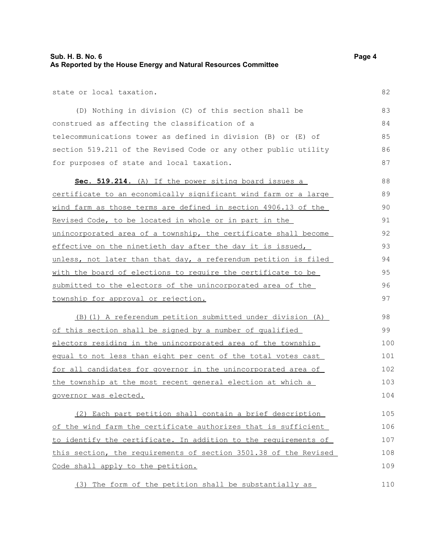state or local taxation.

(D) Nothing in division (C) of this section shall be construed as affecting the classification of a telecommunications tower as defined in division (B) or (E) of section 519.211 of the Revised Code or any other public utility for purposes of state and local taxation. 83 84 85 86 87

 **Sec. 519.214** . (A) If the power siting board issues a certificate to an economically significant wind farm or a large wind farm as those terms are defined in section 4906.13 of the Revised Code, to be located in whole or in part in the unincorporated area of a township, the certificate shall become effective on the ninetieth day after the day it is issued, unless, not later than that day, a referendum petition is filed with the board of elections to require the certificate to be submitted to the electors of the unincorporated area of the township for approval or rejection. 88 89 90 91 92 93 94 95 96 97

(B)(1) A referendum petition submitted under division (A) of this section shall be signed by a number of qualified electors residing in the unincorporated area of the township equal to not less than eight per cent of the total votes cast for all candidates for governor in the unincorporated area of the township at the most recent general election at which a governor was elected. 98 99 100 101 102 103 104

(2) Each part petition shall contain a brief description of the wind farm the certificate authorizes that is sufficient to identify the certificate. In addition to the requirements of this section, the requirements of section 3501.38 of the Revised Code shall apply to the petition. 105 106 107 108 109

(3) The form of the petition shall be substantially as

82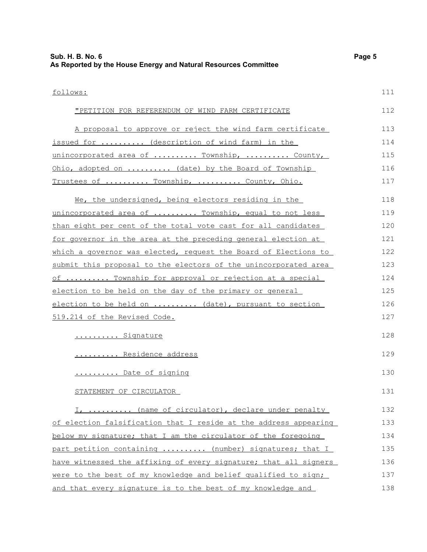| follows:                                                         | 111 |
|------------------------------------------------------------------|-----|
| "PETITION FOR REFERENDUM OF WIND FARM CERTIFICATE                | 112 |
| A proposal to approve or reject the wind farm certificate        | 113 |
| issued for  (description of wind farm) in the                    | 114 |
| unincorporated area of  Township,  County,                       | 115 |
| Ohio, adopted on  (date) by the Board of Township                | 116 |
| Trustees of  Township,  County, Ohio.                            | 117 |
| We, the undersigned, being electors residing in the              | 118 |
| unincorporated area of  Township, equal to not less              | 119 |
| than eight per cent of the total vote cast for all candidates    | 120 |
| for governor in the area at the preceding general election at    | 121 |
| which a governor was elected, request the Board of Elections to  | 122 |
| submit this proposal to the electors of the unincorporated area  | 123 |
| of  Township for approval or rejection at a special              | 124 |
| election to be held on the day of the primary or general         | 125 |
| election to be held on  (date), pursuant to section              | 126 |
| 519.214 of the Revised Code.                                     | 127 |
| Signature                                                        | 128 |
| Residence address                                                | 129 |
| Date of signing                                                  | 130 |
| STATEMENT OF CIRCULATOR                                          | 131 |
| I,  (name of circulator), declare under penalty                  | 132 |
| of election falsification that I reside at the address appearing | 133 |
| below my signature; that I am the circulator of the foregoing    | 134 |
| part petition containing  (number) signatures; that I            | 135 |
| have witnessed the affixing of every signature; that all signers | 136 |
| were to the best of my knowledge and belief qualified to sign;   | 137 |
| and that every signature is to the best of my knowledge and      | 138 |

## **Sub. H. B. No. 6 Page 5 As Reported by the House Energy and Natural Resources Committee**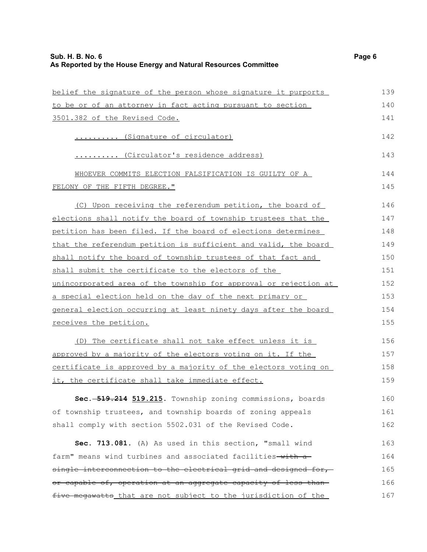| belief the signature of the person whose signature it purports   | 139 |
|------------------------------------------------------------------|-----|
| to be or of an attorney in fact acting pursuant to section       | 140 |
| 3501.382 of the Revised Code.                                    | 141 |
| (Signature of circulator)                                        | 142 |
| (Circulator's residence address)                                 | 143 |
| WHOEVER COMMITS ELECTION FALSIFICATION IS GUILTY OF A            | 144 |
| FELONY OF THE FIFTH DEGREE."                                     | 145 |
| (C) Upon receiving the referendum petition, the board of         | 146 |
| elections shall notify the board of township trustees that the   | 147 |
| petition has been filed. If the board of elections determines    | 148 |
| that the referendum petition is sufficient and valid, the board  | 149 |
| shall notify the board of township trustees of that fact and     | 150 |
| shall submit the certificate to the electors of the              | 151 |
| unincorporated area of the township for approval or rejection at | 152 |
| a special election held on the day of the next primary or        | 153 |
| general election occurring at least ninety days after the board  | 154 |
| receives the petition.                                           | 155 |
| (D) The certificate shall not take effect unless it is           | 156 |
| approved by a majority of the electors voting on it. If the      | 157 |
| certificate is approved by a majority of the electors voting on  | 158 |
| it, the certificate shall take immediate effect.                 | 159 |
| Sec. - 519.214 519.215. Township zoning commissions, boards      | 160 |
| of township trustees, and township boards of zoning appeals      | 161 |
| shall comply with section 5502.031 of the Revised Code.          | 162 |
| Sec. 713.081. (A) As used in this section, "small wind           | 163 |
| farm" means wind turbines and associated facilities-with a-      | 164 |
| single interconnection to the electrical grid and designed for,  | 165 |
| or capable of, operation at an aggregate capacity of less than-  | 166 |
| five megawatts that are not subject to the jurisdiction of the   | 167 |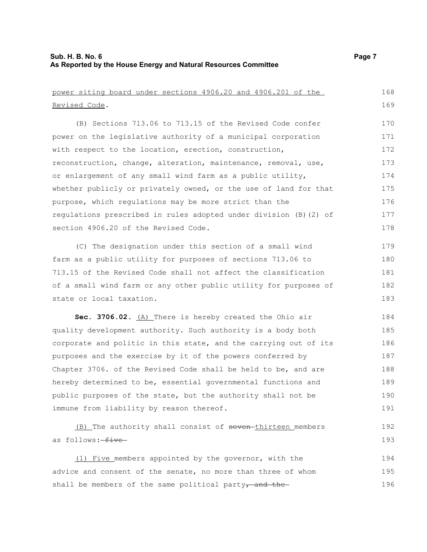Revised Code.

power siting board under sections 4906.20 and 4906.201 of the (B) Sections 713.06 to 713.15 of the Revised Code confer power on the legislative authority of a municipal corporation with respect to the location, erection, construction, reconstruction, change, alteration, maintenance, removal, use, or enlargement of any small wind farm as a public utility,

whether publicly or privately owned, or the use of land for that purpose, which regulations may be more strict than the regulations prescribed in rules adopted under division (B)(2) of section 4906.20 of the Revised Code. 175 176 177 178

(C) The designation under this section of a small wind farm as a public utility for purposes of sections 713.06 to 713.15 of the Revised Code shall not affect the classification of a small wind farm or any other public utility for purposes of state or local taxation. 179 180 181 182 183

**Sec. 3706.02.** (A) There is hereby created the Ohio air quality development authority. Such authority is a body both corporate and politic in this state, and the carrying out of its purposes and the exercise by it of the powers conferred by Chapter 3706. of the Revised Code shall be held to be, and are hereby determined to be, essential governmental functions and public purposes of the state, but the authority shall not be immune from liability by reason thereof. 184 185 186 187 188 189 190 191

```
(B) The authority shall consist of seven thirteen members
as follows: five
                                                                           192
                                                                           193
```
 (1) Five members appointed by the governor, with the advice and consent of the senate, no more than three of whom shall be members of the same political party<sub> $\tau$ </sub> and the 194 195 196

168 169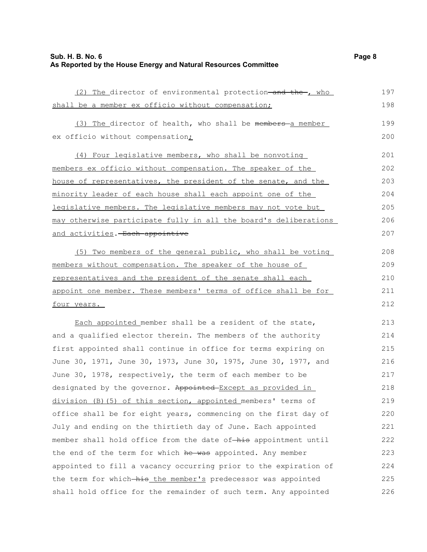## **Sub. H. B. No. 6 Page 8 As Reported by the House Energy and Natural Resources Committee**

(2) The director of environmental protection-and the-, who shall be a member ex officio without compensation; (3) The director of health, who shall be  $m$ embers-a member ex officio without compensation<sub>i</sub> (4) Four legislative members, who shall be nonvoting members ex officio without compensation. The speaker of the house of representatives, the president of the senate, and the minority leader of each house shall each appoint one of the legislative members. The legislative members may not vote but may otherwise participate fully in all the board's deliberations and activities. Each appointive (5) Two members of the general public, who shall be voting members without compensation. The speaker of the house of representatives and the president of the senate shall each appoint one member. These members' terms of office shall be for four years. Each appointed member shall be a resident of the state, and a qualified elector therein. The members of the authority first appointed shall continue in office for terms expiring on June 30, 1971, June 30, 1973, June 30, 1975, June 30, 1977, and June 30, 1978, respectively, the term of each member to be designated by the governor. Appointed Except as provided in division (B)(5) of this section, appointed members' terms of office shall be for eight years, commencing on the first day of 197 198 199 200 201 202 203 204 205 206 207 208 209 210 211 212 213 214 215 216 217 218 219 220

July and ending on the thirtieth day of June. Each appointed

the end of the term for which he was appointed. Any member

member shall hold office from the date of-his appointment until

appointed to fill a vacancy occurring prior to the expiration of

the term for which-his the member's predecessor was appointed shall hold office for the remainder of such term. Any appointed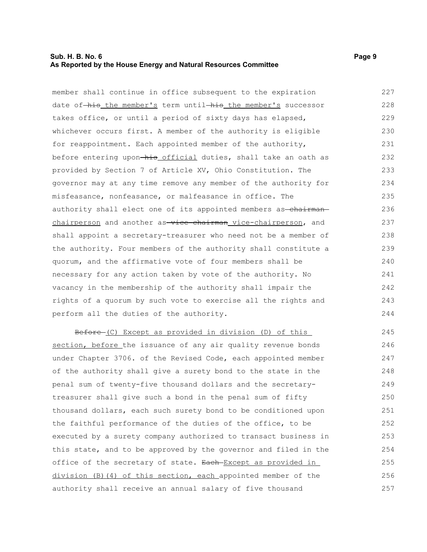## **Sub. H. B. No. 6 Page 9 As Reported by the House Energy and Natural Resources Committee**

member shall continue in office subsequent to the expiration date of-his the member's term until-his the member's successor takes office, or until a period of sixty days has elapsed, whichever occurs first. A member of the authority is eligible for reappointment. Each appointed member of the authority, before entering upon-his official duties, shall take an oath as provided by Section 7 of Article XV, Ohio Constitution. The governor may at any time remove any member of the authority for misfeasance, nonfeasance, or malfeasance in office. The authority shall elect one of its appointed members as-chairmanchairperson and another as-vice-chairman vice-chairperson, and shall appoint a secretary-treasurer who need not be a member of the authority. Four members of the authority shall constitute a quorum, and the affirmative vote of four members shall be necessary for any action taken by vote of the authority. No vacancy in the membership of the authority shall impair the rights of a quorum by such vote to exercise all the rights and perform all the duties of the authority. 227 228 229 230 231 232 233 234 235 236 237 238 239 240 241 242 243 244

Before (C) Except as provided in division (D) of this section, before the issuance of any air quality revenue bonds under Chapter 3706. of the Revised Code, each appointed member of the authority shall give a surety bond to the state in the penal sum of twenty-five thousand dollars and the secretarytreasurer shall give such a bond in the penal sum of fifty thousand dollars, each such surety bond to be conditioned upon the faithful performance of the duties of the office, to be executed by a surety company authorized to transact business in this state, and to be approved by the governor and filed in the office of the secretary of state. Each Except as provided in division (B)(4) of this section, each appointed member of the authority shall receive an annual salary of five thousand 245 246 247 248 249 250 251 252 253 254 255 256 257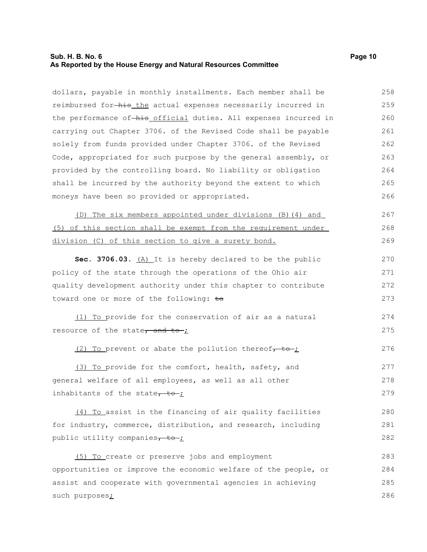## **Sub. H. B. No. 6 Page 10 As Reported by the House Energy and Natural Resources Committee**

dollars, payable in monthly installments. Each member shall be reimbursed for-his the actual expenses necessarily incurred in the performance of-his official duties. All expenses incurred in carrying out Chapter 3706. of the Revised Code shall be payable solely from funds provided under Chapter 3706. of the Revised Code, appropriated for such purpose by the general assembly, or provided by the controlling board. No liability or obligation shall be incurred by the authority beyond the extent to which moneys have been so provided or appropriated. 258 259 260 261 262 263 264 265 266

 (D) The six members appointed under divisions (B)(4) and (5) of this section shall be exempt from the requirement under division (C) of this section to give a surety bond. 267 268 269

**Sec. 3706.03.** (A) It is hereby declared to be the public policy of the state through the operations of the Ohio air quality development authority under this chapter to contribute toward one or more of the following: to 270 271 272 273

(1) To provide for the conservation of air as a natural resource of the state, and to- $\frac{1}{2}$ 274 275

(2) To prevent or abate the pollution thereof $\tau$  to  $\tau$ 276

(3) To provide for the comfort, health, safety, and general welfare of all employees, as well as all other inhabitants of the state $\frac{1}{\sqrt{1-\frac{1}{\sqrt{1-\frac{1}{\sqrt{1-\frac{1}{\sqrt{1-\frac{1}{\sqrt{1-\frac{1}{\sqrt{1-\frac{1}{\sqrt{1-\frac{1}{\sqrt{1-\frac{1}{\sqrt{1-\frac{1}{\sqrt{1-\frac{1}{\sqrt{1-\frac{1}{\sqrt{1-\frac{1}{\sqrt{1-\frac{1}{\sqrt{1-\frac{1}{\sqrt{1-\frac{1}{\sqrt{1-\frac{1}{\sqrt{1-\frac{1}{\sqrt{1-\frac{1}{\sqrt{1-\frac{1}{\sqrt{1-\frac{1}{\sqrt{1-\frac{1}{\sqrt$ 277 278 279

(4) To assist in the financing of air quality facilities for industry, commerce, distribution, and research, including public utility companies $\tau$  to ; 280 281 282

(5) To create or preserve jobs and employment opportunities or improve the economic welfare of the people, or assist and cooperate with governmental agencies in achieving such purposes; 283 284 285 286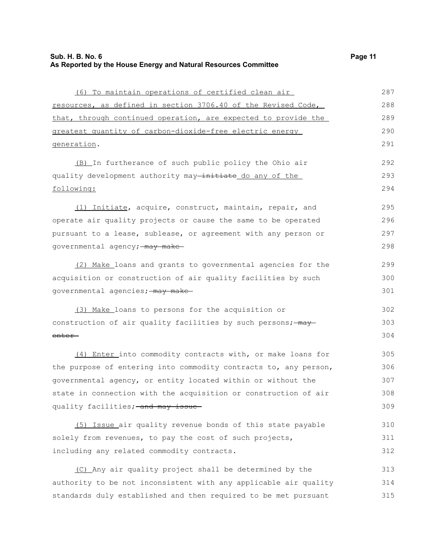| (6) To maintain operations of certified clean air                | 287 |
|------------------------------------------------------------------|-----|
| resources, as defined in section 3706.40 of the Revised Code,    | 288 |
| that, through continued operation, are expected to provide the   | 289 |
| greatest quantity of carbon-dioxide-free electric energy         | 290 |
| generation.                                                      | 291 |
| (B) In furtherance of such public policy the Ohio air            | 292 |
| quality development authority may-initiate do any of the         | 293 |
| following:                                                       | 294 |
| (1) Initiate, acquire, construct, maintain, repair, and          | 295 |
| operate air quality projects or cause the same to be operated    | 296 |
| pursuant to a lease, sublease, or agreement with any person or   | 297 |
| governmental agency; may make                                    | 298 |
| (2) Make_loans and grants to governmental agencies for the       | 299 |
| acquisition or construction of air quality facilities by such    | 300 |
| governmental agencies; - may make-                               | 301 |
| (3) Make loans to persons for the acquisition or                 | 302 |
| construction of air quality facilities by such persons; - may    | 303 |
| <del>enter –</del>                                               | 304 |
| (4) Enter into commodity contracts with, or make loans for       | 305 |
| the purpose of entering into commodity contracts to, any person, | 306 |
| governmental agency, or entity located within or without the     | 307 |
| state in connection with the acquisition or construction of air  | 308 |
| quality facilities; and may issue                                | 309 |
| (5) Issue air quality revenue bonds of this state payable        | 310 |
| solely from revenues, to pay the cost of such projects,          | 311 |
| including any related commodity contracts.                       | 312 |

 (C) Any air quality project shall be determined by the authority to be not inconsistent with any applicable air quality standards duly established and then required to be met pursuant 313 314 315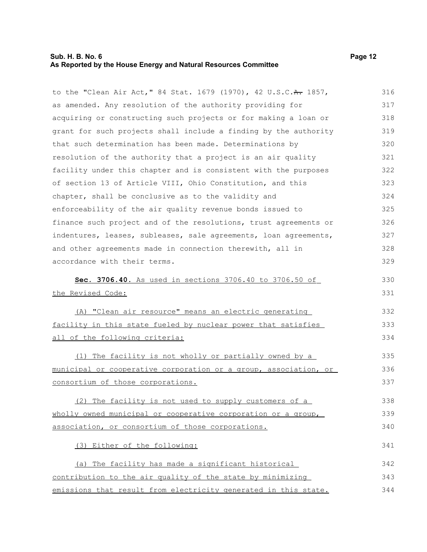## **Sub. H. B. No. 6 Page 12 As Reported by the House Energy and Natural Resources Committee**

to the "Clean Air Act," 84 Stat. 1679 (1970), 42 U.S.C. A. 1857, as amended. Any resolution of the authority providing for acquiring or constructing such projects or for making a loan or grant for such projects shall include a finding by the authority that such determination has been made. Determinations by resolution of the authority that a project is an air quality facility under this chapter and is consistent with the purposes of section 13 of Article VIII, Ohio Constitution, and this chapter, shall be conclusive as to the validity and enforceability of the air quality revenue bonds issued to finance such project and of the resolutions, trust agreements or indentures, leases, subleases, sale agreements, loan agreements, and other agreements made in connection therewith, all in accordance with their terms. **Sec. 3706.40.** As used in sections 3706.40 to 3706.50 of the Revised Code: 316 317 318 319 320 321 322 323 324 325 326 327 328 329 330 331

(A) "Clean air resource" means an electric generating facility in this state fueled by nuclear power that satisfies all of the following criteria: 332 333 334

 (1) The facility is not wholly or partially owned by a municipal or cooperative corporation or a group, association, or consortium of those corporations. 335 336 337

 (2) The facility is not used to supply customers of a wholly owned municipal or cooperative corporation or a group, association, or consortium of those corporations. 338 339 340

(3) Either of the following:

 (a) The facility has made a significant historical contribution to the air quality of the state by minimizing emissions that result from electricity generated in this state. 342 343 344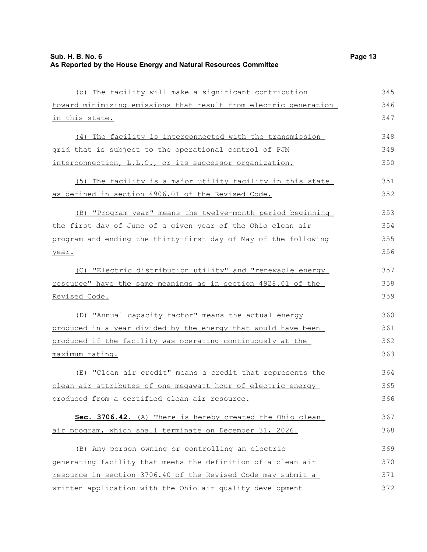| (b) The facility will make a significant contribution            | 345 |
|------------------------------------------------------------------|-----|
| toward minimizing emissions that result from electric generation | 346 |
| in this state.                                                   | 347 |
| (4) The facility is interconnected with the transmission         | 348 |
| grid that is subject to the operational control of PJM           | 349 |
| interconnection, L.L.C., or its successor organization.          | 350 |
| (5) The facility is a major utility facility in this state       | 351 |
| as defined in section 4906.01 of the Revised Code.               | 352 |
| (B) "Program year" means the twelve-month period beginning       | 353 |
| the first day of June of a given year of the Ohio clean air      | 354 |
| program and ending the thirty-first day of May of the following  | 355 |
| year.                                                            | 356 |
| (C) "Electric distribution utility" and "renewable energy        | 357 |
| resource" have the same meanings as in section 4928.01 of the    | 358 |
| <u>Revised Code.</u>                                             | 359 |
| (D) "Annual capacity factor" means the actual energy             | 360 |
| produced in a year divided by the energy that would have been    | 361 |
| produced if the facility was operating continuously at the       | 362 |
| maximum rating.                                                  | 363 |
| (E) "Clean air credit" means a credit that represents the        | 364 |
| clean air attributes of one meqawatt hour of electric energy     | 365 |
| produced from a certified clean air resource.                    | 366 |
| Sec. 3706.42. (A) There is hereby created the Ohio clean         | 367 |
| air program, which shall terminate on December 31, 2026.         | 368 |
| (B) Any person owning or controlling an electric                 | 369 |
| generating facility that meets the definition of a clean air     | 370 |
| resource in section 3706.40 of the Revised Code may submit a     | 371 |
| written application with the Ohio air quality development        | 372 |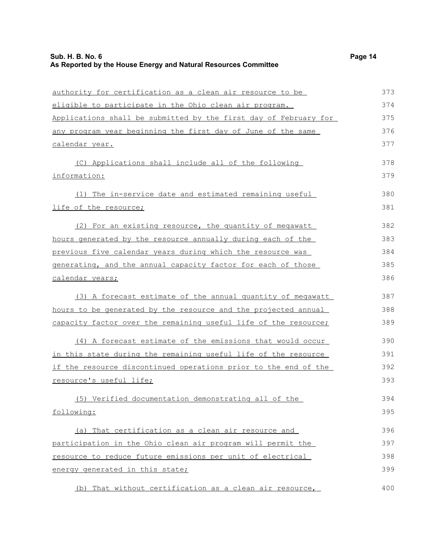authority for certification as a clean air resource to be eligible to participate in the Ohio clean air program. Applications shall be submitted by the first day of February for any program year beginning the first day of June of the same calendar year. (C) Applications shall include all of the following information: (1) The in-service date and estimated remaining useful life of the resource; (2) For an existing resource, the quantity of megawatt hours generated by the resource annually during each of the previous five calendar years during which the resource was generating, and the annual capacity factor for each of those calendar years; (3) A forecast estimate of the annual quantity of megawatt hours to be generated by the resource and the projected annual capacity factor over the remaining useful life of the resource; (4)A forecast estimate of the emissions that would occur in this state during the remaining useful life of the resource if the resource discontinued operations prior to the end of the resource's useful life; (5) Verified documentation demonstrating all of the following: (a) That certification as a clean air resource and participation in the Ohio clean air program will permit the resource to reduce future emissions per unit of electrical energy generated in this state; (b) That without certification as a clean air resource, 373 374 375 376 377 378 379 380 381 382 383 384 385 386 387 388 389 390 391 392 393 394 395 396 397 398 399 400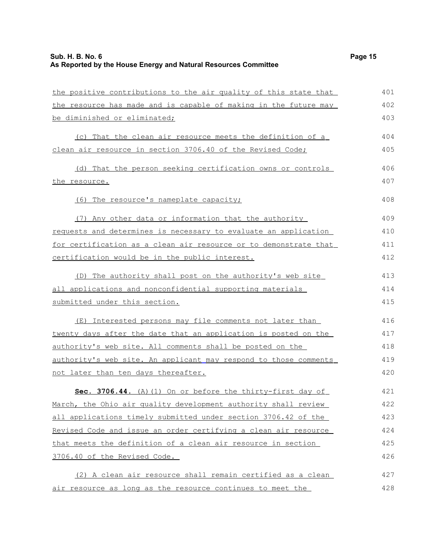the positive contributions to the air quality of this state that the resource has made and is capable of making in the future may (c) That the clean air resource meets the definition of a clean air resource in section 3706.40 of the Revised Code;

(d) That the person seeking certification owns or controls the resource. 406 407

(6) The resource's nameplate capacity;

be diminished or eliminated;

 (7) Any other data or information that the authority requests and determines is necessary to evaluate an application for certification as a clean air resource or to demonstrate that certification would be in the public interest. 409 410 411 412

 (D) The authority shall post on the authority's web site all applications and nonconfidential supporting materials submitted under this section. 413 414 415

(E) Interested persons may file comments not later than twenty days after the date that an application is posted on the authority's web site. All comments shall be posted on the authority's web site. An applicant may respond to those comments not later than ten days thereafter. 416 417 418 419 420

 **Sec. 3706.44.** (A)(1) On or before the thirty-first day of March, the Ohio air quality development authority shall review all applications timely submitted under section 3706.42 of the Revised Code and issue an order certifying a clean air resource that meets the definition of a clean air resource in section 3706.40 of the Revised Code. 421 422 423 424 425 426

 (2) A clean air resource shall remain certified as a clean air resource as long as the resource continues to meet the 427 428

401 402 403

404 405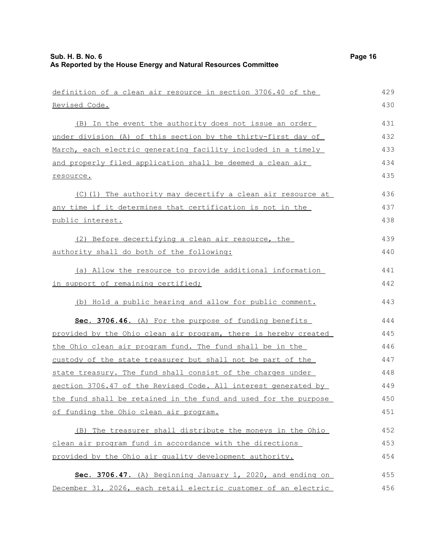| definition of a clean air resource in section 3706.40 of the    | 429 |
|-----------------------------------------------------------------|-----|
| <u>Revised Code.</u>                                            | 430 |
| (B) In the event the authority does not issue an order          | 431 |
| under division (A) of this section by the thirty-first day of   | 432 |
| March, each electric generating facility included in a timely   | 433 |
| and properly filed application shall be deemed a clean air      | 434 |
| resource.                                                       | 435 |
| (C) (1) The authority may decertify a clean air resource at     | 436 |
| any time if it determines that certification is not in the      | 437 |
| public interest.                                                | 438 |
| (2) Before decertifying a clean air resource, the               | 439 |
| authority shall do both of the following:                       | 440 |
| (a) Allow the resource to provide additional information        | 441 |
| in support of remaining certified;                              | 442 |
| (b) Hold a public hearing and allow for public comment.         | 443 |
| Sec. 3706.46. (A) For the purpose of funding benefits           | 444 |
| provided by the Ohio clean air program, there is hereby created | 445 |
| the Ohio clean air program fund. The fund shall be in the       | 446 |
| custody of the state treasurer but shall not be part of the     | 447 |
| state treasury. The fund shall consist of the charges under     | 448 |
| section 3706.47 of the Revised Code. All interest generated by  | 449 |
| the fund shall be retained in the fund and used for the purpose | 450 |
| of funding the Ohio clean air program.                          | 451 |
| (B) The treasurer shall distribute the moneys in the Ohio       | 452 |
| clean air program fund in accordance with the directions        | 453 |
| provided by the Ohio air quality development authority.         | 454 |
| Sec. 3706.47. (A) Beginning January 1, 2020, and ending on      | 455 |
| December 31, 2026, each retail electric customer of an electric | 456 |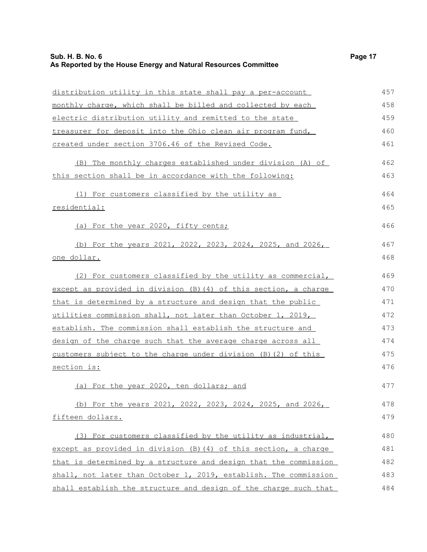# **Sub. H. B. No. 6 Page 17 As Reported by the House Energy and Natural Resources Committee**

| distribution utility in this state shall pay a per-account                              | 457 |
|-----------------------------------------------------------------------------------------|-----|
| monthly charge, which shall be billed and collected by each                             | 458 |
| electric distribution utility and remitted to the state                                 | 459 |
| treasurer for deposit into the Ohio clean air program fund,                             | 460 |
| created under section 3706.46 of the Revised Code.                                      | 461 |
| (B) The monthly charges established under division (A) of                               | 462 |
| this section shall be in accordance with the following:                                 | 463 |
| (1) For customers classified by the utility as                                          | 464 |
| residential:                                                                            | 465 |
| (a) For the year 2020, fifty cents;                                                     | 466 |
| (b) For the years 2021, 2022, 2023, 2024, 2025, and 2026,                               | 467 |
| one dollar.                                                                             | 468 |
| (2) For customers classified by the utility as commercial,                              | 469 |
| except as provided in division (B) (4) of this section, a charge                        | 470 |
| that is determined by a structure and design that the public                            | 471 |
| utilities commission shall, not later than October 1, 2019,                             | 472 |
| establish. The commission shall establish the structure and                             | 473 |
| design of the charge such that the average charge across all                            | 474 |
| $\frac{\text{customers subject to the charge under division (B) (2) of this}}{\text{m}$ | 475 |
| section is:                                                                             | 476 |
| (a) For the year 2020, ten dollars; and                                                 | 477 |
| (b) For the years 2021, 2022, 2023, 2024, 2025, and 2026,                               | 478 |
| fifteen dollars.                                                                        | 479 |
| (3) For customers classified by the utility as industrial,                              | 480 |
| except as provided in division (B) (4) of this section, a charge                        | 481 |
| that is determined by a structure and design that the commission                        | 482 |
| shall, not later than October 1, 2019, establish. The commission                        | 483 |
| shall establish the structure and design of the charge such that                        | 484 |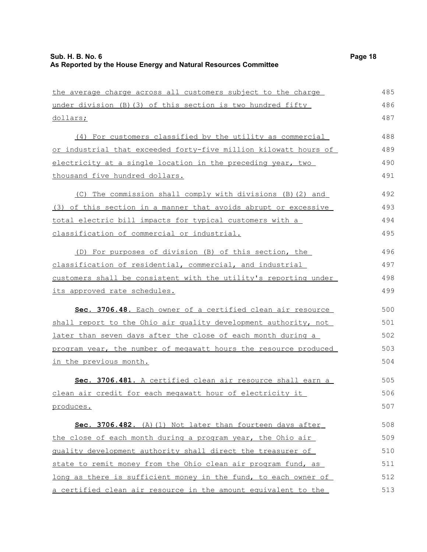| the average charge across all customers subject to the charge    | 485 |
|------------------------------------------------------------------|-----|
| under division (B) (3) of this section is two hundred fifty      | 486 |
| <u>dollars;</u>                                                  | 487 |
| (4) For customers classified by the utility as commercial        | 488 |
| or industrial that exceeded forty-five million kilowatt hours of | 489 |
| electricity at a single location in the preceding year, two      | 490 |
| thousand five hundred dollars.                                   | 491 |
| (C) The commission shall comply with divisions (B) (2) and       | 492 |
| (3) of this section in a manner that avoids abrupt or excessive  | 493 |
| total electric bill impacts for typical customers with a         | 494 |
| classification of commercial or industrial.                      | 495 |
| (D) For purposes of division (B) of this section, the            | 496 |
| classification of residential, commercial, and industrial        | 497 |
| customers shall be consistent with the utility's reporting under | 498 |
| its approved rate schedules.                                     | 499 |
| Sec. 3706.48. Each owner of a certified clean air resource       | 500 |
| shall report to the Ohio air quality development authority, not  | 501 |
| later than seven days after the close of each month during a     | 502 |
| program year, the number of megawatt hours the resource produced | 503 |
| in the previous month.                                           | 504 |
| Sec. 3706.481. A certified clean air resource shall earn a       | 505 |
| clean air credit for each megawatt hour of electricity it        | 506 |
| produces.                                                        | 507 |
| Sec. 3706.482. (A) (1) Not later than fourteen days after        | 508 |
| the close of each month during a program year, the Ohio air      | 509 |
| quality development authority shall direct the treasurer of      | 510 |
| state to remit money from the Ohio clean air program fund, as    | 511 |
| long as there is sufficient money in the fund, to each owner of  | 512 |
| a certified clean air resource in the amount equivalent to the   | 513 |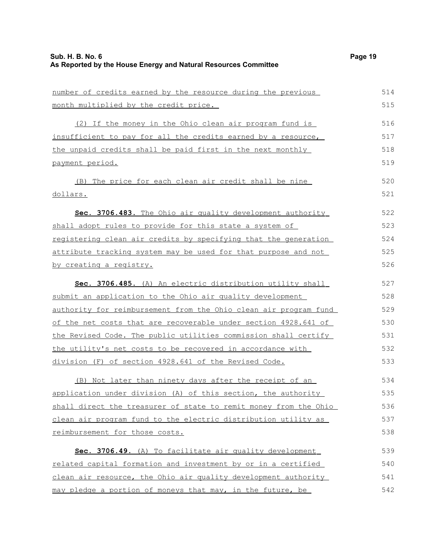| number of credits earned by the resource during the previous     | 514 |
|------------------------------------------------------------------|-----|
| month multiplied by the credit price.                            | 515 |
| (2) If the money in the Ohio clean air program fund is           | 516 |
| insufficient to pay for all the credits earned by a resource,    | 517 |
| the unpaid credits shall be paid first in the next monthly       | 518 |
| payment period.                                                  | 519 |
| (B) The price for each clean air credit shall be nine            | 520 |
| <u>dollars.</u>                                                  | 521 |
| Sec. 3706.483. The Ohio air quality development authority        | 522 |
| shall adopt rules to provide for this state a system of          | 523 |
| registering clean air credits by specifying that the generation  | 524 |
| attribute tracking system may be used for that purpose and not   | 525 |
| by creating a registry.                                          | 526 |
| Sec. 3706.485. (A) An electric distribution utility shall        | 527 |
| submit an application to the Ohio air quality development        | 528 |
| authority for reimbursement from the Ohio clean air program fund | 529 |
| of the net costs that are recoverable under section 4928.641 of  | 530 |
| the Revised Code. The public utilities commission shall certify  | 531 |
| the utility's net costs to be recovered in accordance with       | 532 |
| division (F) of section 4928.641 of the Revised Code.            | 533 |
| (B) Not later than ninety days after the receipt of an           | 534 |
| application under division (A) of this section, the authority    | 535 |
| shall direct the treasurer of state to remit money from the Ohio | 536 |
| clean air program fund to the electric distribution utility as   | 537 |
| reimbursement for those costs.                                   | 538 |
| Sec. 3706.49. (A) To facilitate air quality development          | 539 |
| related capital formation and investment by or in a certified    | 540 |
| clean air resource, the Ohio air quality development authority   | 541 |
| may pledge a portion of moneys that may, in the future, be       | 542 |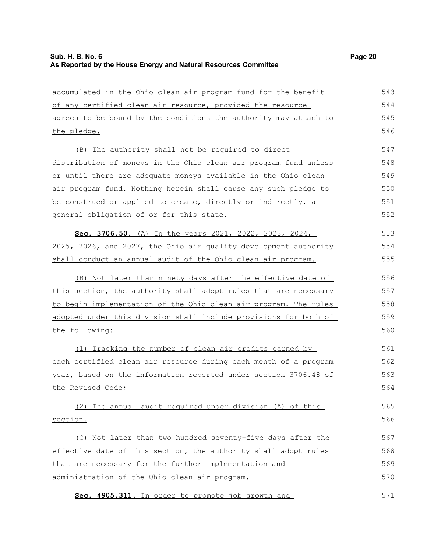accumulated in the Ohio clean air program fund for the benefit of any certified clean air resource , provided the resource agrees to be bound by the conditions the authority may attach to the pledge. (B) The authority shall not be required to direct distribution of moneys in the Ohio clean air program fund unless or until there are adequate moneys available in the Ohio clean air program fund. Nothing herein shall cause any such pledge to be construed or applied to create, directly or indirectly, a general obligation of or for this state. **Sec. 3706.50.** (A) In the years 2021, 2022, 2023, 2024, 2025, 2026, and 2027, the Ohio air quality development authority shall conduct an annual audit of the Ohio clean air program. (B) Not later than ninety days after the effective date of this section, the authority shall adopt rules that are necessary to begin implementation of the Ohio clean air program. The rules adopted under this division shall include provisions for both of the following: (1) Tracking the number of clean air credits earned by each certified clean air resource during each month of a program year, based on the information reported under section 3706.48 of the Revised Code; (2) The annual audit required under division (A) of this section. 544 545 546 547 548 549 550 551 552 553 554 555 556 557 558 559 560 561 562 563 564 565 566

(C) Not later than two hundred seventy-five days after the effective date of this section, the authority shall adopt rules that are necessary for the further implementation and administration of the Ohio clean air program. 567 568 569 570

 **Sec. 4905.311.** In order to promote job growth and 571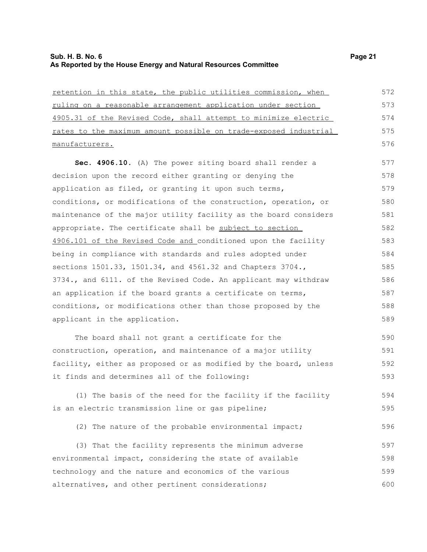| retention in this state, the public utilities commission, when   | 572 |
|------------------------------------------------------------------|-----|
| ruling on a reasonable arrangement application under section     | 573 |
| 4905.31 of the Revised Code, shall attempt to minimize electric  | 574 |
| rates to the maximum amount possible on trade-exposed industrial | 575 |
| manufacturers.                                                   | 576 |
| Sec. 4906.10. (A) The power siting board shall render a          | 577 |
| decision upon the record either granting or denying the          | 578 |
| application as filed, or granting it upon such terms,            | 579 |
| conditions, or modifications of the construction, operation, or  | 580 |
| maintenance of the major utility facility as the board considers | 581 |
| appropriate. The certificate shall be subject to section         | 582 |
| 4906.101 of the Revised Code and conditioned upon the facility   | 583 |
| being in compliance with standards and rules adopted under       | 584 |
| sections 1501.33, 1501.34, and 4561.32 and Chapters 3704.,       | 585 |
| 3734., and 6111. of the Revised Code. An applicant may withdraw  | 586 |
| an application if the board grants a certificate on terms,       | 587 |
| conditions, or modifications other than those proposed by the    | 588 |
| applicant in the application.                                    | 589 |
| The board shall not grant a certificate for the                  | 590 |
| construction, operation, and maintenance of a major utility      | 591 |
| facility, either as proposed or as modified by the board, unless | 592 |
| it finds and determines all of the following:                    | 593 |
| (1) The basis of the need for the facility if the facility       | 594 |
| is an electric transmission line or gas pipeline;                | 595 |
| (2) The nature of the probable environmental impact;             | 596 |
| (3) That the facility represents the minimum adverse             | 597 |
| environmental impact, considering the state of available         | 598 |
| technology and the nature and economics of the various           | 599 |
| alternatives, and other pertinent considerations;                | 600 |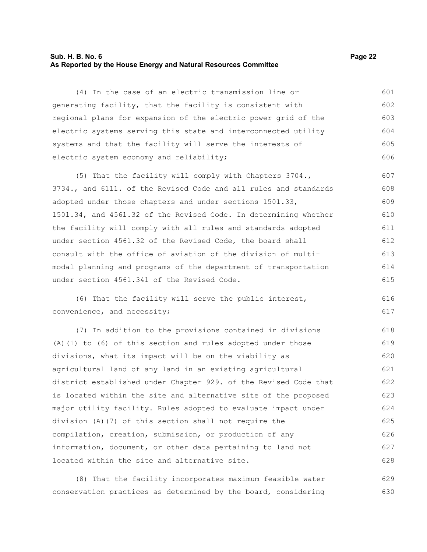## **Sub. H. B. No. 6 Page 22 As Reported by the House Energy and Natural Resources Committee**

(4) In the case of an electric transmission line or generating facility, that the facility is consistent with regional plans for expansion of the electric power grid of the electric systems serving this state and interconnected utility systems and that the facility will serve the interests of electric system economy and reliability; 601 602 603 604 605 606

(5) That the facility will comply with Chapters 3704., 3734., and 6111. of the Revised Code and all rules and standards adopted under those chapters and under sections 1501.33, 1501.34, and 4561.32 of the Revised Code. In determining whether the facility will comply with all rules and standards adopted under section 4561.32 of the Revised Code, the board shall consult with the office of aviation of the division of multimodal planning and programs of the department of transportation under section 4561.341 of the Revised Code. 607 608 609 610 611 612 613 614 615

(6) That the facility will serve the public interest, convenience, and necessity;

(7) In addition to the provisions contained in divisions (A)(1) to (6) of this section and rules adopted under those divisions, what its impact will be on the viability as agricultural land of any land in an existing agricultural district established under Chapter 929. of the Revised Code that is located within the site and alternative site of the proposed major utility facility. Rules adopted to evaluate impact under division (A)(7) of this section shall not require the compilation, creation, submission, or production of any information, document, or other data pertaining to land not located within the site and alternative site. 618 619 620 621 622 623 624 625 626 627 628

(8) That the facility incorporates maximum feasible water conservation practices as determined by the board, considering 629 630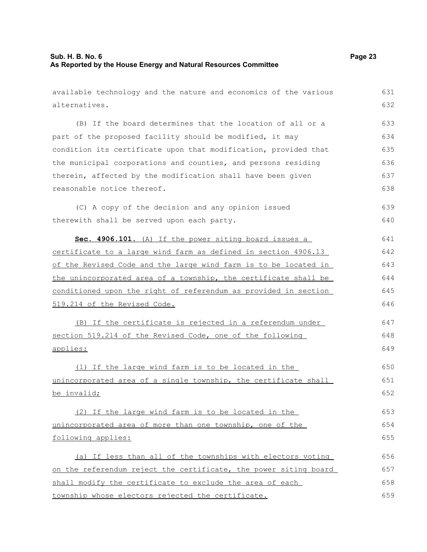| available technology and the nature and economics of the various | 631 |
|------------------------------------------------------------------|-----|
| alternatives.                                                    | 632 |
| (B) If the board determines that the location of all or a        | 633 |
| part of the proposed facility should be modified, it may         | 634 |
| condition its certificate upon that modification, provided that  | 635 |
| the municipal corporations and counties, and persons residing    | 636 |
| therein, affected by the modification shall have been given      | 637 |
| reasonable notice thereof.                                       | 638 |
| (C) A copy of the decision and any opinion issued                | 639 |
| therewith shall be served upon each party.                       | 640 |
| Sec. 4906.101. (A) If the power siting board issues a            | 641 |
| certificate to a large wind farm as defined in section 4906.13   | 642 |
| of the Revised Code and the large wind farm is to be located in  | 643 |
| the unincorporated area of a township, the certificate shall be  | 644 |
| conditioned upon the right of referendum as provided in section  | 645 |
| 519.214 of the Revised Code.                                     | 646 |
| (B) If the certificate is rejected in a referendum under         | 647 |
| section 519.214 of the Revised Code, one of the following        | 648 |
| applies:                                                         | 649 |
| (1) If the large wind farm is to be located in the               | 650 |
| unincorporated area of a single township, the certificate shall  | 651 |
| be invalid;                                                      | 652 |
| (2) If the large wind farm is to be located in the               | 653 |
| unincorporated area of more than one township, one of the        | 654 |
| following applies:                                               | 655 |
| (a) If less than all of the townships with electors voting       | 656 |
| on the referendum reject the certificate, the power siting board | 657 |
| shall modify the certificate to exclude the area of each         | 658 |
| township whose electors rejected the certificate.                | 659 |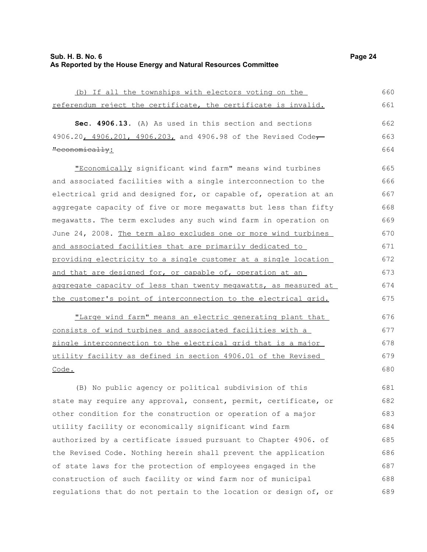## **Sub. H. B. No. 6 Page 24 As Reported by the House Energy and Natural Resources Committee**

(b) If all the townships with electors voting on the referendum reject the certificate, the certificate is invalid. **Sec. 4906.13.** (A) As used in this section and sections 4906.20, 4906.201, 4906.203, and 4906.98 of the Revised Code-"economically: "Economically significant wind farm" means wind turbines and associated facilities with a single interconnection to the electrical grid and designed for, or capable of, operation at an aggregate capacity of five or more megawatts but less than fifty megawatts. The term excludes any such wind farm in operation on June 24, 2008. The term also excludes one or more wind turbines and associated facilities that are primarily dedicated to providing electricity to a single customer at a single location and that are designed for, or capable of, operation at an 660 661 662 663 664 665 666 667 668 669 670 671 672 673

aggregate capacity of less than twenty megawatts, as measured at the customer's point of interconnection to the electrical grid. 675

"Large wind farm" means an electric generating plant that consists of wind turbines and associated facilities with a single interconnection to the electrical grid that is a major utility facility as defined in section 4906.01 of the Revised Code.

(B) No public agency or political subdivision of this state may require any approval, consent, permit, certificate, or other condition for the construction or operation of a major utility facility or economically significant wind farm authorized by a certificate issued pursuant to Chapter 4906. of the Revised Code. Nothing herein shall prevent the application of state laws for the protection of employees engaged in the construction of such facility or wind farm nor of municipal regulations that do not pertain to the location or design of, or 681 682 683 684 685 686 687 688 689

674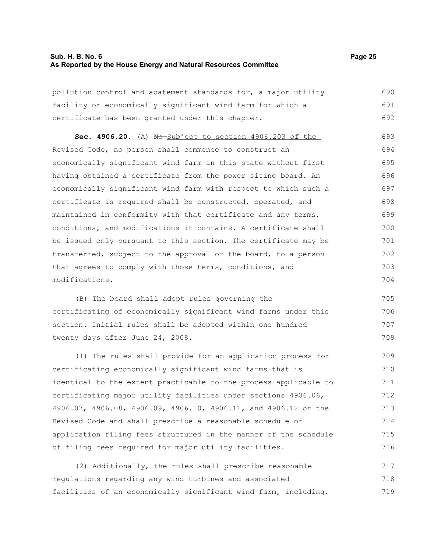# **Sub. H. B. No. 6 Page 25 As Reported by the House Energy and Natural Resources Committee**

| pollution control and abatement standards for, a major utility   | 690 |
|------------------------------------------------------------------|-----|
| facility or economically significant wind farm for which a       | 691 |
| certificate has been granted under this chapter.                 | 692 |
| Sec. 4906.20. (A) No Subject to section 4906.203 of the          | 693 |
| Revised Code, no person shall commence to construct an           | 694 |
| economically significant wind farm in this state without first   | 695 |
| having obtained a certificate from the power siting board. An    | 696 |
| economically significant wind farm with respect to which such a  | 697 |
| certificate is required shall be constructed, operated, and      | 698 |
| maintained in conformity with that certificate and any terms,    | 699 |
| conditions, and modifications it contains. A certificate shall   | 700 |
| be issued only pursuant to this section. The certificate may be  | 701 |
| transferred, subject to the approval of the board, to a person   | 702 |
| that agrees to comply with those terms, conditions, and          | 703 |
| modifications.                                                   | 704 |
| (B) The board shall adopt rules governing the                    | 705 |
| certificating of economically significant wind farms under this  | 706 |
| section. Initial rules shall be adopted within one hundred       | 707 |
| twenty days after June 24, 2008.                                 | 708 |
| (1) The rules shall provide for an application process for       | 709 |
| certificating economically significant wind farms that is        | 710 |
| identical to the extent practicable to the process applicable to | 711 |
| certificating major utility facilities under sections 4906.06,   | 712 |
| 4906.07, 4906.08, 4906.09, 4906.10, 4906.11, and 4906.12 of the  | 713 |
| Revised Code and shall prescribe a reasonable schedule of        | 714 |
| application filing fees structured in the manner of the schedule | 715 |
| of filing fees required for major utility facilities.            | 716 |
| (2) Additionally, the rules shall prescribe reasonable           | 717 |
| regulations regarding any wind turbines and associated           | 718 |
| facilities of an economically significant wind farm, including,  | 719 |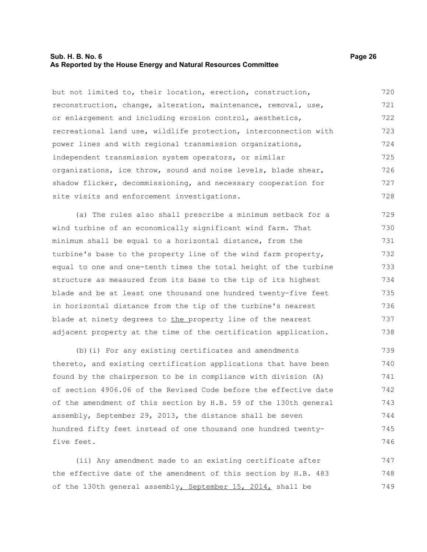## **Sub. H. B. No. 6 Page 26 As Reported by the House Energy and Natural Resources Committee**

but not limited to, their location, erection, construction, reconstruction, change, alteration, maintenance, removal, use, or enlargement and including erosion control, aesthetics, recreational land use, wildlife protection, interconnection with power lines and with regional transmission organizations, independent transmission system operators, or similar organizations, ice throw, sound and noise levels, blade shear, shadow flicker, decommissioning, and necessary cooperation for site visits and enforcement investigations. 720 721 722 723 724 725 726 727 728

(a) The rules also shall prescribe a minimum setback for a wind turbine of an economically significant wind farm. That minimum shall be equal to a horizontal distance, from the turbine's base to the property line of the wind farm property, equal to one and one-tenth times the total height of the turbine structure as measured from its base to the tip of its highest blade and be at least one thousand one hundred twenty-five feet in horizontal distance from the tip of the turbine's nearest blade at ninety degrees to the property line of the nearest adjacent property at the time of the certification application. 729 730 731 732 733 734 735 736 737 738

(b)(i) For any existing certificates and amendments thereto, and existing certification applications that have been found by the chairperson to be in compliance with division (A) of section 4906.06 of the Revised Code before the effective date of the amendment of this section by H.B. 59 of the 130th general assembly, September 29, 2013, the distance shall be seven hundred fifty feet instead of one thousand one hundred twentyfive feet. 739 740 741 742 743 744 745 746

(ii) Any amendment made to an existing certificate after the effective date of the amendment of this section by H.B. 483 of the 130th general assembly, September 15, 2014, shall be 747 748 749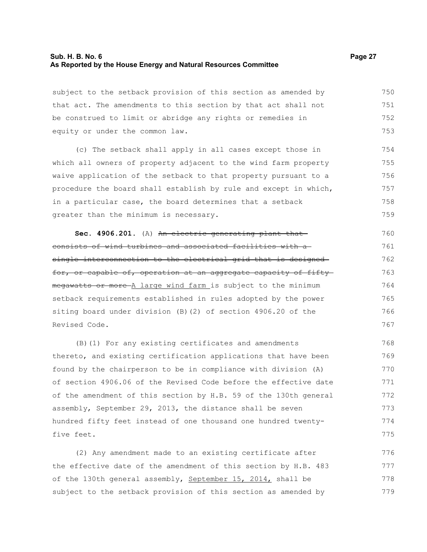## **Sub. H. B. No. 6 Page 27 As Reported by the House Energy and Natural Resources Committee**

subject to the setback provision of this section as amended by that act. The amendments to this section by that act shall not be construed to limit or abridge any rights or remedies in equity or under the common law. 750 751 752 753

(c) The setback shall apply in all cases except those in which all owners of property adjacent to the wind farm property waive application of the setback to that property pursuant to a procedure the board shall establish by rule and except in which, in a particular case, the board determines that a setback greater than the minimum is necessary. 754 755 756 757 758 759

Sec. 4906.201. (A) An electric generating plant that consists of wind turbines and associated facilities with a single interconnection to the electrical grid that is designedfor, or capable of, operation at an aggregate capacity of fifty megawatts or more-A large wind farm is subject to the minimum setback requirements established in rules adopted by the power siting board under division (B)(2) of section 4906.20 of the Revised Code. 760 761 762 763 764 765 766 767

(B)(1) For any existing certificates and amendments thereto, and existing certification applications that have been found by the chairperson to be in compliance with division (A) of section 4906.06 of the Revised Code before the effective date of the amendment of this section by H.B. 59 of the 130th general assembly, September 29, 2013, the distance shall be seven hundred fifty feet instead of one thousand one hundred twentyfive feet. 768 769 770 771 772 773 774 775

(2) Any amendment made to an existing certificate after the effective date of the amendment of this section by H.B. 483 of the 130th general assembly, September 15, 2014, shall be subject to the setback provision of this section as amended by 776 777 778 779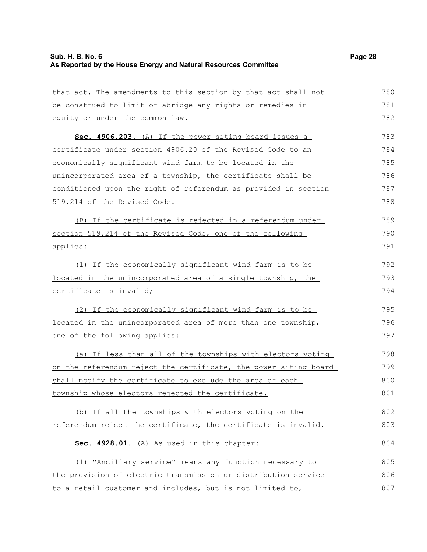# **Sub. H. B. No. 6 Page 28 As Reported by the House Energy and Natural Resources Committee**

| that act. The amendments to this section by that act shall not   | 780 |
|------------------------------------------------------------------|-----|
| be construed to limit or abridge any rights or remedies in       | 781 |
| equity or under the common law.                                  | 782 |
| Sec. 4906.203. (A) If the power siting board issues a            | 783 |
| certificate under section 4906.20 of the Revised Code to an      | 784 |
| economically significant wind farm to be located in the          | 785 |
| unincorporated area of a township, the certificate shall be      | 786 |
| conditioned upon the right of referendum as provided in section  | 787 |
| 519.214 of the Revised Code.                                     | 788 |
| (B) If the certificate is rejected in a referendum under         | 789 |
| section 519.214 of the Revised Code, one of the following        | 790 |
| applies:                                                         | 791 |
| (1) If the economically significant wind farm is to be           | 792 |
| located in the unincorporated area of a single township, the     | 793 |
| certificate is invalid;                                          | 794 |
| (2) If the economically significant wind farm is to be           | 795 |
| located in the unincorporated area of more than one township,    | 796 |
| one of the following applies:                                    | 797 |
| (a) If less than all of the townships with electors voting       | 798 |
| on the referendum reject the certificate, the power siting board | 799 |
| shall modify the certificate to exclude the area of each         | 800 |
| township whose electors rejected the certificate.                | 801 |
| (b) If all the townships with electors voting on the             | 802 |
| referendum reject the certificate, the certificate is invalid.   | 803 |
| Sec. 4928.01. (A) As used in this chapter:                       | 804 |
| (1) "Ancillary service" means any function necessary to          | 805 |
| the provision of electric transmission or distribution service   | 806 |
| to a retail customer and includes, but is not limited to,        | 807 |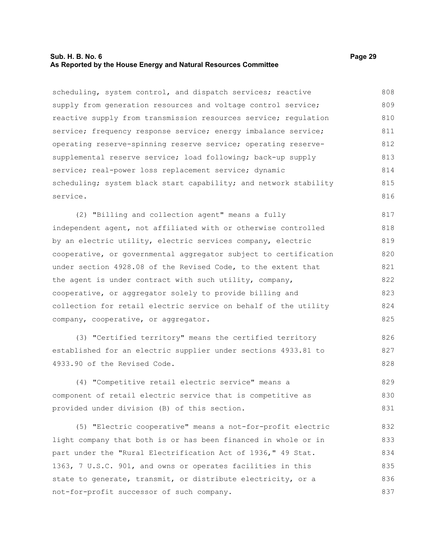## **Sub. H. B. No. 6 Page 29 As Reported by the House Energy and Natural Resources Committee**

scheduling, system control, and dispatch services; reactive supply from generation resources and voltage control service; reactive supply from transmission resources service; regulation service; frequency response service; energy imbalance service; operating reserve-spinning reserve service; operating reservesupplemental reserve service; load following; back-up supply service; real-power loss replacement service; dynamic scheduling; system black start capability; and network stability service. 808 809 810 811 812 813 814 815 816

(2) "Billing and collection agent" means a fully independent agent, not affiliated with or otherwise controlled by an electric utility, electric services company, electric cooperative, or governmental aggregator subject to certification under section 4928.08 of the Revised Code, to the extent that the agent is under contract with such utility, company, cooperative, or aggregator solely to provide billing and collection for retail electric service on behalf of the utility company, cooperative, or aggregator. 817 818 819 820 821 822 823 824 825

(3) "Certified territory" means the certified territory established for an electric supplier under sections 4933.81 to 4933.90 of the Revised Code. 826 827

(4) "Competitive retail electric service" means a component of retail electric service that is competitive as provided under division (B) of this section. 829 830 831

(5) "Electric cooperative" means a not-for-profit electric light company that both is or has been financed in whole or in part under the "Rural Electrification Act of 1936," 49 Stat. 1363, 7 U.S.C. 901, and owns or operates facilities in this state to generate, transmit, or distribute electricity, or a not-for-profit successor of such company. 832 833 834 835 836 837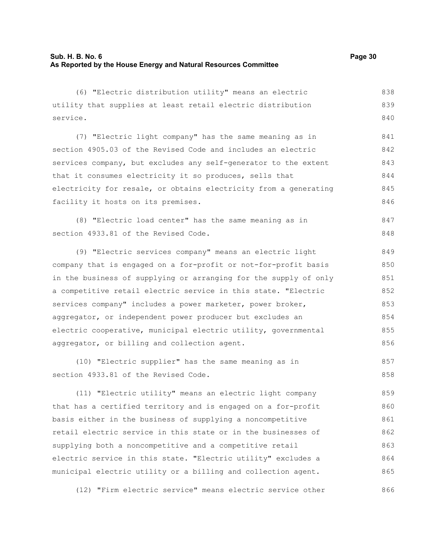(6) "Electric distribution utility" means an electric utility that supplies at least retail electric distribution service. (7) "Electric light company" has the same meaning as in section 4905.03 of the Revised Code and includes an electric services company, but excludes any self-generator to the extent that it consumes electricity it so produces, sells that electricity for resale, or obtains electricity from a generating facility it hosts on its premises. (8) "Electric load center" has the same meaning as in section 4933.81 of the Revised Code. (9) "Electric services company" means an electric light company that is engaged on a for-profit or not-for-profit basis in the business of supplying or arranging for the supply of only a competitive retail electric service in this state. "Electric services company" includes a power marketer, power broker, aggregator, or independent power producer but excludes an electric cooperative, municipal electric utility, governmental aggregator, or billing and collection agent. (10) "Electric supplier" has the same meaning as in section 4933.81 of the Revised Code. (11) "Electric utility" means an electric light company that has a certified territory and is engaged on a for-profit basis either in the business of supplying a noncompetitive retail electric service in this state or in the businesses of 838 839 840 841 842 843 844 845 846 847 848 849 850 851 852 853 854 855 856 857 858 859 860 861 862

supplying both a noncompetitive and a competitive retail electric service in this state. "Electric utility" excludes a municipal electric utility or a billing and collection agent. 863 864 865

(12) "Firm electric service" means electric service other 866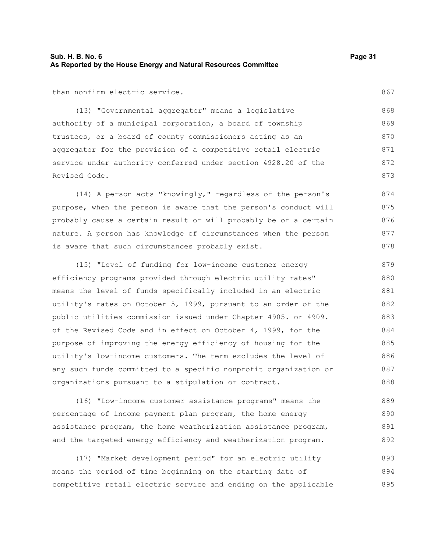than nonfirm electric service.

(13) "Governmental aggregator" means a legislative authority of a municipal corporation, a board of township trustees, or a board of county commissioners acting as an aggregator for the provision of a competitive retail electric service under authority conferred under section 4928.20 of the Revised Code. 868 869 870 871 872 873

(14) A person acts "knowingly," regardless of the person's purpose, when the person is aware that the person's conduct will probably cause a certain result or will probably be of a certain nature. A person has knowledge of circumstances when the person is aware that such circumstances probably exist. 874 875 876 877 878

(15) "Level of funding for low-income customer energy efficiency programs provided through electric utility rates" means the level of funds specifically included in an electric utility's rates on October 5, 1999, pursuant to an order of the public utilities commission issued under Chapter 4905. or 4909. of the Revised Code and in effect on October 4, 1999, for the purpose of improving the energy efficiency of housing for the utility's low-income customers. The term excludes the level of any such funds committed to a specific nonprofit organization or organizations pursuant to a stipulation or contract. 879 880 881 882 883 884 885 886 887 888

(16) "Low-income customer assistance programs" means the percentage of income payment plan program, the home energy assistance program, the home weatherization assistance program, and the targeted energy efficiency and weatherization program. 889 890 891 892

(17) "Market development period" for an electric utility means the period of time beginning on the starting date of competitive retail electric service and ending on the applicable 893 894 895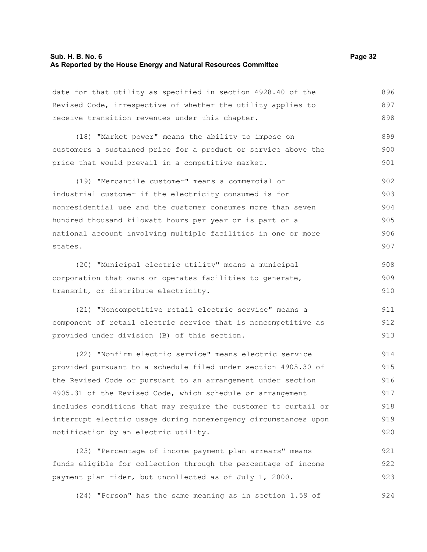#### **Sub. H. B. No. 6 Page 32 As Reported by the House Energy and Natural Resources Committee**

date for that utility as specified in section 4928.40 of the Revised Code, irrespective of whether the utility applies to receive transition revenues under this chapter. 896 897 898

(18) "Market power" means the ability to impose on customers a sustained price for a product or service above the price that would prevail in a competitive market. 899 900 901

(19) "Mercantile customer" means a commercial or industrial customer if the electricity consumed is for nonresidential use and the customer consumes more than seven hundred thousand kilowatt hours per year or is part of a national account involving multiple facilities in one or more states. 902 903 904 905 906 907

(20) "Municipal electric utility" means a municipal corporation that owns or operates facilities to generate, transmit, or distribute electricity. 908 909 910

(21) "Noncompetitive retail electric service" means a component of retail electric service that is noncompetitive as provided under division (B) of this section. 911 912 913

(22) "Nonfirm electric service" means electric service provided pursuant to a schedule filed under section 4905.30 of the Revised Code or pursuant to an arrangement under section 4905.31 of the Revised Code, which schedule or arrangement includes conditions that may require the customer to curtail or interrupt electric usage during nonemergency circumstances upon notification by an electric utility. 914 915 916 917 918 919 920

(23) "Percentage of income payment plan arrears" means funds eligible for collection through the percentage of income payment plan rider, but uncollected as of July 1, 2000. 921 922 923

(24) "Person" has the same meaning as in section 1.59 of 924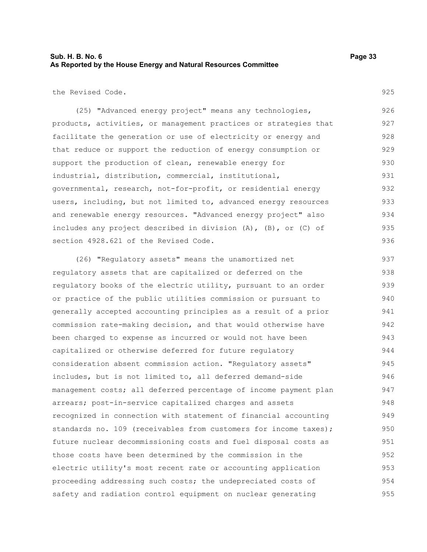## **Sub. H. B. No. 6 Page 33 As Reported by the House Energy and Natural Resources Committee**

the Revised Code.

925

(25) "Advanced energy project" means any technologies, products, activities, or management practices or strategies that facilitate the generation or use of electricity or energy and that reduce or support the reduction of energy consumption or support the production of clean, renewable energy for industrial, distribution, commercial, institutional, governmental, research, not-for-profit, or residential energy users, including, but not limited to, advanced energy resources and renewable energy resources. "Advanced energy project" also includes any project described in division (A), (B), or (C) of section 4928.621 of the Revised Code. 926 927 928 929 930 931 932 933 934 935 936

(26) "Regulatory assets" means the unamortized net regulatory assets that are capitalized or deferred on the regulatory books of the electric utility, pursuant to an order or practice of the public utilities commission or pursuant to generally accepted accounting principles as a result of a prior commission rate-making decision, and that would otherwise have been charged to expense as incurred or would not have been capitalized or otherwise deferred for future regulatory consideration absent commission action. "Regulatory assets" includes, but is not limited to, all deferred demand-side management costs; all deferred percentage of income payment plan arrears; post-in-service capitalized charges and assets recognized in connection with statement of financial accounting standards no. 109 (receivables from customers for income taxes); future nuclear decommissioning costs and fuel disposal costs as those costs have been determined by the commission in the electric utility's most recent rate or accounting application proceeding addressing such costs; the undepreciated costs of safety and radiation control equipment on nuclear generating 937 938 939 940 941 942 943 944 945 946 947 948 949 950 951 952 953 954 955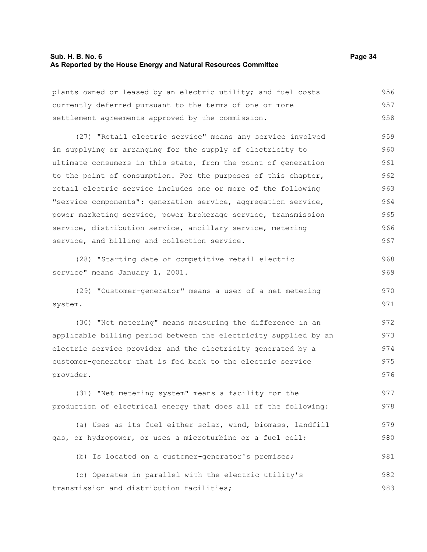#### **Sub. H. B. No. 6 Page 34 As Reported by the House Energy and Natural Resources Committee**

| plants owned or leased by an electric utility; and fuel costs                                                | 956 |
|--------------------------------------------------------------------------------------------------------------|-----|
| currently deferred pursuant to the terms of one or more<br>settlement agreements approved by the commission. | 957 |
|                                                                                                              | 958 |

(27) "Retail electric service" means any service involved in supplying or arranging for the supply of electricity to ultimate consumers in this state, from the point of generation to the point of consumption. For the purposes of this chapter, retail electric service includes one or more of the following "service components": generation service, aggregation service, power marketing service, power brokerage service, transmission service, distribution service, ancillary service, metering service, and billing and collection service. 959 960 961 962 963 964 965 966 967

(28) "Starting date of competitive retail electric service" means January 1, 2001. 968 969

(29) "Customer-generator" means a user of a net metering system. 970 971

(30) "Net metering" means measuring the difference in an applicable billing period between the electricity supplied by an electric service provider and the electricity generated by a customer-generator that is fed back to the electric service provider. 972 973 974 975 976

(31) "Net metering system" means a facility for the production of electrical energy that does all of the following: 977 978

(a) Uses as its fuel either solar, wind, biomass, landfill gas, or hydropower, or uses a microturbine or a fuel cell; 979 980

(b) Is located on a customer-generator's premises; 981

(c) Operates in parallel with the electric utility's transmission and distribution facilities; 982 983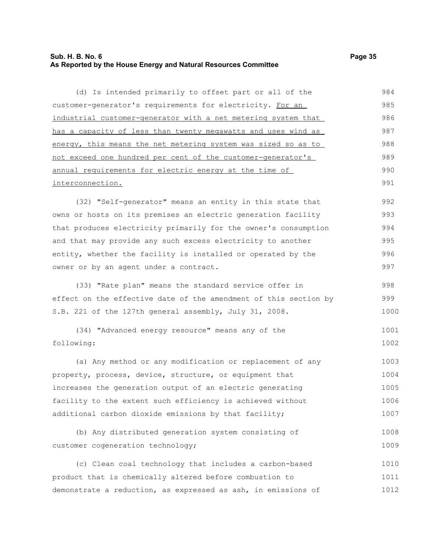# **Sub. H. B. No. 6 Page 35 As Reported by the House Energy and Natural Resources Committee**

| (d) Is intended primarily to offset part or all of the           | 984  |
|------------------------------------------------------------------|------|
| customer-generator's requirements for electricity. For an        | 985  |
| industrial customer-generator with a net metering system that    | 986  |
| has a capacity of less than twenty megawatts and uses wind as    | 987  |
| energy, this means the net metering system was sized so as to    | 988  |
| not exceed one hundred per cent of the customer-generator's      | 989  |
| annual requirements for electric energy at the time of           | 990  |
| interconnection.                                                 | 991  |
| (32) "Self-generator" means an entity in this state that         | 992  |
| owns or hosts on its premises an electric generation facility    | 993  |
| that produces electricity primarily for the owner's consumption  | 994  |
| and that may provide any such excess electricity to another      | 995  |
| entity, whether the facility is installed or operated by the     | 996  |
| owner or by an agent under a contract.                           | 997  |
| (33) "Rate plan" means the standard service offer in             | 998  |
| effect on the effective date of the amendment of this section by | 999  |
| S.B. 221 of the 127th general assembly, July 31, 2008.           | 1000 |
| (34) "Advanced energy resource" means any of the                 | 1001 |
| following:                                                       | 1002 |
| (a) Any method or any modification or replacement of any         | 1003 |
| property, process, device, structure, or equipment that          | 1004 |
| increases the generation output of an electric generating        | 1005 |
| facility to the extent such efficiency is achieved without       | 1006 |
| additional carbon dioxide emissions by that facility;            | 1007 |
| (b) Any distributed generation system consisting of              | 1008 |
| customer cogeneration technology;                                | 1009 |
| (c) Clean coal technology that includes a carbon-based           | 1010 |
| product that is chemically altered before combustion to          | 1011 |
| demonstrate a reduction, as expressed as ash, in emissions of    | 1012 |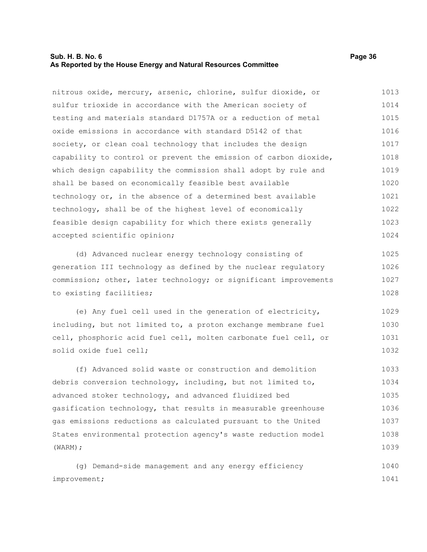## **Sub. H. B. No. 6 Page 36 As Reported by the House Energy and Natural Resources Committee**

nitrous oxide, mercury, arsenic, chlorine, sulfur dioxide, or sulfur trioxide in accordance with the American society of testing and materials standard D1757A or a reduction of metal oxide emissions in accordance with standard D5142 of that society, or clean coal technology that includes the design capability to control or prevent the emission of carbon dioxide, which design capability the commission shall adopt by rule and shall be based on economically feasible best available technology or, in the absence of a determined best available technology, shall be of the highest level of economically feasible design capability for which there exists generally accepted scientific opinion; 1013 1014 1015 1016 1017 1018 1019 1020 1021 1022 1023 1024

(d) Advanced nuclear energy technology consisting of generation III technology as defined by the nuclear regulatory commission; other, later technology; or significant improvements to existing facilities; 1025 1026 1027 1028

(e) Any fuel cell used in the generation of electricity, including, but not limited to, a proton exchange membrane fuel cell, phosphoric acid fuel cell, molten carbonate fuel cell, or solid oxide fuel cell; 1029 1030 1031 1032

(f) Advanced solid waste or construction and demolition debris conversion technology, including, but not limited to, advanced stoker technology, and advanced fluidized bed gasification technology, that results in measurable greenhouse gas emissions reductions as calculated pursuant to the United States environmental protection agency's waste reduction model (WARM); 1033 1034 1035 1036 1037 1038 1039

(g) Demand-side management and any energy efficiency improvement; 1040 1041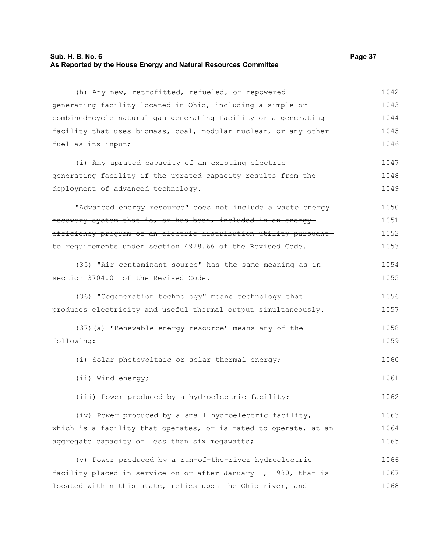## **Sub. H. B. No. 6 Page 37 As Reported by the House Energy and Natural Resources Committee**

(h) Any new, retrofitted, refueled, or repowered generating facility located in Ohio, including a simple or combined-cycle natural gas generating facility or a generating facility that uses biomass, coal, modular nuclear, or any other fuel as its input; (i) Any uprated capacity of an existing electric generating facility if the uprated capacity results from the deployment of advanced technology. "Advanced energy resource" does not include a waste energy

recovery system that is, or has been, included in an energy efficiency program of an electric distribution utility pursuant to requirements under section 4928.66 of the Revised Code. 1050 1051 1052 1053

(35) "Air contaminant source" has the same meaning as in section 3704.01 of the Revised Code. 1054 1055

(36) "Cogeneration technology" means technology that produces electricity and useful thermal output simultaneously. 1056 1057

```
(37)(a) "Renewable energy resource" means any of the
following: 
                                                                              1058
                                                                              1059
```
(i) Solar photovoltaic or solar thermal energy; 1060

(ii) Wind energy;

(iii) Power produced by a hydroelectric facility;

(iv) Power produced by a small hydroelectric facility, which is a facility that operates, or is rated to operate, at an aggregate capacity of less than six megawatts; 1063 1064 1065

(v) Power produced by a run-of-the-river hydroelectric facility placed in service on or after January 1, 1980, that is located within this state, relies upon the Ohio river, and 1066 1067 1068

1047 1048 1049

1061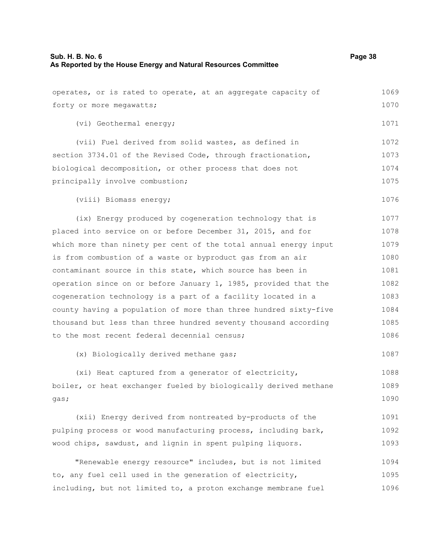| operates, or is rated to operate, at an aggregate capacity of    | 1069 |
|------------------------------------------------------------------|------|
| forty or more megawatts;                                         | 1070 |
| (vi) Geothermal energy;                                          | 1071 |
| (vii) Fuel derived from solid wastes, as defined in              | 1072 |
| section 3734.01 of the Revised Code, through fractionation,      | 1073 |
| biological decomposition, or other process that does not         | 1074 |
| principally involve combustion;                                  | 1075 |
| (viii) Biomass energy;                                           | 1076 |
| (ix) Energy produced by cogeneration technology that is          | 1077 |
| placed into service on or before December 31, 2015, and for      | 1078 |
| which more than ninety per cent of the total annual energy input | 1079 |
| is from combustion of a waste or byproduct gas from an air       | 1080 |
| contaminant source in this state, which source has been in       | 1081 |
| operation since on or before January 1, 1985, provided that the  | 1082 |
| cogeneration technology is a part of a facility located in a     | 1083 |
| county having a population of more than three hundred sixty-five | 1084 |
| thousand but less than three hundred seventy thousand according  | 1085 |
| to the most recent federal decennial census;                     | 1086 |
| (x) Biologically derived methane gas;                            | 1087 |
| (xi) Heat captured from a generator of electricity,              | 1088 |
| boiler, or heat exchanger fueled by biologically derived methane | 1089 |
| gas;                                                             | 1090 |
| (xii) Energy derived from nontreated by-products of the          | 1091 |
| pulping process or wood manufacturing process, including bark,   | 1092 |
| wood chips, sawdust, and lignin in spent pulping liquors.        | 1093 |
| "Renewable energy resource" includes, but is not limited         | 1094 |
| to, any fuel cell used in the generation of electricity,         | 1095 |
| including, but not limited to, a proton exchange membrane fuel   | 1096 |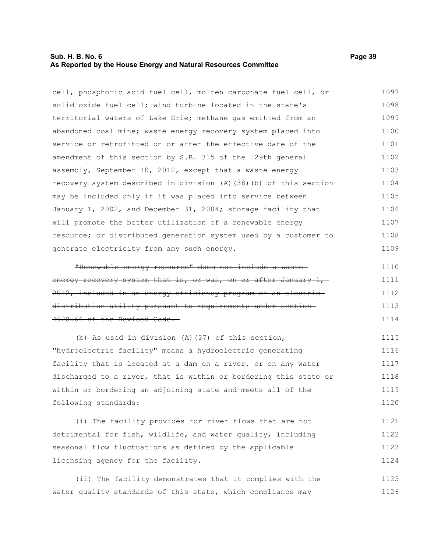### **Sub. H. B. No. 6 Page 39 As Reported by the House Energy and Natural Resources Committee**

cell, phosphoric acid fuel cell, molten carbonate fuel cell, or solid oxide fuel cell; wind turbine located in the state's territorial waters of Lake Erie; methane gas emitted from an abandoned coal mine; waste energy recovery system placed into service or retrofitted on or after the effective date of the amendment of this section by S.B. 315 of the 129th general assembly, September 10, 2012, except that a waste energy recovery system described in division (A)(38)(b) of this section may be included only if it was placed into service between January 1, 2002, and December 31, 2004; storage facility that will promote the better utilization of a renewable energy resource; or distributed generation system used by a customer to generate electricity from any such energy. 1097 1098 1099 1100 1101 1102 1103 1104 1105 1106 1107 1108 1109

"Renewable energy resource" does not include a waste energy recovery system that is, or was, on or after January 1, 2012, included in an energy efficiency program of an electric distribution utility pursuant to requirements under section 4928.66 of the Revised Code. 1110 1111 1112 1113 1114

(b) As used in division (A)(37) of this section, "hydroelectric facility" means a hydroelectric generating facility that is located at a dam on a river, or on any water discharged to a river, that is within or bordering this state or within or bordering an adjoining state and meets all of the following standards: 1115 1116 1117 1118 1119 1120

(i) The facility provides for river flows that are not detrimental for fish, wildlife, and water quality, including seasonal flow fluctuations as defined by the applicable licensing agency for the facility. 1121 1122 1123 1124

(ii) The facility demonstrates that it complies with the water quality standards of this state, which compliance may 1125 1126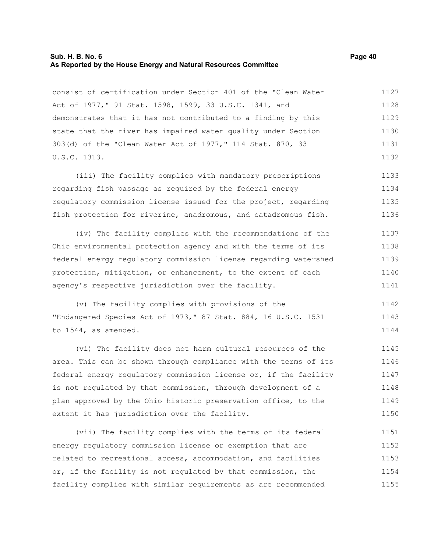#### **Sub. H. B. No. 6 Page 40 As Reported by the House Energy and Natural Resources Committee**

consist of certification under Section 401 of the "Clean Water Act of 1977," 91 Stat. 1598, 1599, 33 U.S.C. 1341, and demonstrates that it has not contributed to a finding by this state that the river has impaired water quality under Section 303(d) of the "Clean Water Act of 1977," 114 Stat. 870, 33 U.S.C. 1313. 1127 1128 1129 1130 1131 1132

(iii) The facility complies with mandatory prescriptions regarding fish passage as required by the federal energy regulatory commission license issued for the project, regarding fish protection for riverine, anadromous, and catadromous fish. 1133 1134 1135 1136

(iv) The facility complies with the recommendations of the Ohio environmental protection agency and with the terms of its federal energy regulatory commission license regarding watershed protection, mitigation, or enhancement, to the extent of each agency's respective jurisdiction over the facility. 1137 1138 1139 1140 1141

(v) The facility complies with provisions of the "Endangered Species Act of 1973," 87 Stat. 884, 16 U.S.C. 1531 to 1544, as amended. 1142 1143 1144

(vi) The facility does not harm cultural resources of the area. This can be shown through compliance with the terms of its federal energy regulatory commission license or, if the facility is not regulated by that commission, through development of a plan approved by the Ohio historic preservation office, to the extent it has jurisdiction over the facility. 1145 1146 1147 1148 1149 1150

(vii) The facility complies with the terms of its federal energy regulatory commission license or exemption that are related to recreational access, accommodation, and facilities or, if the facility is not regulated by that commission, the facility complies with similar requirements as are recommended 1151 1152 1153 1154 1155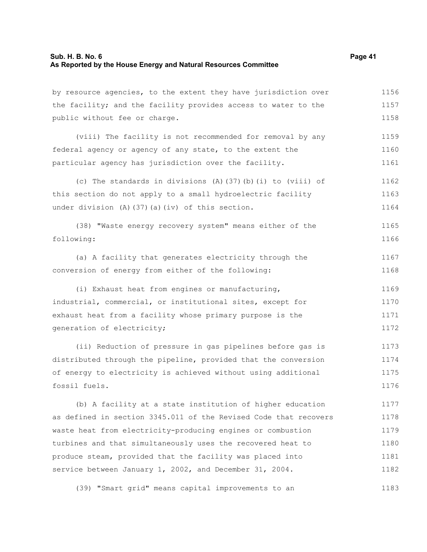| by resource agencies, to the extent they have jurisdiction over  | 1156 |
|------------------------------------------------------------------|------|
| the facility; and the facility provides access to water to the   | 1157 |
| public without fee or charge.                                    | 1158 |
| (viii) The facility is not recommended for removal by any        | 1159 |
| federal agency or agency of any state, to the extent the         | 1160 |
| particular agency has jurisdiction over the facility.            | 1161 |
| (c) The standards in divisions (A) (37) (b) (i) to (viii) of     | 1162 |
| this section do not apply to a small hydroelectric facility      | 1163 |
| under division (A) (37) (a) (iv) of this section.                | 1164 |
| (38) "Waste energy recovery system" means either of the          | 1165 |
| following:                                                       | 1166 |
| (a) A facility that generates electricity through the            | 1167 |
| conversion of energy from either of the following:               | 1168 |
| (i) Exhaust heat from engines or manufacturing,                  | 1169 |
| industrial, commercial, or institutional sites, except for       | 1170 |
| exhaust heat from a facility whose primary purpose is the        | 1171 |
| generation of electricity;                                       | 1172 |
| (ii) Reduction of pressure in gas pipelines before gas is        | 1173 |
| distributed through the pipeline, provided that the conversion   | 1174 |
| of energy to electricity is achieved without using additional    | 1175 |
| fossil fuels.                                                    | 1176 |
| (b) A facility at a state institution of higher education        | 1177 |
| as defined in section 3345.011 of the Revised Code that recovers | 1178 |
| waste heat from electricity-producing engines or combustion      | 1179 |
| turbines and that simultaneously uses the recovered heat to      | 1180 |
| produce steam, provided that the facility was placed into        | 1181 |
| service between January 1, 2002, and December 31, 2004.          | 1182 |
| (39) "Smart grid" means capital improvements to an               | 1183 |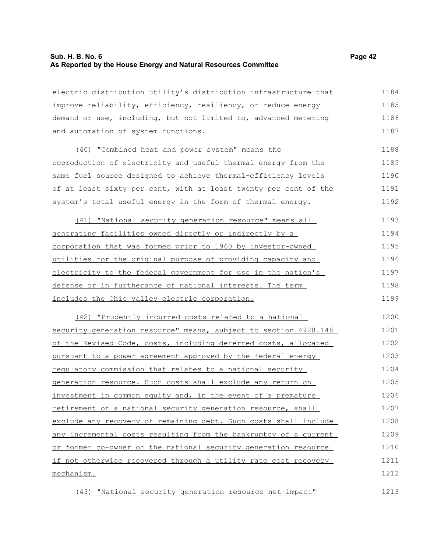## **Sub. H. B. No. 6 Page 42 As Reported by the House Energy and Natural Resources Committee**

electric distribution utility's distribution infrastructure that improve reliability, efficiency, resiliency, or reduce energy demand or use, including, but not limited to, advanced metering and automation of system functions. 1184 1185 1186 1187

(40) "Combined heat and power system" means the coproduction of electricity and useful thermal energy from the same fuel source designed to achieve thermal-efficiency levels of at least sixty per cent, with at least twenty per cent of the system's total useful energy in the form of thermal energy. 1188 1189 1190 1191 1192

(41) "National security generation resource" means all generating facilities owned directly or indirectly by a corporation that was formed prior to 1960 by investor-owned utilities for the original purpose of providing capacity and electricity to the federal government for use in the nation's defense or in furtherance of national interests. The term includes the Ohio valley electric corporation. 1193 1194 1195 1196 1197 1198 1199

(42) "Prudently incurred costs related to a national security generation resource" means, subject to section 4928.148 of the Revised Code, costs, including deferred costs, allocated pursuant to a power agreement approved by the federal energy regulatory commission that relates to a national security generation resource. Such costs shall exclude any return on investment in common equity and, in the event of a premature retirement of a national security generation resource, shall exclude any recovery of remaining debt. Such costs shall include any incremental costs resulting from the bankruptcy of a current or former co-owner of the national security generation resource if not otherwise recovered through a utility rate cost recovery mechanism. 1200 1201 1202 1203 1204 1205 1206 1207 1208 1209 1210 1211 1212

(43) "National security generation resource net impact"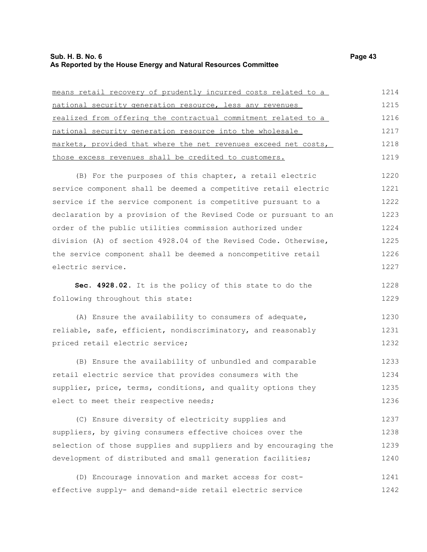#### **Sub. H. B. No. 6 Page 43 As Reported by the House Energy and Natural Resources Committee**

means retail recovery of prudently incurred costs related to a national security generation resource, less any revenues realized from offering the contractual commitment related to a national security generation resource into the wholesale markets, provided that where the net revenues exceed net costs, those excess revenues shall be credited to customers. (B) For the purposes of this chapter, a retail electric service component shall be deemed a competitive retail electric service if the service component is competitive pursuant to a declaration by a provision of the Revised Code or pursuant to an order of the public utilities commission authorized under division (A) of section 4928.04 of the Revised Code. Otherwise, the service component shall be deemed a noncompetitive retail electric service. 1214 1215 1216 1217 1218 1219 1220 1221 1222 1223 1224 1225 1226 1227

**Sec. 4928.02.** It is the policy of this state to do the following throughout this state:

(A) Ensure the availability to consumers of adequate, reliable, safe, efficient, nondiscriminatory, and reasonably priced retail electric service; 1230 1231 1232

(B) Ensure the availability of unbundled and comparable retail electric service that provides consumers with the supplier, price, terms, conditions, and quality options they elect to meet their respective needs; 1233 1234 1235 1236

(C) Ensure diversity of electricity supplies and suppliers, by giving consumers effective choices over the selection of those supplies and suppliers and by encouraging the development of distributed and small generation facilities; 1237 1238 1239 1240

(D) Encourage innovation and market access for costeffective supply- and demand-side retail electric service 1241 1242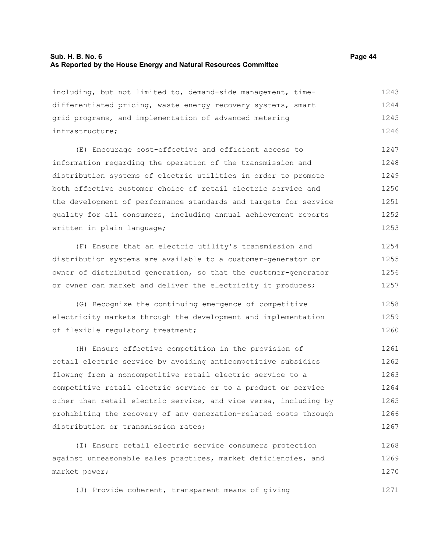## **Sub. H. B. No. 6 Page 44 As Reported by the House Energy and Natural Resources Committee**

1271

| including, but not limited to, demand-side management, time-     | 1243 |
|------------------------------------------------------------------|------|
| differentiated pricing, waste energy recovery systems, smart     | 1244 |
| grid programs, and implementation of advanced metering           | 1245 |
| infrastructure;                                                  | 1246 |
| (E) Encourage cost-effective and efficient access to             | 1247 |
| information regarding the operation of the transmission and      | 1248 |
| distribution systems of electric utilities in order to promote   | 1249 |
| both effective customer choice of retail electric service and    | 1250 |
| the development of performance standards and targets for service | 1251 |
| quality for all consumers, including annual achievement reports  | 1252 |
| written in plain language;                                       | 1253 |
| (F) Ensure that an electric utility's transmission and           | 1254 |
| distribution systems are available to a customer-generator or    | 1255 |
| owner of distributed generation, so that the customer-generator  | 1256 |
| or owner can market and deliver the electricity it produces;     | 1257 |
| (G) Recognize the continuing emergence of competitive            | 1258 |
| electricity markets through the development and implementation   | 1259 |
| of flexible regulatory treatment;                                | 1260 |
| (H) Ensure effective competition in the provision of             | 1261 |
| retail electric service by avoiding anticompetitive subsidies    | 1262 |
| flowing from a noncompetitive retail electric service to a       | 1263 |
| competitive retail electric service or to a product or service   | 1264 |

other than retail electric service, and vice versa, including by prohibiting the recovery of any generation-related costs through distribution or transmission rates; 1265 1266 1267

(I) Ensure retail electric service consumers protection against unreasonable sales practices, market deficiencies, and market power; 1268 1269 1270

(J) Provide coherent, transparent means of giving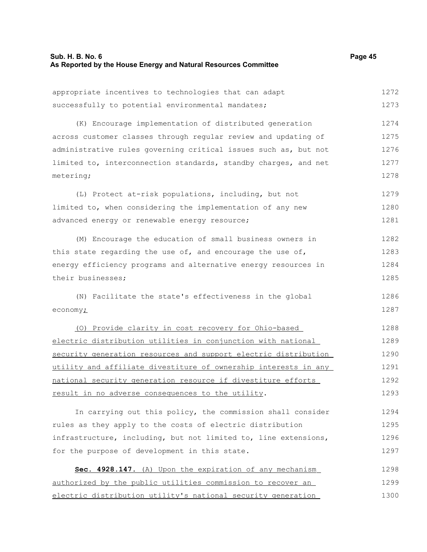| appropriate incentives to technologies that can adapt               | 1272 |
|---------------------------------------------------------------------|------|
| successfully to potential environmental mandates;                   | 1273 |
| (K) Encourage implementation of distributed generation              | 1274 |
| across customer classes through regular review and updating of      | 1275 |
| administrative rules governing critical issues such as, but not     | 1276 |
| limited to, interconnection standards, standby charges, and net     | 1277 |
| metering;                                                           | 1278 |
| (L) Protect at-risk populations, including, but not                 | 1279 |
| limited to, when considering the implementation of any new          | 1280 |
| advanced energy or renewable energy resource;                       | 1281 |
| (M) Encourage the education of small business owners in             | 1282 |
| this state regarding the use of, and encourage the use of,          | 1283 |
| energy efficiency programs and alternative energy resources in      | 1284 |
| their businesses;                                                   | 1285 |
| (N) Facilitate the state's effectiveness in the global              | 1286 |
| economy <sub>i</sub>                                                | 1287 |
| (0) Provide clarity in cost recovery for Ohio-based                 | 1288 |
| electric distribution utilities in conjunction with national        | 1289 |
| security generation resources and support electric distribution     | 1290 |
| utility and affiliate divestiture of ownership interests in any     | 1291 |
| national security generation resource if divestiture efforts        | 1292 |
| result in no adverse consequences to the utility.                   | 1293 |
| In carrying out this policy, the commission shall consider          | 1294 |
| rules as they apply to the costs of electric distribution           | 1295 |
| infrastructure, including, but not limited to, line extensions,     | 1296 |
| for the purpose of development in this state.                       | 1297 |
| Sec. 4928.147. (A) Upon the expiration of any mechanism             | 1298 |
| <u>authorized by the public utilities commission to recover an </u> | 1299 |
| <u>electric distribution utility's national security generation</u> | 1300 |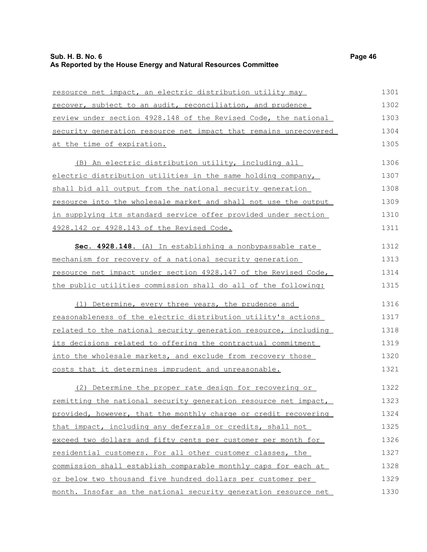| resource net impact, an electric distribution utility may        | 1301 |
|------------------------------------------------------------------|------|
| recover, subject to an audit, reconciliation, and prudence       | 1302 |
| review under section 4928.148 of the Revised Code, the national  | 1303 |
| security generation resource net impact that remains unrecovered | 1304 |
| at the time of expiration.                                       | 1305 |
| (B) An electric distribution utility, including all              | 1306 |
| electric distribution utilities in the same holding company,     | 1307 |
| shall bid all output from the national security generation       | 1308 |
| resource into the wholesale market and shall not use the output  | 1309 |
| in supplying its standard service offer provided under section   | 1310 |
| 4928.142 or 4928.143 of the Revised Code.                        | 1311 |
| Sec. 4928.148. (A) In establishing a nonbypassable rate          | 1312 |
| mechanism for recovery of a national security generation         | 1313 |
| resource net impact under section 4928.147 of the Revised Code,  | 1314 |
| the public utilities commission shall do all of the following:   | 1315 |
| (1) Determine, every three years, the prudence and               | 1316 |
| reasonableness of the electric distribution utility's actions    | 1317 |
| related to the national security generation resource, including  | 1318 |
| its decisions related to offering the contractual commitment     | 1319 |
| into the wholesale markets, and exclude from recovery those      | 1320 |
| costs that it determines imprudent and unreasonable.             | 1321 |
| (2) Determine the proper rate design for recovering or           | 1322 |
| remitting the national security generation resource net impact,  | 1323 |
| provided, however, that the monthly charge or credit recovering  | 1324 |
| that impact, including any deferrals or credits, shall not       | 1325 |
| exceed two dollars and fifty cents per customer per month for    | 1326 |
| residential customers. For all other customer classes, the       | 1327 |
| commission shall establish comparable monthly caps for each at   | 1328 |
| or below two thousand five hundred dollars per customer per      | 1329 |
| month. Insofar as the national security generation resource net  | 1330 |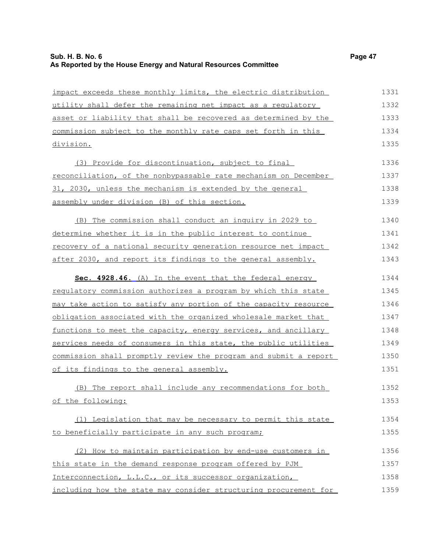impact exceeds these monthly limits, the electric distribution utility shall defer the remaining net impact as a regulatory asset or liability that shall be recovered as determined by the commission subject to the monthly rate caps set forth in this division. (3) Provide for discontinuation, subject to final reconciliation, of the nonbypassable rate mechanism on December 31, 2030, unless the mechanism is extended by the general assembly under division (B) of this section. (B) The commission shall conduct an inquiry in 2029 to determine whether it is in the public interest to continue recovery of a national security generation resource net impact after 2030, and report its findings to the general assembly. **Sec. 4928.46.** (A) In the event that the federal energy regulatory commission authorizes a program by which this state may take action to satisfy any portion of the capacity resource obligation associated with the organized wholesale market that functions to meet the capacity, energy services, and ancillary services needs of consumers in this state, the public utilities commission shall promptly review the program and submit a report of its findings to the general assembly. (B) The report shall include any recommendations for both of the following: (1) Legislation that may be necessary to permit this state to beneficially participate in any such program; (2) How to maintain participation by end-use customers in this state in the demand response program offered by PJM Interconnection, L.L.C., or its successor organization, including how the state may consider structuring procurement for 1331 1332 1333 1334 1335 1336 1337 1338 1339 1340 1341 1342 1343 1344 1345 1346 1347 1348 1349 1350 1351 1352 1353 1354 1355 1356 1357 1358 1359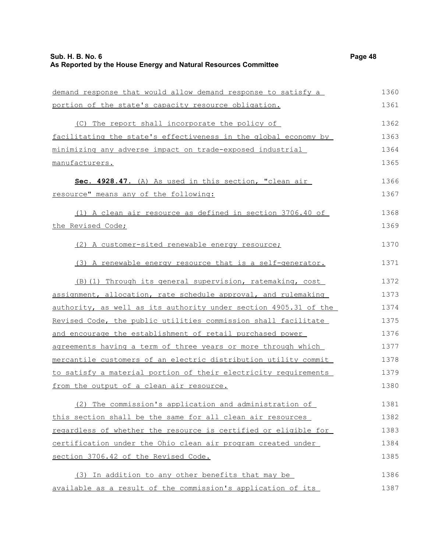| demand response that would allow demand response to satisfy a    | 1360 |
|------------------------------------------------------------------|------|
| portion of the state's capacity resource obligation.             | 1361 |
| (C) The report shall incorporate the policy of                   | 1362 |
| facilitating the state's effectiveness in the global economy by  | 1363 |
| minimizing any adverse impact on trade-exposed industrial        | 1364 |
| manufacturers.                                                   | 1365 |
| Sec. 4928.47. (A) As used in this section, "clean air            | 1366 |
| resource" means any of the following:                            | 1367 |
| (1) A clean air resource as defined in section 3706.40 of        | 1368 |
| the Revised Code;                                                | 1369 |
| (2) A customer-sited renewable energy resource;                  | 1370 |
| (3) A renewable energy resource that is a self-generator.        | 1371 |
| (B) (1) Through its general supervision, ratemaking, cost        | 1372 |
| assignment, allocation, rate schedule approval, and rulemaking   | 1373 |
| authority, as well as its authority under section 4905.31 of the | 1374 |
| Revised Code, the public utilities commission shall facilitate   | 1375 |
| and encourage the establishment of retail purchased power        | 1376 |
| agreements having a term of three years or more through which    | 1377 |
| mercantile customers of an electric distribution utility commit  | 1378 |
| to satisfy a material portion of their electricity requirements  | 1379 |
| from the output of a clean air resource.                         | 1380 |
| (2) The commission's application and administration of           | 1381 |
| this section shall be the same for all clean air resources       | 1382 |
| regardless of whether the resource is certified or eligible for  | 1383 |
| certification under the Ohio clean air program created under     | 1384 |
| section 3706.42 of the Revised Code.                             | 1385 |
| (3) In addition to any other benefits that may be                | 1386 |
| available as a result of the commission's application of its     | 1387 |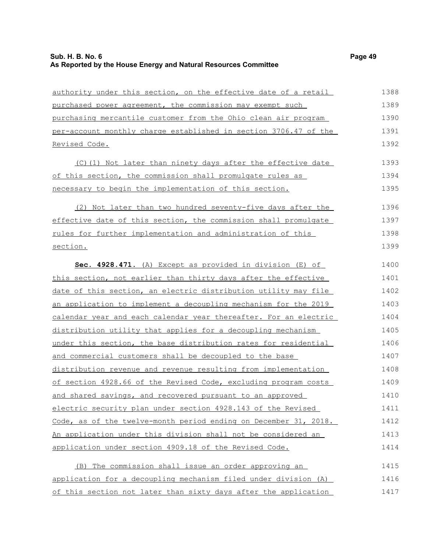# **Sub. H. B. No. 6 Page 49 As Reported by the House Energy and Natural Resources Committee**

| authority under this section, on the effective date of a retail  | 1388 |
|------------------------------------------------------------------|------|
| purchased power agreement, the commission may exempt such        | 1389 |
| purchasing mercantile customer from the Ohio clean air program   | 1390 |
| per-account monthly charge established in section 3706.47 of the | 1391 |
| <u>Revised Code.</u>                                             | 1392 |
| (C)(1) Not later than ninety days after the effective date       | 1393 |
| of this section, the commission shall promulgate rules as        | 1394 |
| necessary to begin the implementation of this section.           | 1395 |
| (2) Not later than two hundred seventy-five days after the       | 1396 |
| effective date of this section, the commission shall promulgate  | 1397 |
| rules for further implementation and administration of this      | 1398 |
| section.                                                         | 1399 |
| Sec. 4928.471. (A) Except as provided in division (E) of         | 1400 |
| this section, not earlier than thirty days after the effective   | 1401 |
| date of this section, an electric distribution utility may file  | 1402 |
| an application to implement a decoupling mechanism for the 2019  | 1403 |
| calendar year and each calendar year thereafter. For an electric | 1404 |
| distribution utility that applies for a decoupling mechanism     | 1405 |
| under this section, the base distribution rates for residential  | 1406 |
| and commercial customers shall be decoupled to the base          | 1407 |
| distribution revenue and revenue resulting from implementation   | 1408 |
| of section 4928.66 of the Revised Code, excluding program costs  | 1409 |
| and shared savings, and recovered pursuant to an approved        | 1410 |
| electric security plan under section 4928.143 of the Revised     | 1411 |
| Code, as of the twelve-month period ending on December 31, 2018. | 1412 |
| An application under this division shall not be considered an    | 1413 |
| application under section 4909.18 of the Revised Code.           | 1414 |
| (B) The commission shall issue an order approving an             | 1415 |
| application for a decoupling mechanism filed under division (A)  | 1416 |
| of this section not later than sixty days after the application  | 1417 |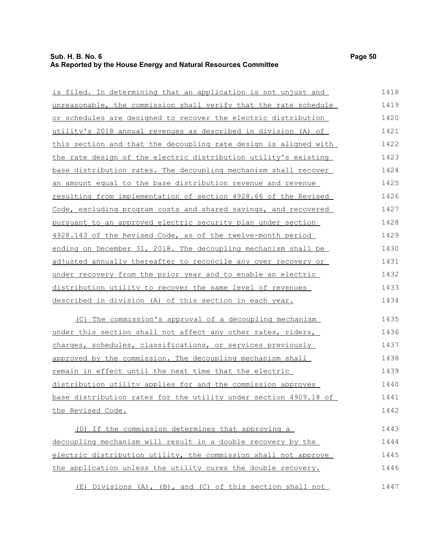## **Sub. H. B. No. 6 Page 50 As Reported by the House Energy and Natural Resources Committee**

| unreasonable, the commission shall verify that the rate schedule | 1419 |
|------------------------------------------------------------------|------|
| or schedules are designed to recover the electric distribution   | 1420 |
| utility's 2018 annual revenues as described in division (A) of   | 1421 |
| this section and that the decoupling rate design is aligned with | 1422 |
| the rate design of the electric distribution utility's existing  | 1423 |
| base distribution rates. The decoupling mechanism shall recover  | 1424 |
| an amount equal to the base distribution revenue and revenue     | 1425 |
| resulting from implementation of section 4928.66 of the Revised  | 1426 |
| Code, excluding program costs and shared savings, and recovered  | 1427 |
| pursuant to an approved electric security plan under section     | 1428 |
| 4928.143 of the Revised Code, as of the twelve-month period      | 1429 |
| ending on December 31, 2018. The decoupling mechanism shall be   | 1430 |
| adjusted annually thereafter to reconcile any over recovery or   | 1431 |
| under recovery from the prior year and to enable an electric     | 1432 |
| distribution utility to recover the same level of revenues       | 1433 |
| described in division (A) of this section in each year.          | 1434 |
|                                                                  |      |

(C) The commission's approval of a decoupling mechanism under this section shall not affect any other rates, riders, charges, schedules, classifications, or services previously approved by the commission. The decoupling mechanism shall remain in effect until the next time that the electric distribution utility applies for and the commission approves base distribution rates for the utility under section 4909.18 of the Revised Code. 1435 1436 1437 1438 1439 1440 1441 1442

(D) If the commission determines that approving a decoupling mechanism will result in a double recovery by the electric distribution utility, the commission shall not approve the application unless the utility cures the double recovery. 1443 1444 1445 1446

 (E) Divisions (A), (B), and (C) of this section shall not 1447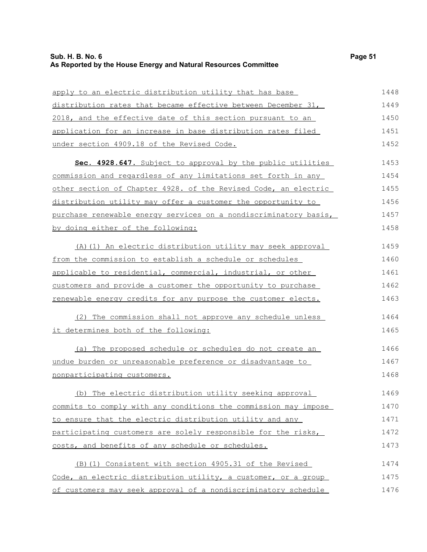# **Sub. H. B. No. 6 Page 51 As Reported by the House Energy and Natural Resources Committee**

| apply to an electric distribution utility that has base          | 1448 |
|------------------------------------------------------------------|------|
| distribution rates that became effective between December 31,    | 1449 |
| 2018, and the effective date of this section pursuant to an      | 1450 |
| application for an increase in base distribution rates filed     | 1451 |
| under section 4909.18 of the Revised Code.                       | 1452 |
| Sec. 4928.647. Subject to approval by the public utilities       | 1453 |
| commission and regardless of any limitations set forth in any    | 1454 |
| other section of Chapter 4928. of the Revised Code, an electric  | 1455 |
| distribution utility may offer a customer the opportunity to     | 1456 |
| purchase renewable energy services on a nondiscriminatory basis, | 1457 |
| by doing either of the following:                                | 1458 |
| (A) (1) An electric distribution utility may seek approval       | 1459 |
| from the commission to establish a schedule or schedules         | 1460 |
| applicable to residential, commercial, industrial, or other      | 1461 |
| customers and provide a customer the opportunity to purchase     | 1462 |
| renewable energy credits for any purpose the customer elects.    | 1463 |
| (2) The commission shall not approve any schedule unless         | 1464 |
| it determines both of the following:                             | 1465 |
| (a) The proposed schedule or schedules do not create an          | 1466 |
| undue burden or unreasonable preference or disadvantage to       | 1467 |
| nonparticipating customers.                                      | 1468 |
| (b) The electric distribution utility seeking approval           | 1469 |
| commits to comply with any conditions the commission may impose  | 1470 |
| to ensure that the electric distribution utility and any         | 1471 |
| participating customers are solely responsible for the risks,    | 1472 |
| costs, and benefits of any schedule or schedules.                | 1473 |
| (B) (1) Consistent with section 4905.31 of the Revised           | 1474 |
| Code, an electric distribution utility, a customer, or a group   | 1475 |
| of customers may seek approval of a nondiscriminatory schedule   | 1476 |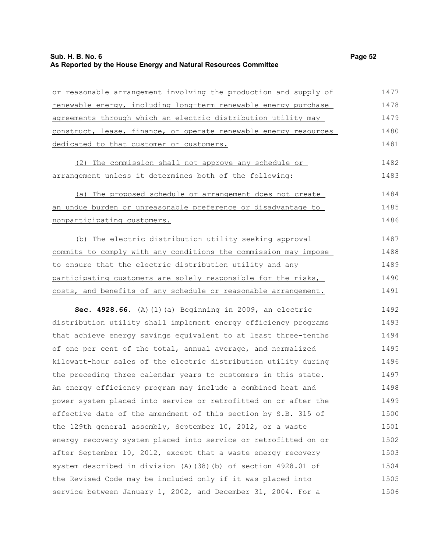# **Sub. H. B. No. 6 Page 52 As Reported by the House Energy and Natural Resources Committee**

| or reasonable arrangement involving the production and supply of | 1477 |
|------------------------------------------------------------------|------|
| renewable energy, including long-term renewable energy purchase  | 1478 |
| agreements through which an electric distribution utility may    | 1479 |
| construct, lease, finance, or operate renewable energy resources | 1480 |
| dedicated to that customer or customers.                         | 1481 |
| (2) The commission shall not approve any schedule or             | 1482 |
| arrangement unless it determines both of the following:          | 1483 |
| (a) The proposed schedule or arrangement does not create         | 1484 |
| an undue burden or unreasonable preference or disadvantage to    | 1485 |
| nonparticipating customers.                                      | 1486 |
| (b) The electric distribution utility seeking approval           | 1487 |
| commits to comply with any conditions the commission may impose  | 1488 |
| to ensure that the electric distribution utility and any         | 1489 |
| participating customers are solely responsible for the risks,    | 1490 |
| costs, and benefits of any schedule or reasonable arrangement.   | 1491 |
| Sec. 4928.66. (A) (1) (a) Beginning in 2009, an electric         | 1492 |
| distribution utility shall implement energy efficiency programs  | 1493 |
| that achieve energy savings equivalent to at least three-tenths  | 1494 |
| of one per cent of the total, annual average, and normalized     | 1495 |
| kilowatt-hour sales of the electric distribution utility during  | 1496 |
| the preceding three calendar years to customers in this state.   | 1497 |
| An energy efficiency program may include a combined heat and     | 1498 |
| power system placed into service or retrofitted on or after the  | 1499 |
| effective date of the amendment of this section by S.B. 315 of   | 1500 |
| the 129th general assembly, September 10, 2012, or a waste       | 1501 |
| energy recovery system placed into service or retrofitted on or  | 1502 |
| after September 10, 2012, except that a waste energy recovery    | 1503 |
| system described in division (A) (38) (b) of section 4928.01 of  | 1504 |
| the Revised Code may be included only if it was placed into      | 1505 |
| service between January 1, 2002, and December 31, 2004. For a    | 1506 |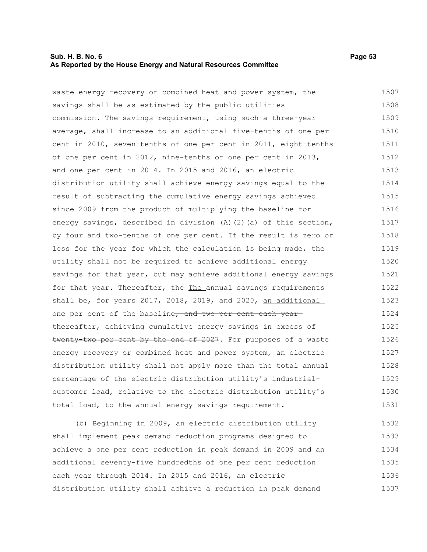## **Sub. H. B. No. 6 Page 53 As Reported by the House Energy and Natural Resources Committee**

waste energy recovery or combined heat and power system, the savings shall be as estimated by the public utilities commission. The savings requirement, using such a three-year average, shall increase to an additional five-tenths of one per cent in 2010, seven-tenths of one per cent in 2011, eight-tenths of one per cent in 2012, nine-tenths of one per cent in 2013, and one per cent in 2014. In 2015 and 2016, an electric distribution utility shall achieve energy savings equal to the result of subtracting the cumulative energy savings achieved since 2009 from the product of multiplying the baseline for energy savings, described in division (A)(2)(a) of this section, by four and two-tenths of one per cent. If the result is zero or less for the year for which the calculation is being made, the utility shall not be required to achieve additional energy savings for that year, but may achieve additional energy savings for that year. Thereafter, the The annual savings requirements shall be, for years 2017, 2018, 2019, and 2020, an additional one per cent of the baseline, and two per cent each yearthereafter, achieving cumulative energy savings in excess of twenty-two per cent by the end of 2027. For purposes of a waste energy recovery or combined heat and power system, an electric distribution utility shall not apply more than the total annual 1507 1508 1509 1510 1511 1512 1513 1514 1515 1516 1517 1518 1519 1520 1521 1522 1523 1524 1525 1526 1527 1528

percentage of the electric distribution utility's industrialcustomer load, relative to the electric distribution utility's total load, to the annual energy savings requirement. 1530 1531

(b) Beginning in 2009, an electric distribution utility shall implement peak demand reduction programs designed to achieve a one per cent reduction in peak demand in 2009 and an additional seventy-five hundredths of one per cent reduction each year through 2014. In 2015 and 2016, an electric distribution utility shall achieve a reduction in peak demand 1532 1533 1534 1535 1536 1537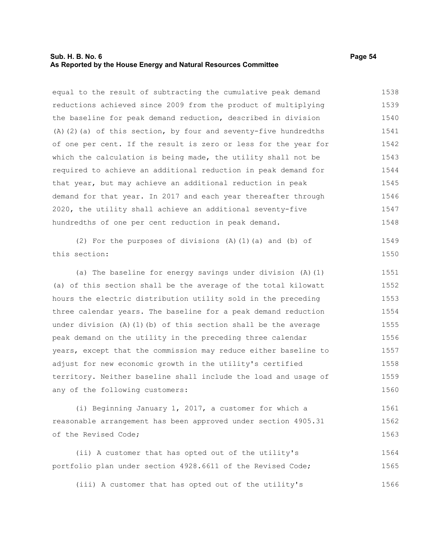### **Sub. H. B. No. 6 Page 54 As Reported by the House Energy and Natural Resources Committee**

equal to the result of subtracting the cumulative peak demand reductions achieved since 2009 from the product of multiplying the baseline for peak demand reduction, described in division (A)(2)(a) of this section, by four and seventy-five hundredths of one per cent. If the result is zero or less for the year for which the calculation is being made, the utility shall not be required to achieve an additional reduction in peak demand for that year, but may achieve an additional reduction in peak demand for that year. In 2017 and each year thereafter through 2020, the utility shall achieve an additional seventy-five hundredths of one per cent reduction in peak demand. 1538 1539 1540 1541 1542 1543 1544 1545 1546 1547 1548

(2) For the purposes of divisions (A)(1)(a) and (b) of this section:

(a) The baseline for energy savings under division (A)(1) (a) of this section shall be the average of the total kilowatt hours the electric distribution utility sold in the preceding three calendar years. The baseline for a peak demand reduction under division  $(A)$   $(1)$   $(b)$  of this section shall be the average peak demand on the utility in the preceding three calendar years, except that the commission may reduce either baseline to adjust for new economic growth in the utility's certified territory. Neither baseline shall include the load and usage of any of the following customers: 1551 1552 1553 1554 1555 1556 1557 1558 1559 1560

(i) Beginning January 1, 2017, a customer for which a reasonable arrangement has been approved under section 4905.31 of the Revised Code; 1561 1562 1563

(ii) A customer that has opted out of the utility's portfolio plan under section 4928.6611 of the Revised Code; 1564 1565

(iii) A customer that has opted out of the utility's 1566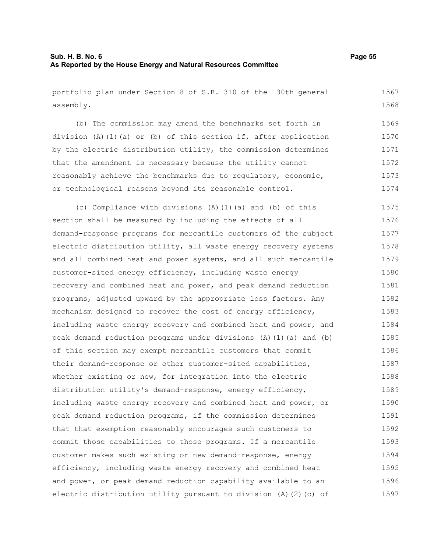portfolio plan under Section 8 of S.B. 310 of the 130th general assembly. 1567 1568

(b) The commission may amend the benchmarks set forth in division (A)(1)(a) or (b) of this section if, after application by the electric distribution utility, the commission determines that the amendment is necessary because the utility cannot reasonably achieve the benchmarks due to regulatory, economic, or technological reasons beyond its reasonable control. 1569 1570 1571 1572 1573 1574

(c) Compliance with divisions (A)(1)(a) and (b) of this section shall be measured by including the effects of all demand-response programs for mercantile customers of the subject electric distribution utility, all waste energy recovery systems and all combined heat and power systems, and all such mercantile customer-sited energy efficiency, including waste energy recovery and combined heat and power, and peak demand reduction programs, adjusted upward by the appropriate loss factors. Any mechanism designed to recover the cost of energy efficiency, including waste energy recovery and combined heat and power, and peak demand reduction programs under divisions (A)(1)(a) and (b) of this section may exempt mercantile customers that commit their demand-response or other customer-sited capabilities, whether existing or new, for integration into the electric distribution utility's demand-response, energy efficiency, including waste energy recovery and combined heat and power, or peak demand reduction programs, if the commission determines that that exemption reasonably encourages such customers to commit those capabilities to those programs. If a mercantile customer makes such existing or new demand-response, energy efficiency, including waste energy recovery and combined heat and power, or peak demand reduction capability available to an electric distribution utility pursuant to division (A)(2)(c) of 1575 1576 1577 1578 1579 1580 1581 1582 1583 1584 1585 1586 1587 1588 1589 1590 1591 1592 1593 1594 1595 1596 1597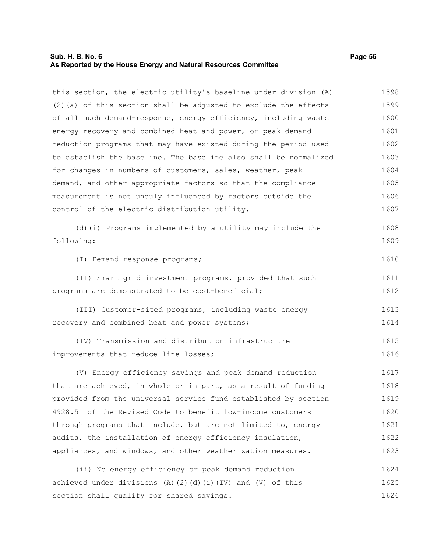#### **Sub. H. B. No. 6 Page 56 As Reported by the House Energy and Natural Resources Committee**

this section, the electric utility's baseline under division (A)  $(2)$  (a) of this section shall be adjusted to exclude the effects of all such demand-response, energy efficiency, including waste energy recovery and combined heat and power, or peak demand reduction programs that may have existed during the period used to establish the baseline. The baseline also shall be normalized for changes in numbers of customers, sales, weather, peak demand, and other appropriate factors so that the compliance measurement is not unduly influenced by factors outside the control of the electric distribution utility. 1598 1599 1600 1601 1602 1603 1604 1605 1606 1607

(d)(i) Programs implemented by a utility may include the following: 1608 1609

(I) Demand-response programs; 1610

(II) Smart grid investment programs, provided that such programs are demonstrated to be cost-beneficial; 1611 1612

(III) Customer-sited programs, including waste energy recovery and combined heat and power systems; 1613 1614

(IV) Transmission and distribution infrastructure improvements that reduce line losses; 1615 1616

(V) Energy efficiency savings and peak demand reduction that are achieved, in whole or in part, as a result of funding provided from the universal service fund established by section 4928.51 of the Revised Code to benefit low-income customers through programs that include, but are not limited to, energy audits, the installation of energy efficiency insulation, appliances, and windows, and other weatherization measures. 1617 1618 1619 1620 1621 1622 1623

(ii) No energy efficiency or peak demand reduction achieved under divisions (A)(2)(d)(i)(IV) and (V) of this section shall qualify for shared savings. 1624 1625 1626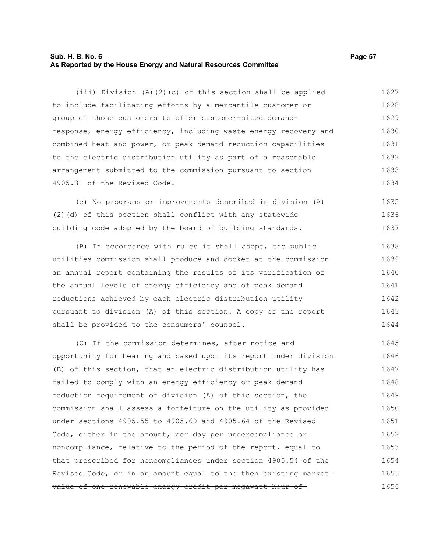## **Sub. H. B. No. 6 Page 57 As Reported by the House Energy and Natural Resources Committee**

(iii) Division (A)(2)(c) of this section shall be applied to include facilitating efforts by a mercantile customer or group of those customers to offer customer-sited demandresponse, energy efficiency, including waste energy recovery and combined heat and power, or peak demand reduction capabilities to the electric distribution utility as part of a reasonable arrangement submitted to the commission pursuant to section 4905.31 of the Revised Code. 1627 1628 1629 1630 1631 1632 1633 1634

(e) No programs or improvements described in division (A) (2)(d) of this section shall conflict with any statewide building code adopted by the board of building standards. 1635 1636 1637

(B) In accordance with rules it shall adopt, the public utilities commission shall produce and docket at the commission an annual report containing the results of its verification of the annual levels of energy efficiency and of peak demand reductions achieved by each electric distribution utility pursuant to division (A) of this section. A copy of the report shall be provided to the consumers' counsel. 1638 1639 1640 1641 1642 1643 1644

(C) If the commission determines, after notice and opportunity for hearing and based upon its report under division (B) of this section, that an electric distribution utility has failed to comply with an energy efficiency or peak demand reduction requirement of division (A) of this section, the commission shall assess a forfeiture on the utility as provided under sections 4905.55 to 4905.60 and 4905.64 of the Revised Code<del>, either</del> in the amount, per day per undercompliance or noncompliance, relative to the period of the report, equal to that prescribed for noncompliances under section 4905.54 of the Revised Code, or in an amount equal to the then existing market value of one renewable energy credit per megawatt hour of 1645 1646 1647 1648 1649 1650 1651 1652 1653 1654 1655 1656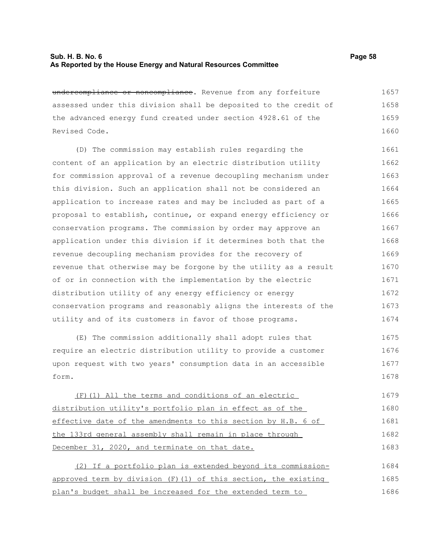## **Sub. H. B. No. 6 Page 58 As Reported by the House Energy and Natural Resources Committee**

| undercompliance or noncompliance. Revenue from any forfeiture    | 1657 |
|------------------------------------------------------------------|------|
| assessed under this division shall be deposited to the credit of | 1658 |
| the advanced energy fund created under section 4928.61 of the    | 1659 |
| Revised Code.                                                    | 1660 |
| (D) The commission may establish rules regarding the             | 1661 |
| content of an application by an electric distribution utility    | 1662 |
| for commission approval of a revenue decoupling mechanism under  | 1663 |
| this division. Such an application shall not be considered an    | 1664 |
| application to increase rates and may be included as part of a   | 1665 |
| proposal to establish, continue, or expand energy efficiency or  | 1666 |
| conservation programs. The commission by order may approve an    | 1667 |
| application under this division if it determines both that the   | 1668 |
| revenue decoupling mechanism provides for the recovery of        | 1669 |
| revenue that otherwise may be forgone by the utility as a result | 1670 |
| of or in connection with the implementation by the electric      | 1671 |
| distribution utility of any energy efficiency or energy          | 1672 |
| conservation programs and reasonably aligns the interests of the | 1673 |
| utility and of its customers in favor of those programs.         | 1674 |

(E) The commission additionally shall adopt rules that require an electric distribution utility to provide a customer upon request with two years' consumption data in an accessible form. 1675 1676 1677 1678

(F)(1) All the terms and conditions of an electric distribution utility's portfolio plan in effect as of the effective date of the amendments to this section by H.B. 6 of the 133rd general assembly shall remain in place through December 31, 2020, and terminate on that date. 1679 1680 1681 1682 1683

(2) If a portfolio plan is extended beyond its commissionapproved term by division (F)(1) of this section, the existing plan's budget shall be increased for the extended term to 1684 1685 1686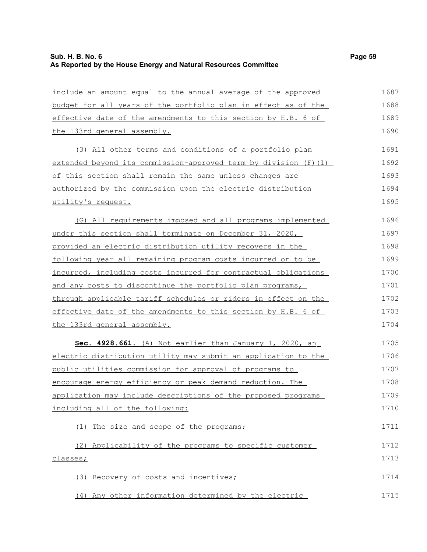| include an amount equal to the annual average of the approved    | 1687 |
|------------------------------------------------------------------|------|
| budget for all years of the portfolio plan in effect as of the   | 1688 |
| effective date of the amendments to this section by H.B. 6 of    | 1689 |
| the 133rd general assembly.                                      | 1690 |
| (3) All other terms and conditions of a portfolio plan           | 1691 |
| extended beyond its commission-approved term by division (F)(1)  | 1692 |
| of this section shall remain the same unless changes are         | 1693 |
| authorized by the commission upon the electric distribution      | 1694 |
| utility's request.                                               | 1695 |
| (G) All requirements imposed and all programs implemented        | 1696 |
| <u>under this section shall terminate on December 31, 2020, </u> | 1697 |
| provided an electric distribution utility recovers in the        | 1698 |
| following year all remaining program costs incurred or to be     | 1699 |
| incurred, including costs incurred for contractual obligations   | 1700 |
| and any costs to discontinue the portfolio plan programs,        | 1701 |
| through applicable tariff schedules or riders in effect on the   | 1702 |
| effective date of the amendments to this section by H.B. 6 of    | 1703 |
| <u>the 133rd general assembly.</u>                               | 1704 |
| Sec. 4928.661. (A) Not earlier than January 1, 2020, an          | 1705 |
| electric distribution utility may submit an application to the   | 1706 |
| public utilities commission for approval of programs to          | 1707 |
| encourage energy efficiency or peak demand reduction. The        | 1708 |
| application may include descriptions of the proposed programs    | 1709 |
| including all of the following:                                  | 1710 |
| (1) The size and scope of the programs;                          | 1711 |
| (2) Applicability of the programs to specific customer           | 1712 |
| classes;                                                         | 1713 |
| (3) Recovery of costs and incentives;                            | 1714 |
| (4) Any other information determined by the electric             | 1715 |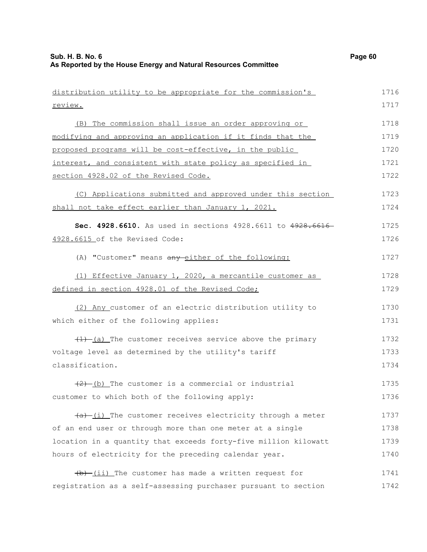| distribution utility to be appropriate for the commission's         | 1716 |
|---------------------------------------------------------------------|------|
| review.                                                             | 1717 |
| (B) The commission shall issue an order approving or                | 1718 |
| modifying and approving an application if it finds that the         | 1719 |
|                                                                     |      |
| proposed programs will be cost-effective, in the public             | 1720 |
| interest, and consistent with state policy as specified in          | 1721 |
| section 4928.02 of the Revised Code.                                | 1722 |
| (C) Applications submitted and approved under this section          | 1723 |
| shall not take effect earlier than January 1, 2021.                 | 1724 |
| Sec. 4928.6610. As used in sections 4928.6611 to 4928.6616-         | 1725 |
| 4928.6615 of the Revised Code:                                      | 1726 |
| (A) "Customer" means any either of the following:                   | 1727 |
| (1) Effective January 1, 2020, a mercantile customer as             | 1728 |
| defined in section 4928.01 of the Revised Code;                     | 1729 |
| (2) Any customer of an electric distribution utility to             | 1730 |
| which either of the following applies:                              | 1731 |
| $(1)$ $(1)$ The customer receives service above the primary         | 1732 |
| voltage level as determined by the utility's tariff                 | 1733 |
| classification.                                                     | 1734 |
| $(2)$ (b) The customer is a commercial or industrial                | 1735 |
| customer to which both of the following apply:                      | 1736 |
| $\frac{a}{b}$ (i) The customer receives electricity through a meter | 1737 |
| of an end user or through more than one meter at a single           | 1738 |
| location in a quantity that exceeds forty-five million kilowatt     | 1739 |
| hours of electricity for the preceding calendar year.               | 1740 |
| $\frac{1}{b}$ (ii) The customer has made a written request for      | 1741 |
| registration as a self-assessing purchaser pursuant to section      | 1742 |
|                                                                     |      |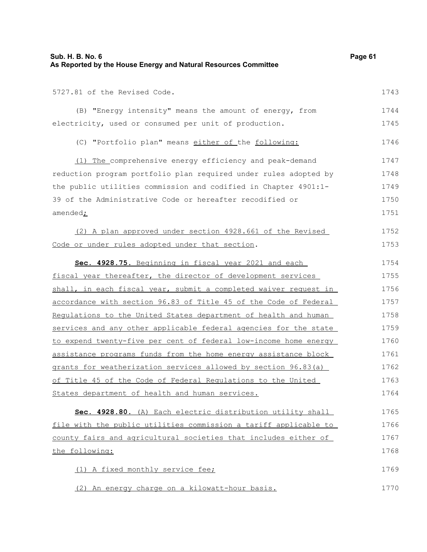| Sub. H. B. No. 6<br>As Reported by the House Energy and Natural Resources Committee | Page 61 |
|-------------------------------------------------------------------------------------|---------|
| 5727.81 of the Revised Code.                                                        | 1743    |
| (B) "Energy intensity" means the amount of energy, from                             | 1744    |
| electricity, used or consumed per unit of production.                               | 1745    |
| (C) "Portfolio plan" means either of the following:                                 | 1746    |
| (1) The comprehensive energy efficiency and peak-demand                             | 1747    |
| reduction program portfolio plan required under rules adopted by                    | 1748    |
| the public utilities commission and codified in Chapter 4901:1-                     | 1749    |
| 39 of the Administrative Code or hereafter recodified or                            | 1750    |
| amended <sub>i</sub>                                                                | 1751    |
| (2) A plan approved under section 4928.661 of the Revised                           | 1752    |
| Code or under rules adopted under that section.                                     | 1753    |
| Sec. 4928.75. Beginning in fiscal year 2021 and each                                | 1754    |
| fiscal year thereafter, the director of development services                        | 1755    |
| shall, in each fiscal year, submit a completed waiver request in                    | 1756    |
| accordance with section 96.83 of Title 45 of the Code of Federal                    | 1757    |
| Regulations to the United States department of health and human                     | 1758    |
| services and any other applicable federal agencies for the state                    | 1759    |
| to expend twenty-five per cent of federal low-income home energy                    | 1760    |
| assistance programs funds from the home energy assistance block                     | 1761    |
| grants for weatherization services allowed by section 96.83(a)                      | 1762    |
| of Title 45 of the Code of Federal Regulations to the United                        | 1763    |
| States department of health and human services.                                     | 1764    |
| Sec. 4928.80. (A) Each electric distribution utility shall                          | 1765    |
| file with the public utilities commission a tariff applicable to                    | 1766    |
| county fairs and agricultural societies that includes either of                     | 1767    |
| the following:                                                                      | 1768    |
| (1) A fixed monthly service fee;                                                    | 1769    |
| (2) An energy charge on a kilowatt-hour basis.                                      | 1770    |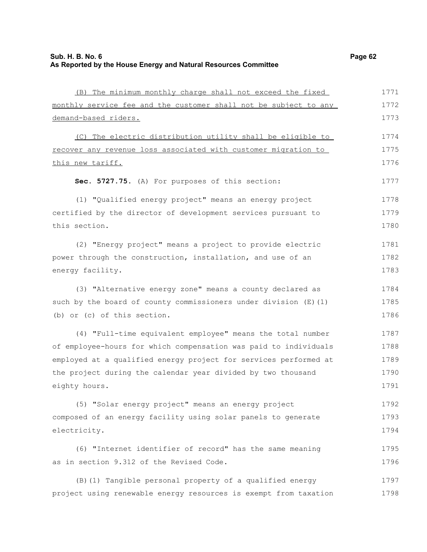| (B) The minimum monthly charge shall not exceed the fixed        | 1771 |
|------------------------------------------------------------------|------|
| monthly service fee and the customer shall not be subject to any | 1772 |
| demand-based riders.                                             | 1773 |
| (C) The electric distribution utility shall be eligible to       | 1774 |
| recover any revenue loss associated with customer migration to   | 1775 |
| <u>this new tariff.</u>                                          | 1776 |
| Sec. 5727.75. (A) For purposes of this section:                  | 1777 |
| (1) "Qualified energy project" means an energy project           | 1778 |
| certified by the director of development services pursuant to    | 1779 |
| this section.                                                    | 1780 |
| (2) "Energy project" means a project to provide electric         | 1781 |
| power through the construction, installation, and use of an      | 1782 |
| energy facility.                                                 | 1783 |
| (3) "Alternative energy zone" means a county declared as         | 1784 |
| such by the board of county commissioners under division (E) (1) | 1785 |
| (b) or (c) of this section.                                      | 1786 |
| (4) "Full-time equivalent employee" means the total number       | 1787 |
| of employee-hours for which compensation was paid to individuals | 1788 |
| employed at a qualified energy project for services performed at | 1789 |
| the project during the calendar year divided by two thousand     | 1790 |
| eighty hours.                                                    | 1791 |
| (5) "Solar energy project" means an energy project               | 1792 |
| composed of an energy facility using solar panels to generate    | 1793 |
| electricity.                                                     | 1794 |
| (6) "Internet identifier of record" has the same meaning         | 1795 |
| as in section 9.312 of the Revised Code.                         | 1796 |
| (B) (1) Tangible personal property of a qualified energy         | 1797 |
| project using renewable energy resources is exempt from taxation | 1798 |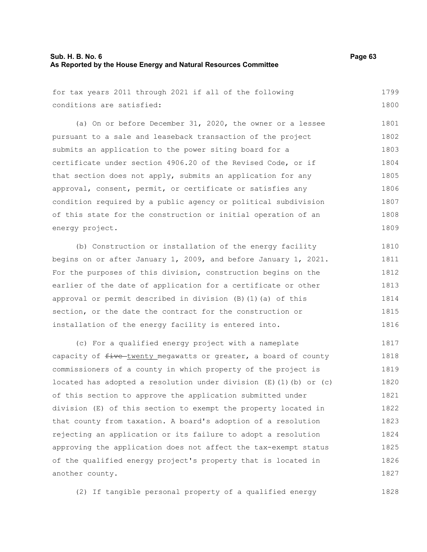|  |  |                           |  |  | for tax years 2011 through 2021 if all of the following | 1799 |
|--|--|---------------------------|--|--|---------------------------------------------------------|------|
|  |  | conditions are satisfied: |  |  |                                                         | 1800 |

(a) On or before December 31, 2020, the owner or a lessee pursuant to a sale and leaseback transaction of the project submits an application to the power siting board for a certificate under section 4906.20 of the Revised Code, or if that section does not apply, submits an application for any approval, consent, permit, or certificate or satisfies any condition required by a public agency or political subdivision of this state for the construction or initial operation of an energy project. 1801 1802 1803 1804 1805 1806 1807 1808 1809

(b) Construction or installation of the energy facility begins on or after January 1, 2009, and before January 1, 2021. For the purposes of this division, construction begins on the earlier of the date of application for a certificate or other approval or permit described in division (B)(1)(a) of this section, or the date the contract for the construction or installation of the energy facility is entered into. 1810 1811 1812 1813 1814 1815 1816

(c) For a qualified energy project with a nameplate capacity of  $f$ ive twenty megawatts or greater, a board of county commissioners of a county in which property of the project is located has adopted a resolution under division  $(E)$  (1)(b) or (c) of this section to approve the application submitted under division (E) of this section to exempt the property located in that county from taxation. A board's adoption of a resolution rejecting an application or its failure to adopt a resolution approving the application does not affect the tax-exempt status of the qualified energy project's property that is located in another county. 1817 1818 1819 1820 1821 1822 1823 1824 1825 1826 1827

(2) If tangible personal property of a qualified energy 1828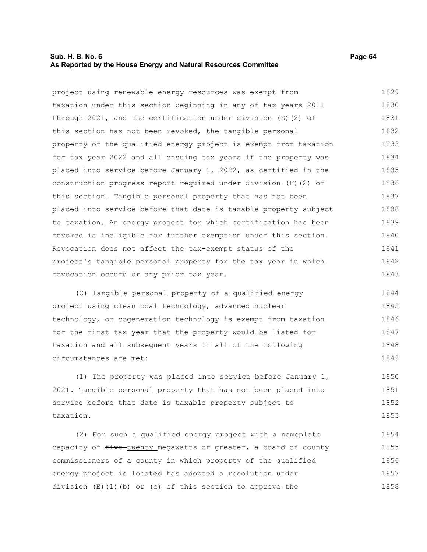## **Sub. H. B. No. 6 Page 64 As Reported by the House Energy and Natural Resources Committee**

project using renewable energy resources was exempt from taxation under this section beginning in any of tax years 2011 through 2021, and the certification under division (E)(2) of this section has not been revoked, the tangible personal property of the qualified energy project is exempt from taxation for tax year 2022 and all ensuing tax years if the property was placed into service before January 1, 2022, as certified in the construction progress report required under division (F)(2) of this section. Tangible personal property that has not been placed into service before that date is taxable property subject to taxation. An energy project for which certification has been revoked is ineligible for further exemption under this section. Revocation does not affect the tax-exempt status of the project's tangible personal property for the tax year in which revocation occurs or any prior tax year. 1829 1830 1831 1832 1833 1834 1835 1836 1837 1838 1839 1840 1841 1842 1843

(C) Tangible personal property of a qualified energy project using clean coal technology, advanced nuclear technology, or cogeneration technology is exempt from taxation for the first tax year that the property would be listed for taxation and all subsequent years if all of the following circumstances are met: 1844 1845 1846 1847 1848 1849

(1) The property was placed into service before January 1, 2021. Tangible personal property that has not been placed into service before that date is taxable property subject to taxation. 1850 1851 1852 1853

(2) For such a qualified energy project with a nameplate capacity of  $f$ ive twenty megawatts or greater, a board of county commissioners of a county in which property of the qualified energy project is located has adopted a resolution under division (E)(1)(b) or (c) of this section to approve the 1854 1855 1856 1857 1858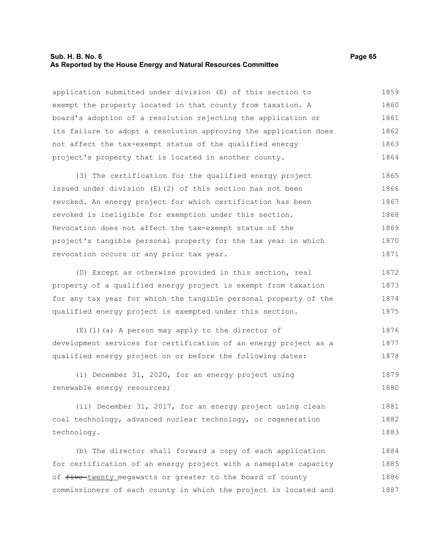#### **Sub. H. B. No. 6 Page 65 As Reported by the House Energy and Natural Resources Committee**

application submitted under division (E) of this section to exempt the property located in that county from taxation. A board's adoption of a resolution rejecting the application or its failure to adopt a resolution approving the application does not affect the tax-exempt status of the qualified energy project's property that is located in another county. 1859 1860 1861 1862 1863 1864

(3) The certification for the qualified energy project issued under division (E)(2) of this section has not been revoked. An energy project for which certification has been revoked is ineligible for exemption under this section. Revocation does not affect the tax-exempt status of the project's tangible personal property for the tax year in which revocation occurs or any prior tax year. 1865 1866 1867 1868 1869 1870 1871

(D) Except as otherwise provided in this section, real property of a qualified energy project is exempt from taxation for any tax year for which the tangible personal property of the qualified energy project is exempted under this section. 1872 1873 1874 1875

(E)(1)(a) A person may apply to the director of development services for certification of an energy project as a qualified energy project on or before the following dates: 1876 1877 1878

(i) December 31, 2020, for an energy project using renewable energy resources; 1879 1880

(ii) December 31, 2017, for an energy project using clean coal technology, advanced nuclear technology, or cogeneration technology. 1881 1882 1883

(b) The director shall forward a copy of each application for certification of an energy project with a nameplate capacity of five-twenty megawatts or greater to the board of county commissioners of each county in which the project is located and 1884 1885 1886 1887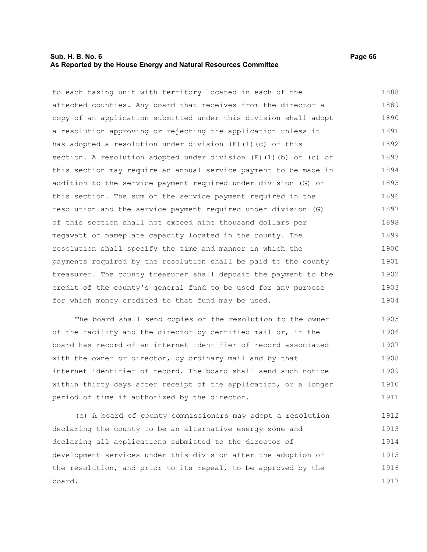### **Sub. H. B. No. 6 Page 66 As Reported by the House Energy and Natural Resources Committee**

to each taxing unit with territory located in each of the affected counties. Any board that receives from the director a copy of an application submitted under this division shall adopt a resolution approving or rejecting the application unless it has adopted a resolution under division (E)(1)(c) of this section. A resolution adopted under division (E)(1)(b) or (c) of this section may require an annual service payment to be made in addition to the service payment required under division (G) of this section. The sum of the service payment required in the resolution and the service payment required under division (G) of this section shall not exceed nine thousand dollars per megawatt of nameplate capacity located in the county. The resolution shall specify the time and manner in which the payments required by the resolution shall be paid to the county treasurer. The county treasurer shall deposit the payment to the credit of the county's general fund to be used for any purpose for which money credited to that fund may be used. 1888 1889 1890 1891 1892 1893 1894 1895 1896 1897 1898 1899 1900 1901 1902 1903 1904

The board shall send copies of the resolution to the owner of the facility and the director by certified mail or, if the board has record of an internet identifier of record associated with the owner or director, by ordinary mail and by that internet identifier of record. The board shall send such notice within thirty days after receipt of the application, or a longer period of time if authorized by the director. 1905 1906 1907 1908 1909 1910 1911

(c) A board of county commissioners may adopt a resolution declaring the county to be an alternative energy zone and declaring all applications submitted to the director of development services under this division after the adoption of the resolution, and prior to its repeal, to be approved by the board. 1912 1913 1914 1915 1916 1917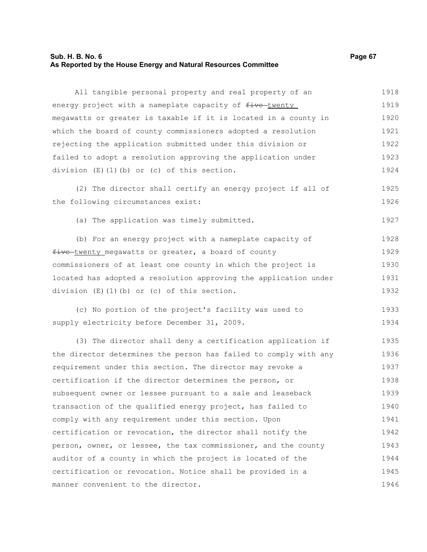#### **Sub. H. B. No. 6 Page 67 As Reported by the House Energy and Natural Resources Committee**

All tangible personal property and real property of an energy project with a nameplate capacity of  $f$ ive-twenty megawatts or greater is taxable if it is located in a county in which the board of county commissioners adopted a resolution rejecting the application submitted under this division or failed to adopt a resolution approving the application under division (E)(1)(b) or (c) of this section. 1918 1919 1920 1921 1922 1923 1924

(2) The director shall certify an energy project if all of the following circumstances exist: 1925 1926

(a) The application was timely submitted.

(b) For an energy project with a nameplate capacity of five twenty megawatts or greater, a board of county commissioners of at least one county in which the project is located has adopted a resolution approving the application under division (E)(1)(b) or (c) of this section. 1928 1929 1930 1931 1932

(c) No portion of the project's facility was used to supply electricity before December 31, 2009. 1933 1934

(3) The director shall deny a certification application if the director determines the person has failed to comply with any requirement under this section. The director may revoke a certification if the director determines the person, or subsequent owner or lessee pursuant to a sale and leaseback transaction of the qualified energy project, has failed to comply with any requirement under this section. Upon certification or revocation, the director shall notify the person, owner, or lessee, the tax commissioner, and the county auditor of a county in which the project is located of the certification or revocation. Notice shall be provided in a manner convenient to the director. 1935 1936 1937 1938 1939 1940 1941 1942 1943 1944 1945 1946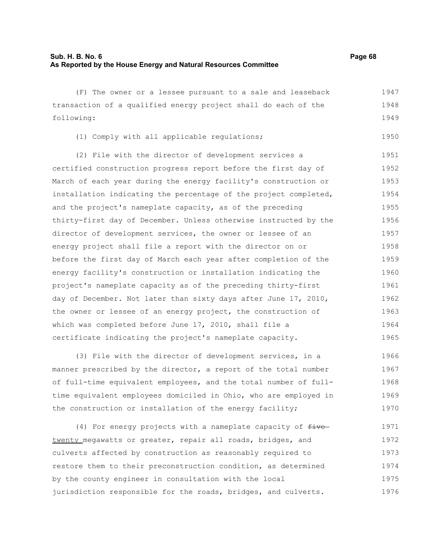| (F) The owner or a lessee pursuant to a sale and leaseback       | 1947 |
|------------------------------------------------------------------|------|
| transaction of a qualified energy project shall do each of the   | 1948 |
| following:                                                       | 1949 |
| (1) Comply with all applicable regulations;                      | 1950 |
| (2) File with the director of development services a             | 1951 |
| certified construction progress report before the first day of   | 1952 |
| March of each year during the energy facility's construction or  | 1953 |
| installation indicating the percentage of the project completed, | 1954 |
| and the project's nameplate capacity, as of the preceding        | 1955 |
| thirty-first day of December. Unless otherwise instructed by the | 1956 |
| director of development services, the owner or lessee of an      | 1957 |
| energy project shall file a report with the director on or       | 1958 |
| before the first day of March each year after completion of the  | 1959 |
| energy facility's construction or installation indicating the    | 1960 |
| project's nameplate capacity as of the preceding thirty-first    | 1961 |
| day of December. Not later than sixty days after June 17, 2010,  | 1962 |
| the owner or lessee of an energy project, the construction of    | 1963 |
| which was completed before June 17, 2010, shall file a           | 1964 |
| certificate indicating the project's nameplate capacity.         | 1965 |
| (3) File with the director of development services, in a         | 1966 |

manner prescribed by the director, a report of the total number of full-time equivalent employees, and the total number of fulltime equivalent employees domiciled in Ohio, who are employed in the construction or installation of the energy facility; 1967 1968 1969 1970

(4) For energy projects with a nameplate capacity of  $f$ ive twenty megawatts or greater, repair all roads, bridges, and culverts affected by construction as reasonably required to restore them to their preconstruction condition, as determined by the county engineer in consultation with the local jurisdiction responsible for the roads, bridges, and culverts. 1971 1972 1973 1974 1975 1976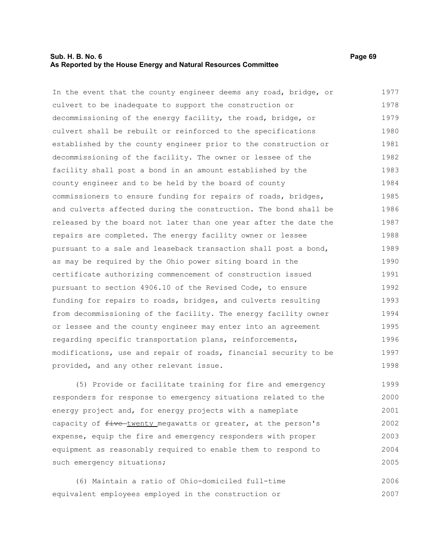### **Sub. H. B. No. 6 Page 69 As Reported by the House Energy and Natural Resources Committee**

In the event that the county engineer deems any road, bridge, or culvert to be inadequate to support the construction or decommissioning of the energy facility, the road, bridge, or culvert shall be rebuilt or reinforced to the specifications established by the county engineer prior to the construction or decommissioning of the facility. The owner or lessee of the facility shall post a bond in an amount established by the county engineer and to be held by the board of county commissioners to ensure funding for repairs of roads, bridges, and culverts affected during the construction. The bond shall be released by the board not later than one year after the date the repairs are completed. The energy facility owner or lessee pursuant to a sale and leaseback transaction shall post a bond, as may be required by the Ohio power siting board in the certificate authorizing commencement of construction issued pursuant to section 4906.10 of the Revised Code, to ensure funding for repairs to roads, bridges, and culverts resulting from decommissioning of the facility. The energy facility owner or lessee and the county engineer may enter into an agreement regarding specific transportation plans, reinforcements, modifications, use and repair of roads, financial security to be provided, and any other relevant issue. 1977 1978 1979 1980 1981 1982 1983 1984 1985 1986 1987 1988 1989 1990 1991 1992 1993 1994 1995 1996 1997 1998

(5) Provide or facilitate training for fire and emergency responders for response to emergency situations related to the energy project and, for energy projects with a nameplate capacity of  $f$ ive-twenty megawatts or greater, at the person's expense, equip the fire and emergency responders with proper equipment as reasonably required to enable them to respond to such emergency situations; 1999 2000 2001 2002 2003 2004 2005

(6) Maintain a ratio of Ohio-domiciled full-time equivalent employees employed in the construction or 2006 2007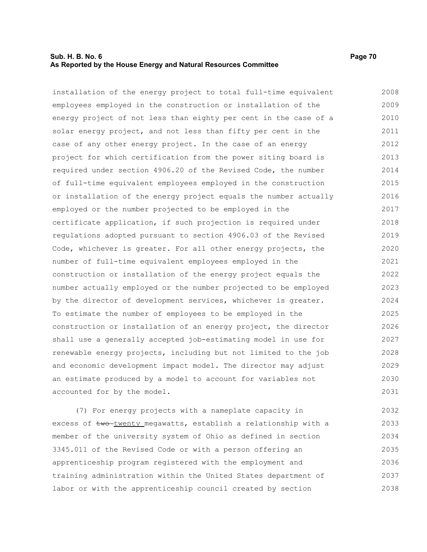## **Sub. H. B. No. 6 Page 70 As Reported by the House Energy and Natural Resources Committee**

installation of the energy project to total full-time equivalent employees employed in the construction or installation of the energy project of not less than eighty per cent in the case of a solar energy project, and not less than fifty per cent in the case of any other energy project. In the case of an energy project for which certification from the power siting board is required under section 4906.20 of the Revised Code, the number of full-time equivalent employees employed in the construction or installation of the energy project equals the number actually employed or the number projected to be employed in the certificate application, if such projection is required under regulations adopted pursuant to section 4906.03 of the Revised Code, whichever is greater. For all other energy projects, the number of full-time equivalent employees employed in the construction or installation of the energy project equals the number actually employed or the number projected to be employed by the director of development services, whichever is greater. To estimate the number of employees to be employed in the construction or installation of an energy project, the director shall use a generally accepted job-estimating model in use for renewable energy projects, including but not limited to the job and economic development impact model. The director may adjust an estimate produced by a model to account for variables not accounted for by the model. 2008 2009 2010 2011 2012 2013 2014 2015 2016 2017 2018 2019 2020 2021 2022 2023 2024 2025 2026 2027 2028 2029 2030 2031

(7) For energy projects with a nameplate capacity in excess of two-twenty megawatts, establish a relationship with a member of the university system of Ohio as defined in section 3345.011 of the Revised Code or with a person offering an apprenticeship program registered with the employment and training administration within the United States department of labor or with the apprenticeship council created by section 2032 2033 2034 2035 2036 2037 2038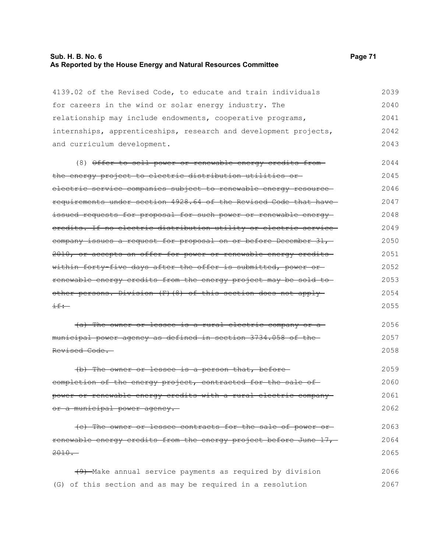# **Sub. H. B. No. 6 Page 71 As Reported by the House Energy and Natural Resources Committee**

| 4139.02 of the Revised Code, to educate and train individuals                | 2039 |
|------------------------------------------------------------------------------|------|
| for careers in the wind or solar energy industry. The                        | 2040 |
| relationship may include endowments, cooperative programs,                   | 2041 |
| internships, apprenticeships, research and development projects,             | 2042 |
| and curriculum development.                                                  | 2043 |
| (8) Offer to sell power or renewable energy credits from-                    | 2044 |
| the energy project to electric distribution utilities or-                    | 2045 |
| electric service companies subject to renewable energy resource-             | 2046 |
| requirements under section 4928.64 of the Revised Code that have             | 2047 |
| <del>issued requests for proposal for such power or renewable energy</del> - | 2048 |
| eredits. If no electric distribution utility or electric service             | 2049 |
| eompany issues a request for proposal on or before December 31,              | 2050 |
| 2010, or accepts an offer for power or renewable energy credits-             | 2051 |
| within forty five days after the offer is submitted, power or                | 2052 |
| renewable energy credits from the energy project may be sold to              | 2053 |
| other persons. Division (F) (8) of this section does not apply-              | 2054 |
| $\pm \pm \div$                                                               | 2055 |
| (a) The owner or lessee is a rural electric company or a                     | 2056 |
| municipal power agency as defined in section 3734.058 of the                 | 2057 |
| Revised Code.                                                                | 2058 |
| (b) The owner or lessee is a person that, before                             | 2059 |
| completion of the energy project, contracted for the sale of                 | 2060 |
| power or renewable energy credits with a rural electric company-             | 2061 |
| or a municipal power agency.                                                 | 2062 |
| (c) The owner or lessee contracts for the sale of power or-                  | 2063 |
| renewable energy credits from the energy project before June 17,             | 2064 |
| $2010 -$                                                                     | 2065 |
| (9) Make annual service payments as required by division                     | 2066 |
| (G) of this section and as may be required in a resolution                   | 2067 |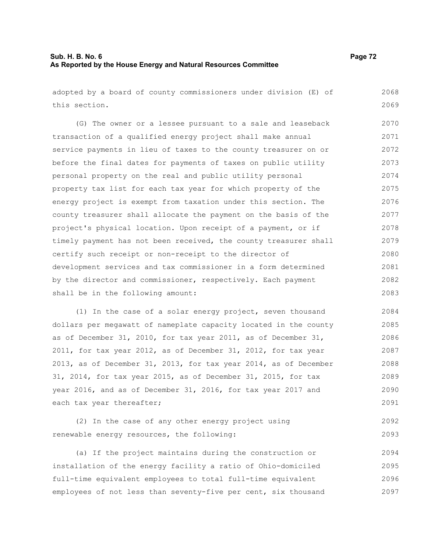## **Sub. H. B. No. 6 Page 72 As Reported by the House Energy and Natural Resources Committee**

adopted by a board of county commissioners under division (E) of this section.

(G) The owner or a lessee pursuant to a sale and leaseback transaction of a qualified energy project shall make annual service payments in lieu of taxes to the county treasurer on or before the final dates for payments of taxes on public utility personal property on the real and public utility personal property tax list for each tax year for which property of the energy project is exempt from taxation under this section. The county treasurer shall allocate the payment on the basis of the project's physical location. Upon receipt of a payment, or if timely payment has not been received, the county treasurer shall certify such receipt or non-receipt to the director of development services and tax commissioner in a form determined by the director and commissioner, respectively. Each payment shall be in the following amount: 2070 2071 2072 2073 2074 2075 2076 2077 2078 2079 2080 2081 2082 2083

(1) In the case of a solar energy project, seven thousand dollars per megawatt of nameplate capacity located in the county as of December 31, 2010, for tax year 2011, as of December 31, 2011, for tax year 2012, as of December 31, 2012, for tax year 2013, as of December 31, 2013, for tax year 2014, as of December 31, 2014, for tax year 2015, as of December 31, 2015, for tax year 2016, and as of December 31, 2016, for tax year 2017 and each tax year thereafter; 2084 2085 2086 2087 2088 2089 2090 2091

(2) In the case of any other energy project using renewable energy resources, the following: 2092 2093

(a) If the project maintains during the construction or installation of the energy facility a ratio of Ohio-domiciled full-time equivalent employees to total full-time equivalent employees of not less than seventy-five per cent, six thousand 2094 2095 2096 2097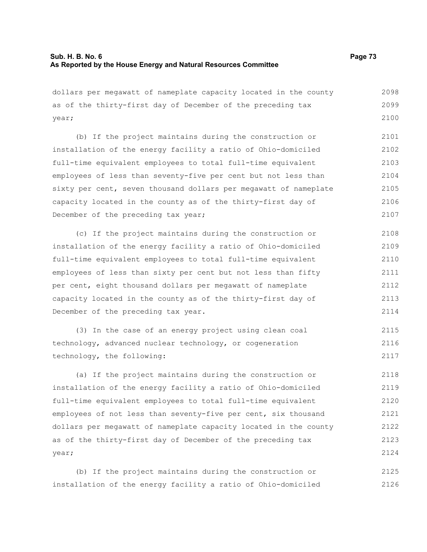dollars per megawatt of nameplate capacity located in the county as of the thirty-first day of December of the preceding tax year; (b) If the project maintains during the construction or installation of the energy facility a ratio of Ohio-domiciled full-time equivalent employees to total full-time equivalent employees of less than seventy-five per cent but not less than sixty per cent, seven thousand dollars per megawatt of nameplate capacity located in the county as of the thirty-first day of December of the preceding tax year; 2098 2099 2100 2101 2102 2103 2104 2105 2106 2107

(c) If the project maintains during the construction or installation of the energy facility a ratio of Ohio-domiciled full-time equivalent employees to total full-time equivalent employees of less than sixty per cent but not less than fifty per cent, eight thousand dollars per megawatt of nameplate capacity located in the county as of the thirty-first day of December of the preceding tax year. 2108 2109 2110 2111 2112 2113 2114

(3) In the case of an energy project using clean coal technology, advanced nuclear technology, or cogeneration technology, the following: 2115 2116 2117

(a) If the project maintains during the construction or installation of the energy facility a ratio of Ohio-domiciled full-time equivalent employees to total full-time equivalent employees of not less than seventy-five per cent, six thousand dollars per megawatt of nameplate capacity located in the county as of the thirty-first day of December of the preceding tax year; 2118 2119 2120 2121 2122 2123 2124

(b) If the project maintains during the construction or installation of the energy facility a ratio of Ohio-domiciled 2125 2126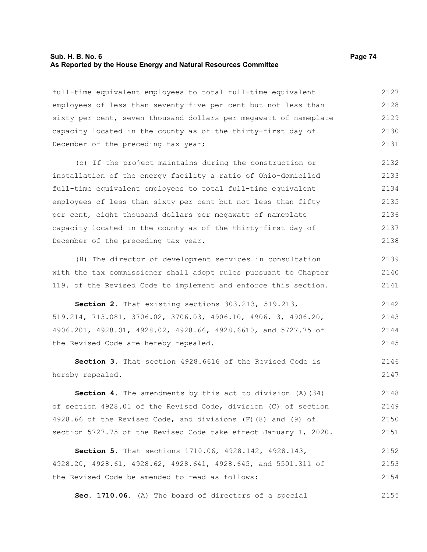#### **Sub. H. B. No. 6 Page 74 As Reported by the House Energy and Natural Resources Committee**

full-time equivalent employees to total full-time equivalent employees of less than seventy-five per cent but not less than sixty per cent, seven thousand dollars per megawatt of nameplate capacity located in the county as of the thirty-first day of December of the preceding tax year; 2127 2128 2129 2130 2131

(c) If the project maintains during the construction or installation of the energy facility a ratio of Ohio-domiciled full-time equivalent employees to total full-time equivalent employees of less than sixty per cent but not less than fifty per cent, eight thousand dollars per megawatt of nameplate capacity located in the county as of the thirty-first day of December of the preceding tax year. 2132 2133 2134 2135 2136 2137 2138

(H) The director of development services in consultation with the tax commissioner shall adopt rules pursuant to Chapter 119. of the Revised Code to implement and enforce this section. 2139 2140 2141

**Section 2.** That existing sections 303.213, 519.213, 519.214, 713.081, 3706.02, 3706.03, 4906.10, 4906.13, 4906.20, 4906.201, 4928.01, 4928.02, 4928.66, 4928.6610, and 5727.75 of the Revised Code are hereby repealed. 2142 2143 2144 2145

**Section 3.** That section 4928.6616 of the Revised Code is hereby repealed. 2146 2147

**Section 4.** The amendments by this act to division (A)(34) of section 4928.01 of the Revised Code, division (C) of section 4928.66 of the Revised Code, and divisions (F)(8) and (9) of section 5727.75 of the Revised Code take effect January 1, 2020. 2148 2149 2150 2151

**Section 5.** That sections 1710.06, 4928.142, 4928.143, 4928.20, 4928.61, 4928.62, 4928.641, 4928.645, and 5501.311 of the Revised Code be amended to read as follows: 2152 2153 2154

**Sec. 1710.06.** (A) The board of directors of a special 2155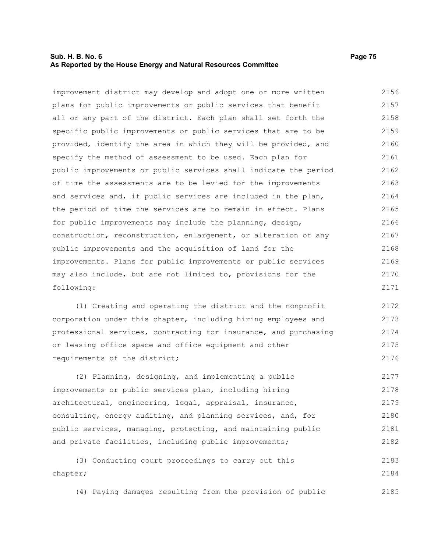## **Sub. H. B. No. 6 Page 75 As Reported by the House Energy and Natural Resources Committee**

improvement district may develop and adopt one or more written plans for public improvements or public services that benefit all or any part of the district. Each plan shall set forth the specific public improvements or public services that are to be provided, identify the area in which they will be provided, and specify the method of assessment to be used. Each plan for public improvements or public services shall indicate the period of time the assessments are to be levied for the improvements and services and, if public services are included in the plan, the period of time the services are to remain in effect. Plans for public improvements may include the planning, design, construction, reconstruction, enlargement, or alteration of any public improvements and the acquisition of land for the improvements. Plans for public improvements or public services may also include, but are not limited to, provisions for the following: 2156 2157 2158 2159 2160 2161 2162 2163 2164 2165 2166 2167 2168 2169 2170 2171

(1) Creating and operating the district and the nonprofit corporation under this chapter, including hiring employees and professional services, contracting for insurance, and purchasing or leasing office space and office equipment and other requirements of the district; 2172 2173 2174 2175 2176

(2) Planning, designing, and implementing a public improvements or public services plan, including hiring architectural, engineering, legal, appraisal, insurance, consulting, energy auditing, and planning services, and, for public services, managing, protecting, and maintaining public and private facilities, including public improvements; 2177 2178 2179 2180 2181 2182

(3) Conducting court proceedings to carry out this chapter; 2183 2184

(4) Paying damages resulting from the provision of public 2185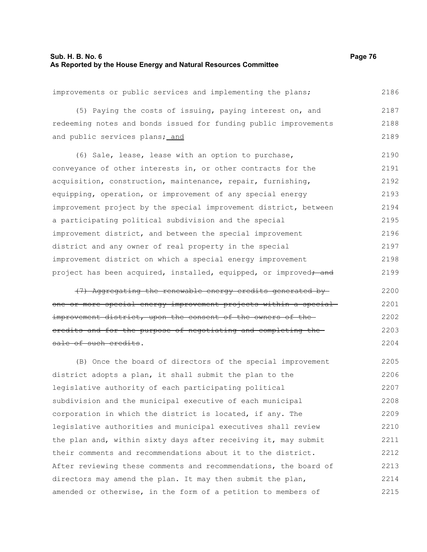## **Sub. H. B. No. 6 Page 76 As Reported by the House Energy and Natural Resources Committee**

| improvements or public services and implementing the plans;                  | 2186 |
|------------------------------------------------------------------------------|------|
| (5) Paying the costs of issuing, paying interest on, and                     | 2187 |
| redeeming notes and bonds issued for funding public improvements             | 2188 |
| and public services plans; and                                               | 2189 |
| (6) Sale, lease, lease with an option to purchase,                           | 2190 |
| conveyance of other interests in, or other contracts for the                 | 2191 |
| acquisition, construction, maintenance, repair, furnishing,                  | 2192 |
| equipping, operation, or improvement of any special energy                   | 2193 |
| improvement project by the special improvement district, between             | 2194 |
| a participating political subdivision and the special                        | 2195 |
| improvement district, and between the special improvement                    | 2196 |
| district and any owner of real property in the special                       | 2197 |
| improvement district on which a special energy improvement                   | 2198 |
| project has been acquired, installed, equipped, or improved <del>; and</del> | 2199 |
| Aggregating the renewable energy credits generated by                        | 2200 |
|                                                                              |      |

one or more special energy improvement projects within a special improvement district, upon the consent of the owners of the credits and for the purpose of negotiating and completing the sale of such credits. 2201 2202 2203 2204

(B) Once the board of directors of the special improvement district adopts a plan, it shall submit the plan to the legislative authority of each participating political subdivision and the municipal executive of each municipal corporation in which the district is located, if any. The legislative authorities and municipal executives shall review the plan and, within sixty days after receiving it, may submit their comments and recommendations about it to the district. After reviewing these comments and recommendations, the board of directors may amend the plan. It may then submit the plan, amended or otherwise, in the form of a petition to members of 2205 2206 2207 2208 2209 2210 2211 2212 2213 2214 2215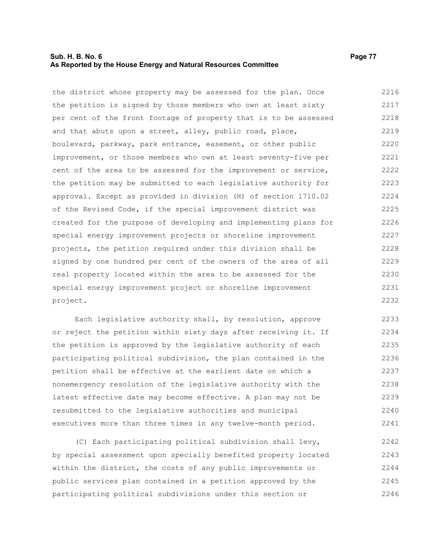## **Sub. H. B. No. 6 Page 77 As Reported by the House Energy and Natural Resources Committee**

the district whose property may be assessed for the plan. Once the petition is signed by those members who own at least sixty per cent of the front footage of property that is to be assessed and that abuts upon a street, alley, public road, place, boulevard, parkway, park entrance, easement, or other public improvement, or those members who own at least seventy-five per cent of the area to be assessed for the improvement or service, the petition may be submitted to each legislative authority for approval. Except as provided in division (H) of section 1710.02 of the Revised Code, if the special improvement district was created for the purpose of developing and implementing plans for special energy improvement projects or shoreline improvement projects, the petition required under this division shall be signed by one hundred per cent of the owners of the area of all real property located within the area to be assessed for the special energy improvement project or shoreline improvement project. 2216 2217 2218 2219 2220 2221 2222 2223 2224 2225 2226 2227 2228 2229 2230 2231 2232

Each legislative authority shall, by resolution, approve or reject the petition within sixty days after receiving it. If the petition is approved by the legislative authority of each participating political subdivision, the plan contained in the petition shall be effective at the earliest date on which a nonemergency resolution of the legislative authority with the latest effective date may become effective. A plan may not be resubmitted to the legislative authorities and municipal executives more than three times in any twelve-month period. 2233 2234 2235 2236 2237 2238 2239 2240 2241

(C) Each participating political subdivision shall levy, by special assessment upon specially benefited property located within the district, the costs of any public improvements or public services plan contained in a petition approved by the participating political subdivisions under this section or 2242 2243 2244 2245 2246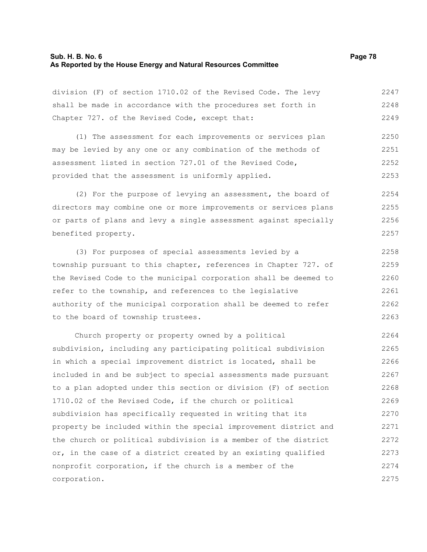#### **Sub. H. B. No. 6 Page 78 As Reported by the House Energy and Natural Resources Committee**

division (F) of section 1710.02 of the Revised Code. The levy shall be made in accordance with the procedures set forth in Chapter 727. of the Revised Code, except that: 2247 2248 2249

(1) The assessment for each improvements or services plan may be levied by any one or any combination of the methods of assessment listed in section 727.01 of the Revised Code, provided that the assessment is uniformly applied. 2250 2251 2252 2253

(2) For the purpose of levying an assessment, the board of directors may combine one or more improvements or services plans or parts of plans and levy a single assessment against specially benefited property. 2254 2255 2256 2257

(3) For purposes of special assessments levied by a township pursuant to this chapter, references in Chapter 727. of the Revised Code to the municipal corporation shall be deemed to refer to the township, and references to the legislative authority of the municipal corporation shall be deemed to refer to the board of township trustees. 2258 2259 2260 2261 2262 2263

Church property or property owned by a political subdivision, including any participating political subdivision in which a special improvement district is located, shall be included in and be subject to special assessments made pursuant to a plan adopted under this section or division (F) of section 1710.02 of the Revised Code, if the church or political subdivision has specifically requested in writing that its property be included within the special improvement district and the church or political subdivision is a member of the district or, in the case of a district created by an existing qualified nonprofit corporation, if the church is a member of the corporation. 2264 2265 2266 2267 2268 2269 2270 2271 2272 2273 2274 2275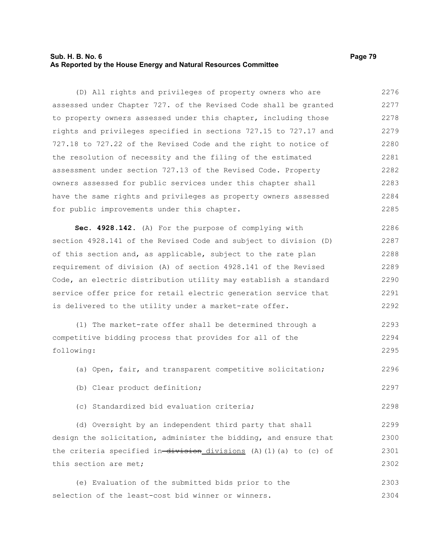## **Sub. H. B. No. 6 Page 79 As Reported by the House Energy and Natural Resources Committee**

(D) All rights and privileges of property owners who are assessed under Chapter 727. of the Revised Code shall be granted to property owners assessed under this chapter, including those rights and privileges specified in sections 727.15 to 727.17 and 727.18 to 727.22 of the Revised Code and the right to notice of the resolution of necessity and the filing of the estimated assessment under section 727.13 of the Revised Code. Property owners assessed for public services under this chapter shall have the same rights and privileges as property owners assessed for public improvements under this chapter. 2276 2277 2278 2279 2280 2281 2282 2283 2284 2285

**Sec. 4928.142.** (A) For the purpose of complying with section 4928.141 of the Revised Code and subject to division (D) of this section and, as applicable, subject to the rate plan requirement of division (A) of section 4928.141 of the Revised Code, an electric distribution utility may establish a standard service offer price for retail electric generation service that is delivered to the utility under a market-rate offer. 2286 2287 2288 2289 2290 2291 2292

(1) The market-rate offer shall be determined through a competitive bidding process that provides for all of the following: 2293 2294 2295

(a) Open, fair, and transparent competitive solicitation; 2296

- (b) Clear product definition;
- (c) Standardized bid evaluation criteria;

(d) Oversight by an independent third party that shall design the solicitation, administer the bidding, and ensure that the criteria specified in-division\_divisions (A)(1)(a) to (c) of this section are met; 2299 2300 2301 2302

(e) Evaluation of the submitted bids prior to the selection of the least-cost bid winner or winners. 2303 2304

2297

2298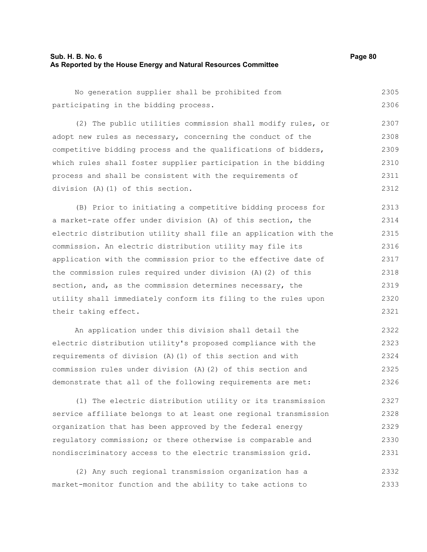| No generation supplier shall be prohibited from                  | 2305 |
|------------------------------------------------------------------|------|
| participating in the bidding process.                            | 2306 |
| (2) The public utilities commission shall modify rules, or       | 2307 |
| adopt new rules as necessary, concerning the conduct of the      | 2308 |
| competitive bidding process and the qualifications of bidders,   | 2309 |
| which rules shall foster supplier participation in the bidding   | 2310 |
| process and shall be consistent with the requirements of         | 2311 |
| division (A) (1) of this section.                                | 2312 |
| (B) Prior to initiating a competitive bidding process for        | 2313 |
| a market-rate offer under division (A) of this section, the      | 2314 |
| electric distribution utility shall file an application with the | 2315 |
| commission. An electric distribution utility may file its        | 2316 |
| application with the commission prior to the effective date of   | 2317 |
| the commission rules required under division (A)(2) of this      | 2318 |
| section, and, as the commission determines necessary, the        | 2319 |
| utility shall immediately conform its filing to the rules upon   | 2320 |
| their taking effect.                                             | 2321 |
| An application under this division shall detail the              | 2322 |
| electric distribution utility's proposed compliance with the     | 2323 |

requirements of division (A)(1) of this section and with commission rules under division (A)(2) of this section and demonstrate that all of the following requirements are met: 2324 2325 2326

(1) The electric distribution utility or its transmission service affiliate belongs to at least one regional transmission organization that has been approved by the federal energy regulatory commission; or there otherwise is comparable and nondiscriminatory access to the electric transmission grid. 2327 2328 2329 2330 2331

(2) Any such regional transmission organization has a market-monitor function and the ability to take actions to 2332 2333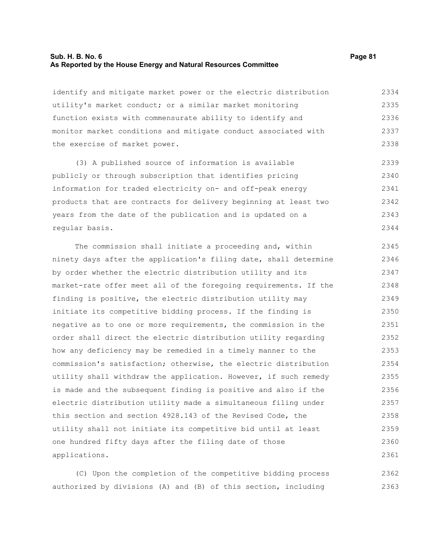#### **Sub. H. B. No. 6 Page 81 As Reported by the House Energy and Natural Resources Committee**

identify and mitigate market power or the electric distribution utility's market conduct; or a similar market monitoring function exists with commensurate ability to identify and monitor market conditions and mitigate conduct associated with the exercise of market power. 2334 2335 2336 2337 2338

(3) A published source of information is available publicly or through subscription that identifies pricing information for traded electricity on- and off-peak energy products that are contracts for delivery beginning at least two years from the date of the publication and is updated on a regular basis. 2339 2340 2341 2342 2343 2344

The commission shall initiate a proceeding and, within ninety days after the application's filing date, shall determine by order whether the electric distribution utility and its market-rate offer meet all of the foregoing requirements. If the finding is positive, the electric distribution utility may initiate its competitive bidding process. If the finding is negative as to one or more requirements, the commission in the order shall direct the electric distribution utility regarding how any deficiency may be remedied in a timely manner to the commission's satisfaction; otherwise, the electric distribution utility shall withdraw the application. However, if such remedy is made and the subsequent finding is positive and also if the electric distribution utility made a simultaneous filing under this section and section 4928.143 of the Revised Code, the utility shall not initiate its competitive bid until at least one hundred fifty days after the filing date of those applications. 2345 2346 2347 2348 2349 2350 2351 2352 2353 2354 2355 2356 2357 2358 2359 2360 2361

(C) Upon the completion of the competitive bidding process authorized by divisions (A) and (B) of this section, including 2362 2363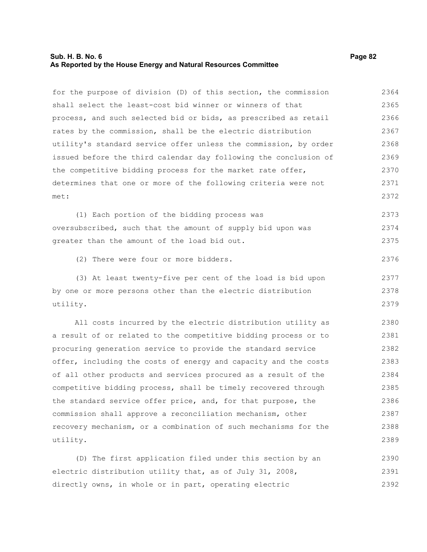## **Sub. H. B. No. 6 Page 82 As Reported by the House Energy and Natural Resources Committee**

| for the purpose of division (D) of this section, the commission  | 2364 |
|------------------------------------------------------------------|------|
| shall select the least-cost bid winner or winners of that        | 2365 |
| process, and such selected bid or bids, as prescribed as retail  | 2366 |
| rates by the commission, shall be the electric distribution      | 2367 |
| utility's standard service offer unless the commission, by order | 2368 |
| issued before the third calendar day following the conclusion of | 2369 |
| the competitive bidding process for the market rate offer,       | 2370 |
| determines that one or more of the following criteria were not   | 2371 |
| met:                                                             | 2372 |
| (1) Each portion of the bidding process was                      | 2373 |
| oversubscribed, such that the amount of supply bid upon was      | 2374 |
| greater than the amount of the load bid out.                     | 2375 |
| (2) There were four or more bidders.                             | 2376 |
| (3) At least twenty-five per cent of the load is bid upon        | 2377 |
| by one or more persons other than the electric distribution      | 2378 |
| utility.                                                         | 2379 |
| All costs incurred by the electric distribution utility as       | 2380 |
| a result of or related to the competitive bidding process or to  | 2381 |
| procuring generation service to provide the standard service     | 2382 |
| offer, including the costs of energy and capacity and the costs  | 2383 |
| of all other products and services procured as a result of the   | 2384 |
| competitive bidding process, shall be timely recovered through   | 2385 |
| the standard service offer price, and, for that purpose, the     | 2386 |
| commission shall approve a reconciliation mechanism, other       | 2387 |
| recovery mechanism, or a combination of such mechanisms for the  | 2388 |
| utility.                                                         | 2389 |
| (D) The first application filed under this section by an         | 2390 |
| electric distribution utility that, as of July 31, 2008,         | 2391 |
| directly owns, in whole or in part, operating electric           | 2392 |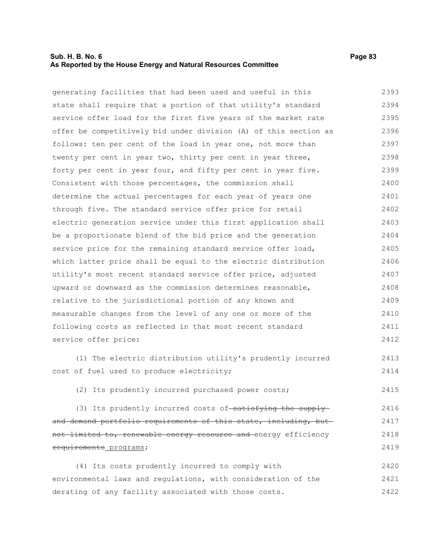## **Sub. H. B. No. 6 Page 83 As Reported by the House Energy and Natural Resources Committee**

generating facilities that had been used and useful in this state shall require that a portion of that utility's standard service offer load for the first five years of the market rate offer be competitively bid under division (A) of this section as follows: ten per cent of the load in year one, not more than twenty per cent in year two, thirty per cent in year three, forty per cent in year four, and fifty per cent in year five. Consistent with those percentages, the commission shall determine the actual percentages for each year of years one through five. The standard service offer price for retail electric generation service under this first application shall be a proportionate blend of the bid price and the generation service price for the remaining standard service offer load, which latter price shall be equal to the electric distribution utility's most recent standard service offer price, adjusted upward or downward as the commission determines reasonable, relative to the jurisdictional portion of any known and measurable changes from the level of any one or more of the following costs as reflected in that most recent standard service offer price: 2393 2394 2395 2396 2397 2398 2399 2400 2401 2402 2403 2404 2405 2406 2407 2408 2409 2410 2411 2412

(1) The electric distribution utility's prudently incurred cost of fuel used to produce electricity;

(2) Its prudently incurred purchased power costs;

(3) Its prudently incurred costs of satisfying the supply and demand portfolio requirements of this state, including, butnot limited to, renewable energy resource and energy efficiency requirements programs; 2416 2417 2418 2419

(4) Its costs prudently incurred to comply with environmental laws and regulations, with consideration of the derating of any facility associated with those costs. 2420 2421 2422

2413 2414

2415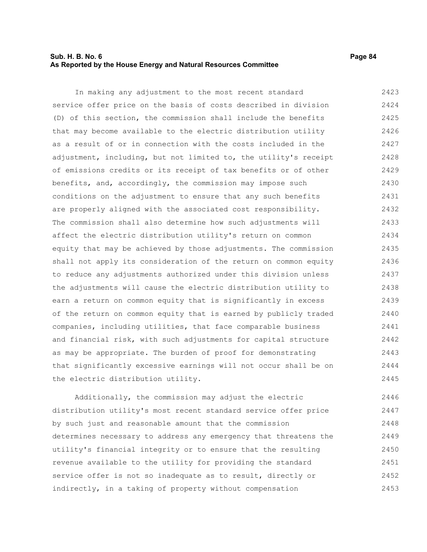## **Sub. H. B. No. 6 Page 84 As Reported by the House Energy and Natural Resources Committee**

In making any adjustment to the most recent standard service offer price on the basis of costs described in division (D) of this section, the commission shall include the benefits that may become available to the electric distribution utility as a result of or in connection with the costs included in the adjustment, including, but not limited to, the utility's receipt of emissions credits or its receipt of tax benefits or of other benefits, and, accordingly, the commission may impose such conditions on the adjustment to ensure that any such benefits are properly aligned with the associated cost responsibility. The commission shall also determine how such adjustments will affect the electric distribution utility's return on common equity that may be achieved by those adjustments. The commission shall not apply its consideration of the return on common equity to reduce any adjustments authorized under this division unless the adjustments will cause the electric distribution utility to earn a return on common equity that is significantly in excess of the return on common equity that is earned by publicly traded companies, including utilities, that face comparable business and financial risk, with such adjustments for capital structure as may be appropriate. The burden of proof for demonstrating that significantly excessive earnings will not occur shall be on the electric distribution utility. 2423 2424 2425 2426 2427 2428 2429 2430 2431 2432 2433 2434 2435 2436 2437 2438 2439 2440 2441 2442 2443 2444 2445

Additionally, the commission may adjust the electric distribution utility's most recent standard service offer price by such just and reasonable amount that the commission determines necessary to address any emergency that threatens the utility's financial integrity or to ensure that the resulting revenue available to the utility for providing the standard service offer is not so inadequate as to result, directly or indirectly, in a taking of property without compensation 2446 2447 2448 2449 2450 2451 2452 2453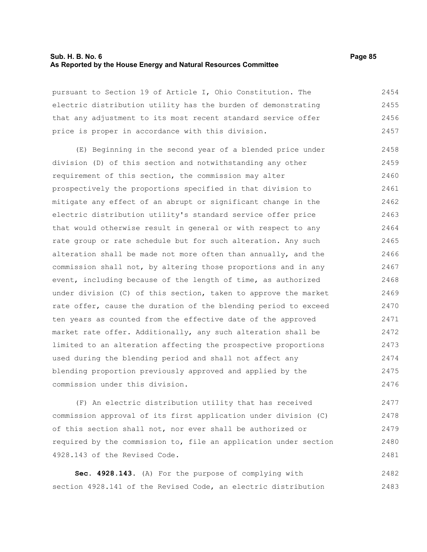## **Sub. H. B. No. 6 Page 85 As Reported by the House Energy and Natural Resources Committee**

pursuant to Section 19 of Article I, Ohio Constitution. The electric distribution utility has the burden of demonstrating that any adjustment to its most recent standard service offer price is proper in accordance with this division. 2454 2455 2456 2457

(E) Beginning in the second year of a blended price under division (D) of this section and notwithstanding any other requirement of this section, the commission may alter prospectively the proportions specified in that division to mitigate any effect of an abrupt or significant change in the electric distribution utility's standard service offer price that would otherwise result in general or with respect to any rate group or rate schedule but for such alteration. Any such alteration shall be made not more often than annually, and the commission shall not, by altering those proportions and in any event, including because of the length of time, as authorized under division (C) of this section, taken to approve the market rate offer, cause the duration of the blending period to exceed ten years as counted from the effective date of the approved market rate offer. Additionally, any such alteration shall be limited to an alteration affecting the prospective proportions used during the blending period and shall not affect any blending proportion previously approved and applied by the commission under this division. 2458 2459 2460 2461 2462 2463 2464 2465 2466 2467 2468 2469 2470 2471 2472 2473 2474 2475 2476

(F) An electric distribution utility that has received commission approval of its first application under division (C) of this section shall not, nor ever shall be authorized or required by the commission to, file an application under section 4928.143 of the Revised Code. 2477 2478 2479 2480 2481

**Sec. 4928.143.** (A) For the purpose of complying with section 4928.141 of the Revised Code, an electric distribution 2482 2483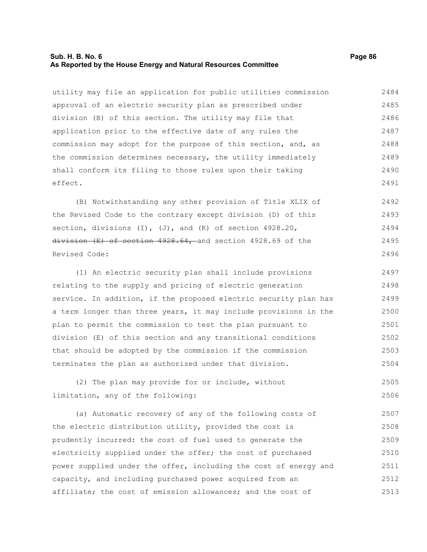## **Sub. H. B. No. 6 Page 86 As Reported by the House Energy and Natural Resources Committee**

utility may file an application for public utilities commission approval of an electric security plan as prescribed under division (B) of this section. The utility may file that application prior to the effective date of any rules the commission may adopt for the purpose of this section, and, as the commission determines necessary, the utility immediately shall conform its filing to those rules upon their taking effect. 2484 2485 2486 2487 2488 2489 2490 2491

(B) Notwithstanding any other provision of Title XLIX of the Revised Code to the contrary except division (D) of this section, divisions (I), (J), and (K) of section 4928.20, division (E) of section 4928.64, and section 4928.69 of the Revised Code: 2492 2493 2494 2495 2496

(1) An electric security plan shall include provisions relating to the supply and pricing of electric generation service. In addition, if the proposed electric security plan has a term longer than three years, it may include provisions in the plan to permit the commission to test the plan pursuant to division (E) of this section and any transitional conditions that should be adopted by the commission if the commission terminates the plan as authorized under that division. 2497 2498 2499 2500 2501 2502 2503 2504

(2) The plan may provide for or include, without limitation, any of the following: 2505 2506

(a) Automatic recovery of any of the following costs of the electric distribution utility, provided the cost is prudently incurred: the cost of fuel used to generate the electricity supplied under the offer; the cost of purchased power supplied under the offer, including the cost of energy and capacity, and including purchased power acquired from an affiliate; the cost of emission allowances; and the cost of 2507 2508 2509 2510 2511 2512 2513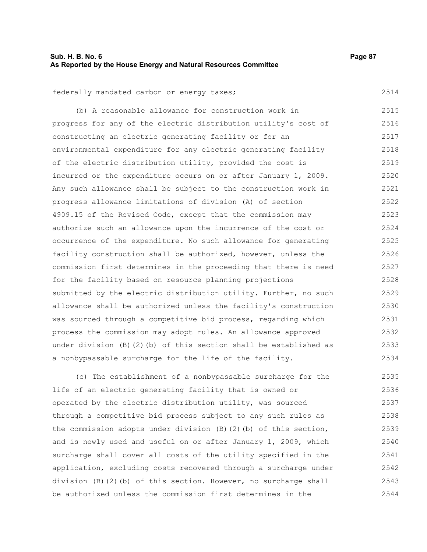2514

federally mandated carbon or energy taxes;

(b) A reasonable allowance for construction work in progress for any of the electric distribution utility's cost of constructing an electric generating facility or for an environmental expenditure for any electric generating facility of the electric distribution utility, provided the cost is incurred or the expenditure occurs on or after January 1, 2009. Any such allowance shall be subject to the construction work in progress allowance limitations of division (A) of section 4909.15 of the Revised Code, except that the commission may authorize such an allowance upon the incurrence of the cost or occurrence of the expenditure. No such allowance for generating facility construction shall be authorized, however, unless the commission first determines in the proceeding that there is need for the facility based on resource planning projections submitted by the electric distribution utility. Further, no such allowance shall be authorized unless the facility's construction was sourced through a competitive bid process, regarding which process the commission may adopt rules. An allowance approved under division (B)(2)(b) of this section shall be established as a nonbypassable surcharge for the life of the facility. 2515 2516 2517 2518 2519 2520 2521 2522 2523 2524 2525 2526 2527 2528 2529 2530 2531 2532 2533 2534

(c) The establishment of a nonbypassable surcharge for the life of an electric generating facility that is owned or operated by the electric distribution utility, was sourced through a competitive bid process subject to any such rules as the commission adopts under division (B)(2)(b) of this section, and is newly used and useful on or after January 1, 2009, which surcharge shall cover all costs of the utility specified in the application, excluding costs recovered through a surcharge under division (B)(2)(b) of this section. However, no surcharge shall be authorized unless the commission first determines in the 2535 2536 2537 2538 2539 2540 2541 2542 2543 2544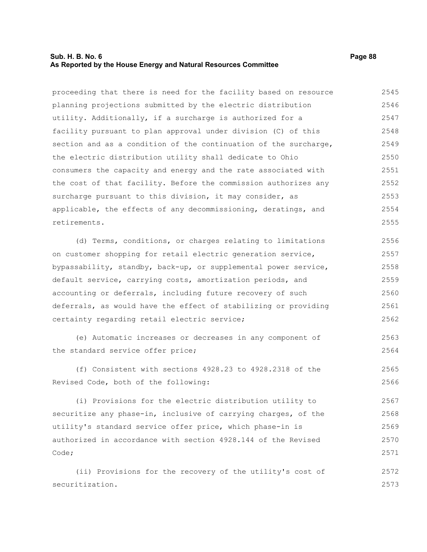## **Sub. H. B. No. 6 Page 88 As Reported by the House Energy and Natural Resources Committee**

proceeding that there is need for the facility based on resource planning projections submitted by the electric distribution utility. Additionally, if a surcharge is authorized for a facility pursuant to plan approval under division (C) of this section and as a condition of the continuation of the surcharge, the electric distribution utility shall dedicate to Ohio consumers the capacity and energy and the rate associated with the cost of that facility. Before the commission authorizes any surcharge pursuant to this division, it may consider, as applicable, the effects of any decommissioning, deratings, and retirements. 2545 2546 2547 2548 2549 2550 2551 2552 2553 2554 2555

(d) Terms, conditions, or charges relating to limitations on customer shopping for retail electric generation service, bypassability, standby, back-up, or supplemental power service, default service, carrying costs, amortization periods, and accounting or deferrals, including future recovery of such deferrals, as would have the effect of stabilizing or providing certainty regarding retail electric service; 2556 2557 2558 2559 2560 2561 2562

(e) Automatic increases or decreases in any component of the standard service offer price; 2563 2564

(f) Consistent with sections 4928.23 to 4928.2318 of the Revised Code, both of the following: 2565 2566

(i) Provisions for the electric distribution utility to securitize any phase-in, inclusive of carrying charges, of the utility's standard service offer price, which phase-in is authorized in accordance with section 4928.144 of the Revised Code; 2567 2568 2569 2570 2571

(ii) Provisions for the recovery of the utility's cost of securitization. 2572 2573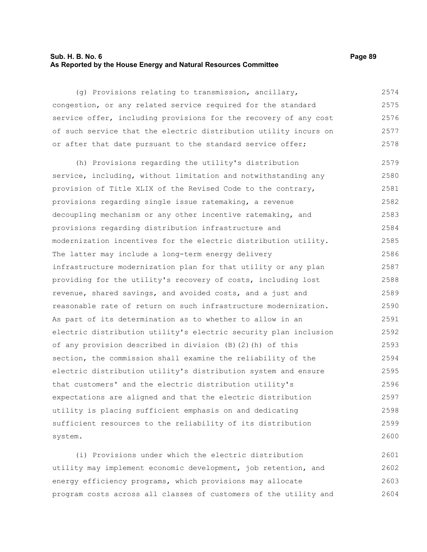## **Sub. H. B. No. 6 Page 89 As Reported by the House Energy and Natural Resources Committee**

(g) Provisions relating to transmission, ancillary, congestion, or any related service required for the standard service offer, including provisions for the recovery of any cost of such service that the electric distribution utility incurs on or after that date pursuant to the standard service offer; 2574 2575 2576 2577 2578

(h) Provisions regarding the utility's distribution service, including, without limitation and notwithstanding any provision of Title XLIX of the Revised Code to the contrary, provisions regarding single issue ratemaking, a revenue decoupling mechanism or any other incentive ratemaking, and provisions regarding distribution infrastructure and modernization incentives for the electric distribution utility. The latter may include a long-term energy delivery infrastructure modernization plan for that utility or any plan providing for the utility's recovery of costs, including lost revenue, shared savings, and avoided costs, and a just and reasonable rate of return on such infrastructure modernization. As part of its determination as to whether to allow in an electric distribution utility's electric security plan inclusion of any provision described in division (B)(2)(h) of this section, the commission shall examine the reliability of the electric distribution utility's distribution system and ensure that customers' and the electric distribution utility's expectations are aligned and that the electric distribution utility is placing sufficient emphasis on and dedicating sufficient resources to the reliability of its distribution system. 2579 2580 2581 2582 2583 2584 2585 2586 2587 2588 2589 2590 2591 2592 2593 2594 2595 2596 2597 2598 2599 2600

(i) Provisions under which the electric distribution utility may implement economic development, job retention, and energy efficiency programs, which provisions may allocate program costs across all classes of customers of the utility and 2601 2602 2603 2604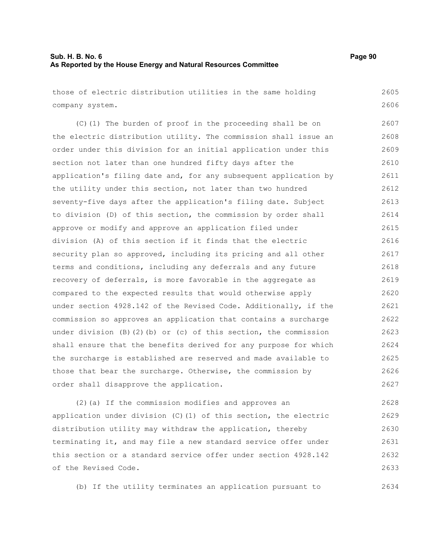| those of electric distribution utilities in the same holding              | 2605 |
|---------------------------------------------------------------------------|------|
| company system.                                                           | 2606 |
| (C)(1) The burden of proof in the proceeding shall be on                  | 2607 |
| the electric distribution utility. The commission shall issue an          | 2608 |
| order under this division for an initial application under this           | 2609 |
| section not later than one hundred fifty days after the                   | 2610 |
| application's filing date and, for any subsequent application by          | 2611 |
| the utility under this section, not later than two hundred                | 2612 |
| seventy-five days after the application's filing date. Subject            | 2613 |
| to division (D) of this section, the commission by order shall            | 2614 |
| approve or modify and approve an application filed under                  | 2615 |
| division (A) of this section if it finds that the electric                | 2616 |
| security plan so approved, including its pricing and all other            | 2617 |
| terms and conditions, including any deferrals and any future              | 2618 |
| recovery of deferrals, is more favorable in the aggregate as              | 2619 |
| compared to the expected results that would otherwise apply               | 2620 |
| under section 4928.142 of the Revised Code. Additionally, if the          | 2621 |
| commission so approves an application that contains a surcharge           | 2622 |
| under division $(B)$ $(2)$ $(b)$ or $(c)$ of this section, the commission | 2623 |
| shall ensure that the benefits derived for any purpose for which          | 2624 |
| the surcharge is established are reserved and made available to           | 2625 |
| those that bear the surcharge. Otherwise, the commission by               | 2626 |
| order shall disapprove the application.                                   | 2627 |
| (2) (a) If the commission modifies and approves an                        | 2628 |

application under division (C)(1) of this section, the electric distribution utility may withdraw the application, thereby terminating it, and may file a new standard service offer under this section or a standard service offer under section 4928.142 of the Revised Code. 2629 2630 2631 2632 2633

(b) If the utility terminates an application pursuant to

2634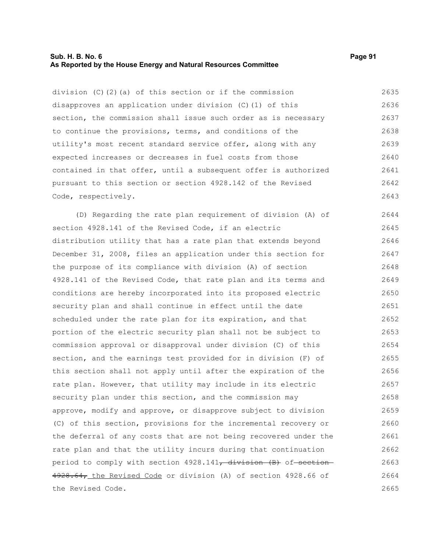#### **Sub. H. B. No. 6 Page 91 As Reported by the House Energy and Natural Resources Committee**

division (C)(2)(a) of this section or if the commission disapproves an application under division (C)(1) of this section, the commission shall issue such order as is necessary to continue the provisions, terms, and conditions of the utility's most recent standard service offer, along with any expected increases or decreases in fuel costs from those contained in that offer, until a subsequent offer is authorized pursuant to this section or section 4928.142 of the Revised Code, respectively. 2635 2636 2637 2638 2639 2640 2641 2642 2643

(D) Regarding the rate plan requirement of division (A) of section 4928.141 of the Revised Code, if an electric distribution utility that has a rate plan that extends beyond December 31, 2008, files an application under this section for the purpose of its compliance with division (A) of section 4928.141 of the Revised Code, that rate plan and its terms and conditions are hereby incorporated into its proposed electric security plan and shall continue in effect until the date scheduled under the rate plan for its expiration, and that portion of the electric security plan shall not be subject to commission approval or disapproval under division (C) of this section, and the earnings test provided for in division (F) of this section shall not apply until after the expiration of the rate plan. However, that utility may include in its electric security plan under this section, and the commission may approve, modify and approve, or disapprove subject to division (C) of this section, provisions for the incremental recovery or the deferral of any costs that are not being recovered under the rate plan and that the utility incurs during that continuation period to comply with section 4928.141<del>, division (B)</del> of section-4928.64, the Revised Code or division (A) of section 4928.66 of the Revised Code. 2644 2645 2646 2647 2648 2649 2650 2651 2652 2653 2654 2655 2656 2657 2658 2659 2660 2661 2662 2663 2664 2665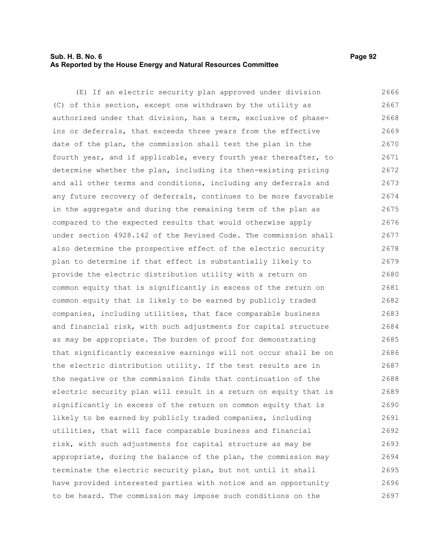## **Sub. H. B. No. 6 Page 92 As Reported by the House Energy and Natural Resources Committee**

(E) If an electric security plan approved under division (C) of this section, except one withdrawn by the utility as authorized under that division, has a term, exclusive of phaseins or deferrals, that exceeds three years from the effective date of the plan, the commission shall test the plan in the fourth year, and if applicable, every fourth year thereafter, to determine whether the plan, including its then-existing pricing and all other terms and conditions, including any deferrals and any future recovery of deferrals, continues to be more favorable in the aggregate and during the remaining term of the plan as compared to the expected results that would otherwise apply under section 4928.142 of the Revised Code. The commission shall also determine the prospective effect of the electric security plan to determine if that effect is substantially likely to provide the electric distribution utility with a return on common equity that is significantly in excess of the return on common equity that is likely to be earned by publicly traded companies, including utilities, that face comparable business and financial risk, with such adjustments for capital structure as may be appropriate. The burden of proof for demonstrating that significantly excessive earnings will not occur shall be on the electric distribution utility. If the test results are in the negative or the commission finds that continuation of the electric security plan will result in a return on equity that is significantly in excess of the return on common equity that is likely to be earned by publicly traded companies, including utilities, that will face comparable business and financial risk, with such adjustments for capital structure as may be appropriate, during the balance of the plan, the commission may terminate the electric security plan, but not until it shall have provided interested parties with notice and an opportunity to be heard. The commission may impose such conditions on the 2666 2667 2668 2669 2670 2671 2672 2673 2674 2675 2676 2677 2678 2679 2680 2681 2682 2683 2684 2685 2686 2687 2688 2689 2690 2691 2692 2693 2694 2695 2696 2697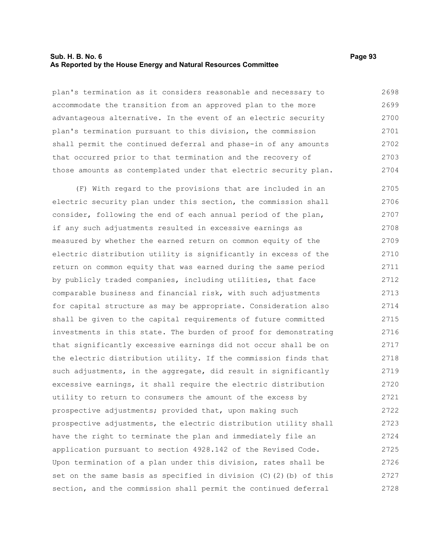## **Sub. H. B. No. 6 Page 93 As Reported by the House Energy and Natural Resources Committee**

plan's termination as it considers reasonable and necessary to accommodate the transition from an approved plan to the more advantageous alternative. In the event of an electric security plan's termination pursuant to this division, the commission shall permit the continued deferral and phase-in of any amounts that occurred prior to that termination and the recovery of those amounts as contemplated under that electric security plan. 2698 2699 2700 2701 2702 2703 2704

(F) With regard to the provisions that are included in an electric security plan under this section, the commission shall consider, following the end of each annual period of the plan, if any such adjustments resulted in excessive earnings as measured by whether the earned return on common equity of the electric distribution utility is significantly in excess of the return on common equity that was earned during the same period by publicly traded companies, including utilities, that face comparable business and financial risk, with such adjustments for capital structure as may be appropriate. Consideration also shall be given to the capital requirements of future committed investments in this state. The burden of proof for demonstrating that significantly excessive earnings did not occur shall be on the electric distribution utility. If the commission finds that such adjustments, in the aggregate, did result in significantly excessive earnings, it shall require the electric distribution utility to return to consumers the amount of the excess by prospective adjustments; provided that, upon making such prospective adjustments, the electric distribution utility shall have the right to terminate the plan and immediately file an application pursuant to section 4928.142 of the Revised Code. Upon termination of a plan under this division, rates shall be set on the same basis as specified in division  $(C)$   $(2)$   $(b)$  of this section, and the commission shall permit the continued deferral 2705 2706 2707 2708 2709 2710 2711 2712 2713 2714 2715 2716 2717 2718 2719 2720 2721 2722 2723 2724 2725 2726 2727 2728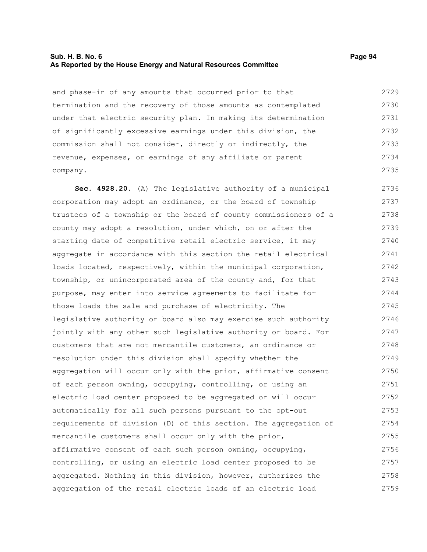## **Sub. H. B. No. 6 Page 94 As Reported by the House Energy and Natural Resources Committee**

and phase-in of any amounts that occurred prior to that termination and the recovery of those amounts as contemplated under that electric security plan. In making its determination of significantly excessive earnings under this division, the commission shall not consider, directly or indirectly, the revenue, expenses, or earnings of any affiliate or parent company. 2729 2730 2731 2732 2733 2734 2735

**Sec. 4928.20.** (A) The legislative authority of a municipal corporation may adopt an ordinance, or the board of township trustees of a township or the board of county commissioners of a county may adopt a resolution, under which, on or after the starting date of competitive retail electric service, it may aggregate in accordance with this section the retail electrical loads located, respectively, within the municipal corporation, township, or unincorporated area of the county and, for that purpose, may enter into service agreements to facilitate for those loads the sale and purchase of electricity. The legislative authority or board also may exercise such authority jointly with any other such legislative authority or board. For customers that are not mercantile customers, an ordinance or resolution under this division shall specify whether the aggregation will occur only with the prior, affirmative consent of each person owning, occupying, controlling, or using an electric load center proposed to be aggregated or will occur automatically for all such persons pursuant to the opt-out requirements of division (D) of this section. The aggregation of mercantile customers shall occur only with the prior, affirmative consent of each such person owning, occupying, controlling, or using an electric load center proposed to be aggregated. Nothing in this division, however, authorizes the aggregation of the retail electric loads of an electric load 2736 2737 2738 2739 2740 2741 2742 2743 2744 2745 2746 2747 2748 2749 2750 2751 2752 2753 2754 2755 2756 2757 2758 2759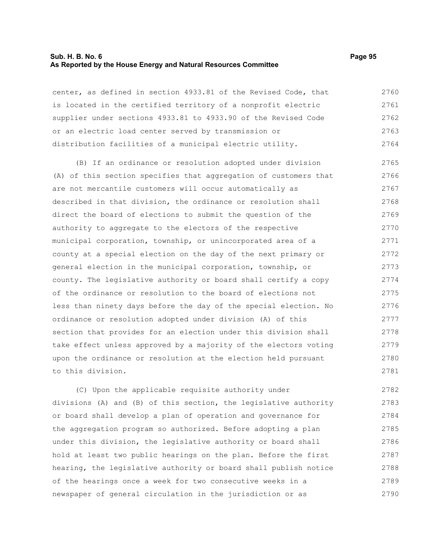#### **Sub. H. B. No. 6 Page 95 As Reported by the House Energy and Natural Resources Committee**

center, as defined in section 4933.81 of the Revised Code, that is located in the certified territory of a nonprofit electric supplier under sections 4933.81 to 4933.90 of the Revised Code or an electric load center served by transmission or distribution facilities of a municipal electric utility. 2760 2761 2762 2763 2764

(B) If an ordinance or resolution adopted under division (A) of this section specifies that aggregation of customers that are not mercantile customers will occur automatically as described in that division, the ordinance or resolution shall direct the board of elections to submit the question of the authority to aggregate to the electors of the respective municipal corporation, township, or unincorporated area of a county at a special election on the day of the next primary or general election in the municipal corporation, township, or county. The legislative authority or board shall certify a copy of the ordinance or resolution to the board of elections not less than ninety days before the day of the special election. No ordinance or resolution adopted under division (A) of this section that provides for an election under this division shall take effect unless approved by a majority of the electors voting upon the ordinance or resolution at the election held pursuant to this division. 2765 2766 2767 2768 2769 2770 2771 2772 2773 2774 2775 2776 2777 2778 2779 2780 2781

(C) Upon the applicable requisite authority under divisions (A) and (B) of this section, the legislative authority or board shall develop a plan of operation and governance for the aggregation program so authorized. Before adopting a plan under this division, the legislative authority or board shall hold at least two public hearings on the plan. Before the first hearing, the legislative authority or board shall publish notice of the hearings once a week for two consecutive weeks in a newspaper of general circulation in the jurisdiction or as 2782 2783 2784 2785 2786 2787 2788 2789 2790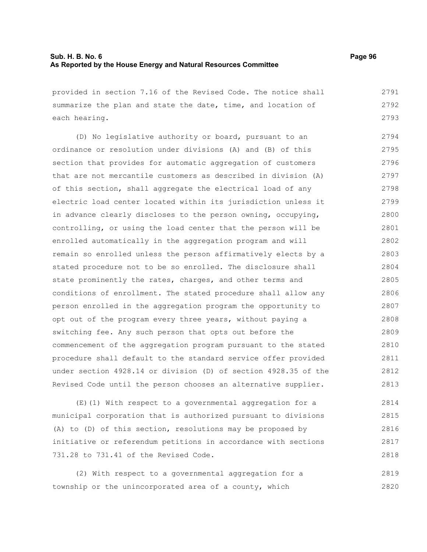| provided in section 7.16 of the Revised Code. The notice shall                                                               | 2791 |
|------------------------------------------------------------------------------------------------------------------------------|------|
| summarize the plan and state the date, time, and location of                                                                 | 2792 |
| each hearing.                                                                                                                | 2793 |
| (D) No legislative authority or board, pursuant to an                                                                        | 2794 |
| ordinance or resolution under divisions (A) and (B) of this                                                                  | 2795 |
| section that provides for automatic aggregation of customers                                                                 | 2796 |
| that are not mercantile customers as described in division (A)                                                               | 2797 |
| of this section, shall aggregate the electrical load of any                                                                  | 2798 |
| electric load center located within its jurisdiction unless it                                                               | 2799 |
| in advance clearly discloses to the person owning, occupying,                                                                | 2800 |
| controlling, or using the load center that the person will be                                                                | 2801 |
| enrolled automatically in the aggregation program and will                                                                   | 2802 |
| remain so enrolled unless the person affirmatively elects by a                                                               | 2803 |
| stated procedure not to be so enrolled. The disclosure shall                                                                 | 2804 |
| state prominently the rates, charges, and other terms and                                                                    | 2805 |
| conditions of enrollment. The stated procedure shall allow any                                                               | 2806 |
| person enrolled in the aggregation program the opportunity to                                                                | 2807 |
| opt out of the program every three years, without paying a                                                                   | 2808 |
| switching fee. Any such person that opts out before the                                                                      | 2809 |
| commencement of the aggregation program pursuant to the stated                                                               | 2810 |
| procedure shall default to the standard service offer provided                                                               | 2811 |
| under section 4928.14 or division (D) of section 4928.35 of the                                                              | 2812 |
| Revised Code until the person chooses an alternative supplier.                                                               | 2813 |
| $\sqrt{m}$ $\sqrt{4}$ $\sqrt{m^2 + k}$ is a set $\sqrt{m}$ is a set of $\sqrt{m}$ is a set $\sqrt{m}$ is a set of $\sqrt{m}$ | 0011 |

(E)(1) With respect to a governmental aggregation for a municipal corporation that is authorized pursuant to divisions (A) to (D) of this section, resolutions may be proposed by initiative or referendum petitions in accordance with sections 731.28 to 731.41 of the Revised Code. 2814 2815 2816 2817 2818

(2) With respect to a governmental aggregation for a township or the unincorporated area of a county, which 2819 2820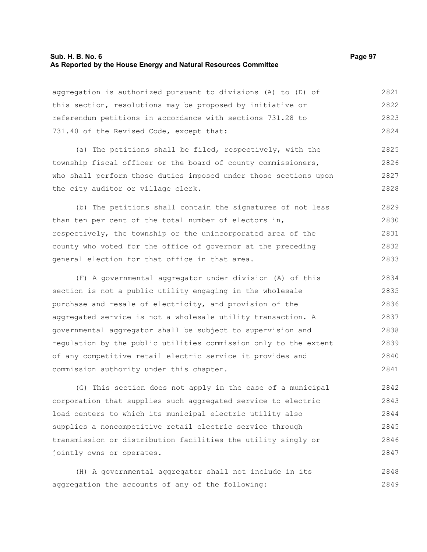## **Sub. H. B. No. 6 Page 97 As Reported by the House Energy and Natural Resources Committee**

aggregation is authorized pursuant to divisions (A) to (D) of this section, resolutions may be proposed by initiative or referendum petitions in accordance with sections 731.28 to 731.40 of the Revised Code, except that: 2821 2822 2823 2824

(a) The petitions shall be filed, respectively, with the township fiscal officer or the board of county commissioners, who shall perform those duties imposed under those sections upon the city auditor or village clerk. 2825 2826 2827 2828

(b) The petitions shall contain the signatures of not less than ten per cent of the total number of electors in, respectively, the township or the unincorporated area of the county who voted for the office of governor at the preceding general election for that office in that area. 2829 2830 2831 2832 2833

(F) A governmental aggregator under division (A) of this section is not a public utility engaging in the wholesale purchase and resale of electricity, and provision of the aggregated service is not a wholesale utility transaction. A governmental aggregator shall be subject to supervision and regulation by the public utilities commission only to the extent of any competitive retail electric service it provides and commission authority under this chapter. 2834 2835 2836 2837 2838 2839 2840 2841

(G) This section does not apply in the case of a municipal corporation that supplies such aggregated service to electric load centers to which its municipal electric utility also supplies a noncompetitive retail electric service through transmission or distribution facilities the utility singly or jointly owns or operates. 2842 2843 2844 2845 2846 2847

(H) A governmental aggregator shall not include in its aggregation the accounts of any of the following: 2848 2849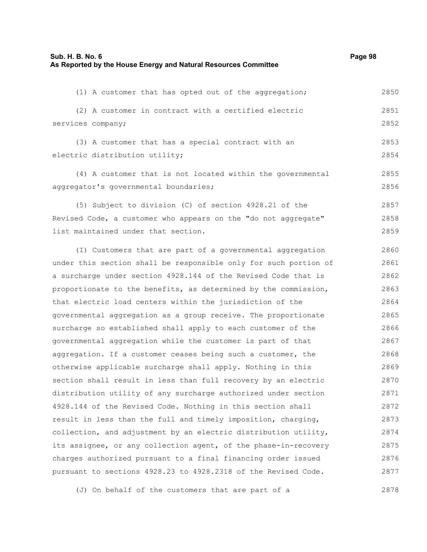(1) A customer that has opted out of the aggregation; (2) A customer in contract with a certified electric services company; (3) A customer that has a special contract with an electric distribution utility; (4) A customer that is not located within the governmental aggregator's governmental boundaries; (5) Subject to division (C) of section 4928.21 of the Revised Code, a customer who appears on the "do not aggregate" list maintained under that section. (I) Customers that are part of a governmental aggregation under this section shall be responsible only for such portion of a surcharge under section 4928.144 of the Revised Code that is proportionate to the benefits, as determined by the commission, that electric load centers within the jurisdiction of the governmental aggregation as a group receive. The proportionate surcharge so established shall apply to each customer of the governmental aggregation while the customer is part of that aggregation. If a customer ceases being such a customer, the otherwise applicable surcharge shall apply. Nothing in this section shall result in less than full recovery by an electric distribution utility of any surcharge authorized under section 4928.144 of the Revised Code. Nothing in this section shall result in less than the full and timely imposition, charging, collection, and adjustment by an electric distribution utility, its assignee, or any collection agent, of the phase-in-recovery charges authorized pursuant to a final financing order issued pursuant to sections 4928.23 to 4928.2318 of the Revised Code. 2850 2851 2852 2853 2854 2855 2856 2857 2858 2859 2860 2861 2862 2863 2864 2865 2866 2867 2868 2869 2870 2871 2872 2873 2874 2875 2876 2877

(J) On behalf of the customers that are part of a

2878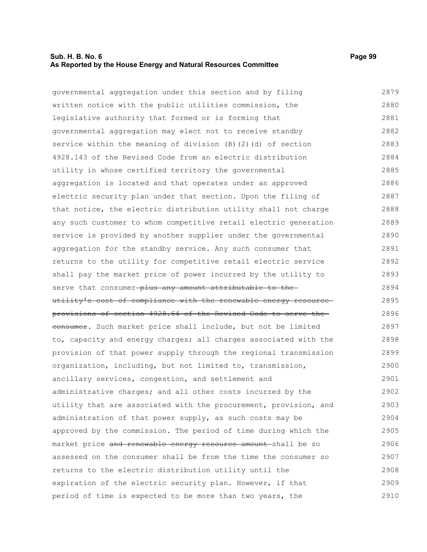## **Sub. H. B. No. 6 Page 99 As Reported by the House Energy and Natural Resources Committee**

governmental aggregation under this section and by filing written notice with the public utilities commission, the legislative authority that formed or is forming that governmental aggregation may elect not to receive standby service within the meaning of division (B)(2)(d) of section 4928.143 of the Revised Code from an electric distribution utility in whose certified territory the governmental aggregation is located and that operates under an approved electric security plan under that section. Upon the filing of that notice, the electric distribution utility shall not charge any such customer to whom competitive retail electric generation service is provided by another supplier under the governmental aggregation for the standby service. Any such consumer that returns to the utility for competitive retail electric service shall pay the market price of power incurred by the utility to serve that consumer-plus any amount attributable to theutility's cost of compliance with the renewable energy resource provisions of section 4928.64 of the Revised Code to serve the eonsumer. Such market price shall include, but not be limited to, capacity and energy charges; all charges associated with the provision of that power supply through the regional transmission organization, including, but not limited to, transmission, ancillary services, congestion, and settlement and administrative charges; and all other costs incurred by the utility that are associated with the procurement, provision, and administration of that power supply, as such costs may be approved by the commission. The period of time during which the market price and renewable energy resource amount shall be so assessed on the consumer shall be from the time the consumer so returns to the electric distribution utility until the expiration of the electric security plan. However, if that period of time is expected to be more than two years, the 2879 2880 2881 2882 2883 2884 2885 2886 2887 2888 2889 2890 2891 2892 2893 2894 2895 2896 2897 2898 2899 2900 2901 2902 2903 2904 2905 2906 2907 2908 2909 2910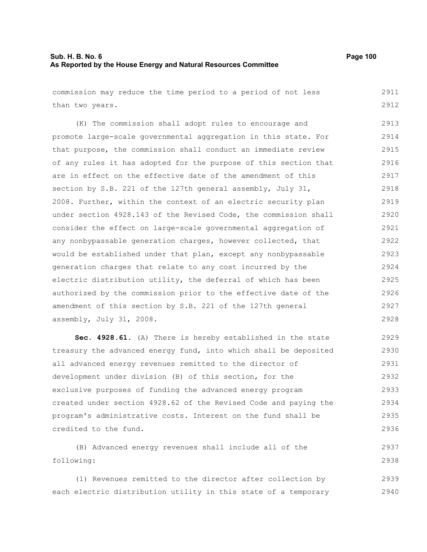commission may reduce the time period to a period of not less than two years. (K) The commission shall adopt rules to encourage and promote large-scale governmental aggregation in this state. For that purpose, the commission shall conduct an immediate review of any rules it has adopted for the purpose of this section that are in effect on the effective date of the amendment of this section by S.B. 221 of the 127th general assembly, July 31, 2008. Further, within the context of an electric security plan under section 4928.143 of the Revised Code, the commission shall consider the effect on large-scale governmental aggregation of any nonbypassable generation charges, however collected, that would be established under that plan, except any nonbypassable generation charges that relate to any cost incurred by the electric distribution utility, the deferral of which has been authorized by the commission prior to the effective date of the amendment of this section by S.B. 221 of the 127th general assembly, July 31, 2008. 2911 2912 2913 2914 2915 2916 2917 2918 2919 2920 2921 2922 2923 2924 2925 2926 2927 2928

**Sec. 4928.61.** (A) There is hereby established in the state treasury the advanced energy fund, into which shall be deposited all advanced energy revenues remitted to the director of development under division (B) of this section, for the exclusive purposes of funding the advanced energy program created under section 4928.62 of the Revised Code and paying the program's administrative costs. Interest on the fund shall be credited to the fund. 2929 2930 2931 2932 2933 2934 2935 2936

(B) Advanced energy revenues shall include all of the following: 2937 2938

(1) Revenues remitted to the director after collection by each electric distribution utility in this state of a temporary 2939 2940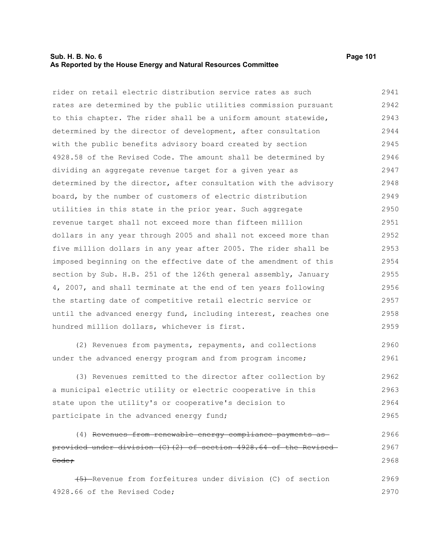## **Sub. H. B. No. 6 Page 101 As Reported by the House Energy and Natural Resources Committee**

2965

rider on retail electric distribution service rates as such rates are determined by the public utilities commission pursuant to this chapter. The rider shall be a uniform amount statewide, determined by the director of development, after consultation with the public benefits advisory board created by section 4928.58 of the Revised Code. The amount shall be determined by dividing an aggregate revenue target for a given year as determined by the director, after consultation with the advisory board, by the number of customers of electric distribution utilities in this state in the prior year. Such aggregate revenue target shall not exceed more than fifteen million dollars in any year through 2005 and shall not exceed more than five million dollars in any year after 2005. The rider shall be imposed beginning on the effective date of the amendment of this section by Sub. H.B. 251 of the 126th general assembly, January 4, 2007, and shall terminate at the end of ten years following the starting date of competitive retail electric service or until the advanced energy fund, including interest, reaches one hundred million dollars, whichever is first. (2) Revenues from payments, repayments, and collections under the advanced energy program and from program income; (3) Revenues remitted to the director after collection by a municipal electric utility or electric cooperative in this state upon the utility's or cooperative's decision to 2941 2942 2943 2944 2945 2946 2947 2948 2949 2950 2951 2952 2953 2954 2955 2956 2957 2958 2959 2960 2961 2962 2963 2964

participate in the advanced energy fund;

(4) Revenues from renewable energy compliance payments as provided under division (C)(2) of section 4928.64 of the Revised Code; 2966 2967 2968

(5) Revenue from forfeitures under division (C) of section 4928.66 of the Revised Code; 2969 2970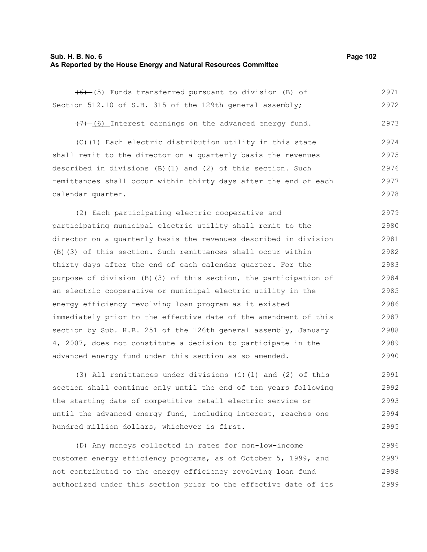## **Sub. H. B. No. 6 Page 102 As Reported by the House Energy and Natural Resources Committee**

| (6) (5) Funds transferred pursuant to division (B) of             | 2971 |
|-------------------------------------------------------------------|------|
| Section 512.10 of S.B. 315 of the 129th general assembly;         | 2972 |
| $(7)$ (6) Interest earnings on the advanced energy fund.          | 2973 |
| (C)(1) Each electric distribution utility in this state           | 2974 |
| shall remit to the director on a quarterly basis the revenues     | 2975 |
| described in divisions (B) (1) and (2) of this section. Such      | 2976 |
| remittances shall occur within thirty days after the end of each  | 2977 |
| calendar quarter.                                                 | 2978 |
| (2) Each participating electric cooperative and                   | 2979 |
| participating municipal electric utility shall remit to the       | 2980 |
| director on a quarterly basis the revenues described in division  | 2981 |
| (B) (3) of this section. Such remittances shall occur within      | 2982 |
| thirty days after the end of each calendar quarter. For the       | 2983 |
| purpose of division (B) (3) of this section, the participation of | 2984 |
| an electric cooperative or municipal electric utility in the      | 2985 |
| energy efficiency revolving loan program as it existed            | 2986 |
| immediately prior to the effective date of the amendment of this  | 2987 |
| section by Sub. H.B. 251 of the 126th general assembly, January   | 2988 |
| 4, 2007, does not constitute a decision to participate in the     | 2989 |
| advanced energy fund under this section as so amended.            | 2990 |
| (3) All remittances under divisions (C) (1) and (2) of this       | 2991 |
| section shall continue only until the end of ten years following  | 2992 |

the starting date of competitive retail electric service or until the advanced energy fund, including interest, reaches one hundred million dollars, whichever is first. 2993 2994 2995

(D) Any moneys collected in rates for non-low-income customer energy efficiency programs, as of October 5, 1999, and not contributed to the energy efficiency revolving loan fund authorized under this section prior to the effective date of its 2996 2997 2998 2999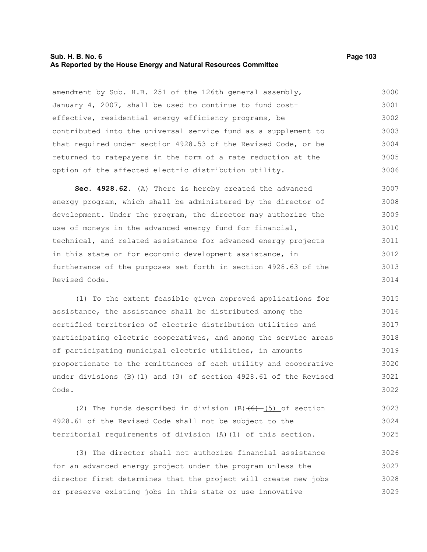#### **Sub. H. B. No. 6 Page 103 As Reported by the House Energy and Natural Resources Committee**

amendment by Sub. H.B. 251 of the 126th general assembly, January 4, 2007, shall be used to continue to fund costeffective, residential energy efficiency programs, be contributed into the universal service fund as a supplement to that required under section 4928.53 of the Revised Code, or be returned to ratepayers in the form of a rate reduction at the option of the affected electric distribution utility. 3000 3001 3002 3003 3004 3005 3006

**Sec. 4928.62.** (A) There is hereby created the advanced energy program, which shall be administered by the director of development. Under the program, the director may authorize the use of moneys in the advanced energy fund for financial, technical, and related assistance for advanced energy projects in this state or for economic development assistance, in furtherance of the purposes set forth in section 4928.63 of the Revised Code. 3007 3008 3009 3010 3011 3012 3013 3014

(1) To the extent feasible given approved applications for assistance, the assistance shall be distributed among the certified territories of electric distribution utilities and participating electric cooperatives, and among the service areas of participating municipal electric utilities, in amounts proportionate to the remittances of each utility and cooperative under divisions (B)(1) and (3) of section 4928.61 of the Revised Code. 3015 3016 3017 3018 3019 3020 3021 3022

(2) The funds described in division  $(B)$  (6) (5) of section 4928.61 of the Revised Code shall not be subject to the territorial requirements of division (A)(1) of this section. 3023 3024 3025

(3) The director shall not authorize financial assistance for an advanced energy project under the program unless the director first determines that the project will create new jobs or preserve existing jobs in this state or use innovative 3026 3027 3028 3029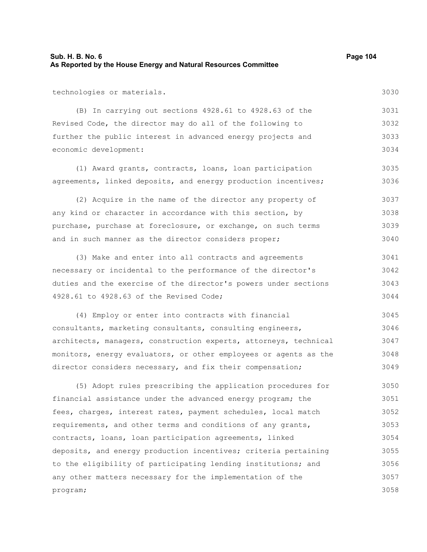3030

technologies or materials.

(B) In carrying out sections 4928.61 to 4928.63 of the Revised Code, the director may do all of the following to further the public interest in advanced energy projects and economic development: 3031 3032 3033 3034

(1) Award grants, contracts, loans, loan participation agreements, linked deposits, and energy production incentives; 3035 3036

(2) Acquire in the name of the director any property of any kind or character in accordance with this section, by purchase, purchase at foreclosure, or exchange, on such terms and in such manner as the director considers proper; 3037 3038 3039 3040

(3) Make and enter into all contracts and agreements necessary or incidental to the performance of the director's duties and the exercise of the director's powers under sections 4928.61 to 4928.63 of the Revised Code; 3041 3042 3043 3044

(4) Employ or enter into contracts with financial consultants, marketing consultants, consulting engineers, architects, managers, construction experts, attorneys, technical monitors, energy evaluators, or other employees or agents as the director considers necessary, and fix their compensation; 3045 3046 3047 3048 3049

(5) Adopt rules prescribing the application procedures for financial assistance under the advanced energy program; the fees, charges, interest rates, payment schedules, local match requirements, and other terms and conditions of any grants, contracts, loans, loan participation agreements, linked deposits, and energy production incentives; criteria pertaining to the eligibility of participating lending institutions; and any other matters necessary for the implementation of the program; 3050 3051 3052 3053 3054 3055 3056 3057 3058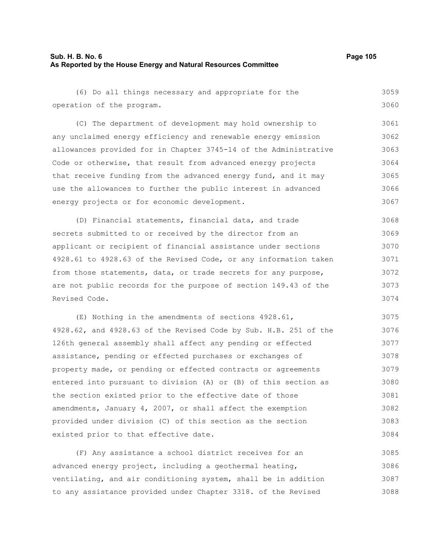(6) Do all things necessary and appropriate for the operation of the program. (C) The department of development may hold ownership to any unclaimed energy efficiency and renewable energy emission allowances provided for in Chapter 3745-14 of the Administrative Code or otherwise, that result from advanced energy projects that receive funding from the advanced energy fund, and it may use the allowances to further the public interest in advanced energy projects or for economic development. (D) Financial statements, financial data, and trade secrets submitted to or received by the director from an applicant or recipient of financial assistance under sections 4928.61 to 4928.63 of the Revised Code, or any information taken from those statements, data, or trade secrets for any purpose, are not public records for the purpose of section 149.43 of the Revised Code. (E) Nothing in the amendments of sections 4928.61, 4928.62, and 4928.63 of the Revised Code by Sub. H.B. 251 of the 126th general assembly shall affect any pending or effected assistance, pending or effected purchases or exchanges of property made, or pending or effected contracts or agreements entered into pursuant to division (A) or (B) of this section as the section existed prior to the effective date of those amendments, January 4, 2007, or shall affect the exemption provided under division (C) of this section as the section existed prior to that effective date. (F) Any assistance a school district receives for an 3059 3060 3061 3062 3063 3064 3065 3066 3067 3068 3069 3070 3071 3072 3073 3074 3075 3076 3077 3078 3079 3080 3081 3082 3083 3084 3085

advanced energy project, including a geothermal heating, ventilating, and air conditioning system, shall be in addition to any assistance provided under Chapter 3318. of the Revised 3086 3087 3088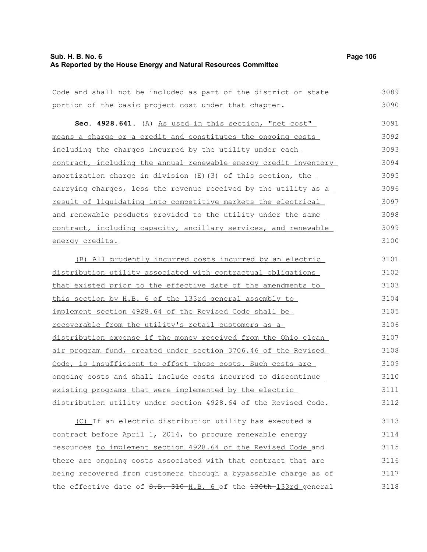## **Sub. H. B. No. 6 Page 106 As Reported by the House Energy and Natural Resources Committee**

| Code and shall not be included as part of the district or state  | 3089 |
|------------------------------------------------------------------|------|
| portion of the basic project cost under that chapter.            | 3090 |
| Sec. 4928.641. (A) As used in this section, "net cost"           | 3091 |
| means a charge or a credit and constitutes the ongoing costs     | 3092 |
| including the charges incurred by the utility under each         | 3093 |
| contract, including the annual renewable energy credit inventory | 3094 |
| amortization charge in division (E) (3) of this section, the     | 3095 |
| carrying charges, less the revenue received by the utility as a  | 3096 |
| result of liquidating into competitive markets the electrical    | 3097 |
| and renewable products provided to the utility under the same    | 3098 |
| contract, including capacity, ancillary services, and renewable  | 3099 |
| energy credits.                                                  | 3100 |
| (B) All prudently incurred costs incurred by an electric         | 3101 |
| distribution utility associated with contractual obligations     | 3102 |
| that existed prior to the effective date of the amendments to    | 3103 |
| this section by H.B. 6 of the 133rd general assembly to          | 3104 |
| implement section 4928.64 of the Revised Code shall be           | 3105 |
| recoverable from the utility's retail customers as a             | 3106 |
| distribution expense if the money received from the Ohio clean   | 3107 |
| air program fund, created under section 3706.46 of the Revised   | 3108 |
| Code, is insufficient to offset those costs. Such costs are      | 3109 |
| ongoing costs and shall include costs incurred to discontinue    | 3110 |
| existing programs that were implemented by the electric          | 3111 |
| distribution utility under section 4928.64 of the Revised Code.  | 3112 |
| (C) If an electric distribution utility has executed a           | 3113 |
| contract before April 1, 2014, to procure renewable energy       | 3114 |
| resources to implement section 4928.64 of the Revised Code and   | 3115 |
| there are ongoing costs associated with that contract that are   | 3116 |
| being recovered from customers through a bypassable charge as of | 3117 |
| the effective date of S.B. 310-H.B. 6 of the 130th-133rd general | 3118 |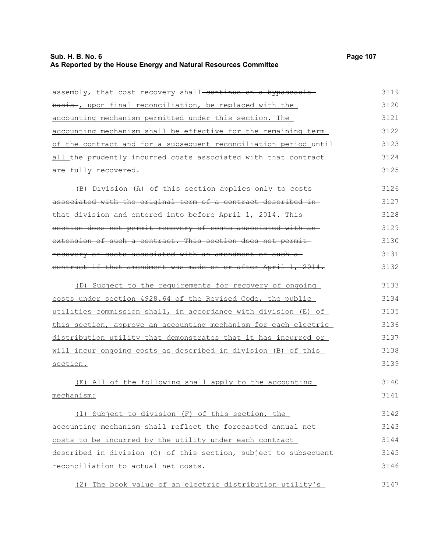# **Sub. H. B. No. 6 Page 107 As Reported by the House Energy and Natural Resources Committee**

| assembly, that cost recovery shall-continue on a bypassable-     | 3119 |
|------------------------------------------------------------------|------|
| basis, upon final reconciliation, be replaced with the           | 3120 |
| accounting mechanism permitted under this section. The           | 3121 |
| accounting mechanism shall be effective for the remaining term   | 3122 |
| of the contract and for a subsequent reconciliation period until | 3123 |
| all the prudently incurred costs associated with that contract   | 3124 |
| are fully recovered.                                             | 3125 |
| (B) Division (A) of this section applies only to costs           | 3126 |
| associated with the original term of a contract described in-    | 3127 |
| that division and entered into before April 1, 2014. This-       | 3128 |
| section does not permit recovery of costs associated with an-    | 3129 |
| extension of such a contract. This section does not permit-      | 3130 |
| recovery of costs associated with an amendment of such a-        | 3131 |
| contract if that amendment was made on or after April 1, 2014.   | 3132 |
| (D) Subject to the requirements for recovery of ongoing          | 3133 |
| costs under section 4928.64 of the Revised Code, the public      | 3134 |
| utilities commission shall, in accordance with division (E) of   | 3135 |
| this section, approve an accounting mechanism for each electric  | 3136 |
| distribution utility that demonstrates that it has incurred or   | 3137 |
| will incur ongoing costs as described in division (B) of this    | 3138 |
| section.                                                         | 3139 |
| (E) All of the following shall apply to the accounting           | 3140 |
| mechanism:                                                       | 3141 |
| (1) Subject to division (F) of this section, the                 | 3142 |
| accounting mechanism shall reflect the forecasted annual net     | 3143 |
| costs to be incurred by the utility under each contract          | 3144 |
| described in division (C) of this section, subject to subsequent | 3145 |
| reconciliation to actual net costs.                              | 3146 |
| (2) The book value of an electric distribution utility's         | 3147 |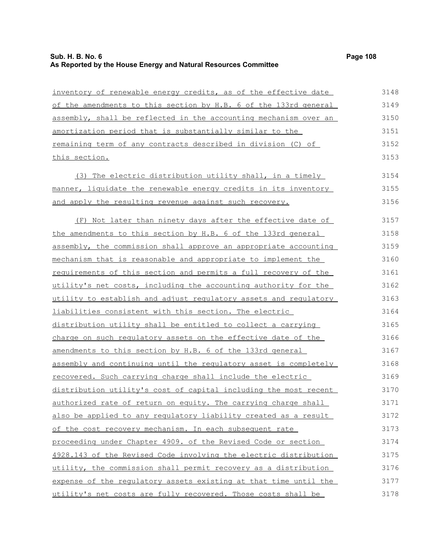| inventory of renewable energy credits, as of the effective date  | 3148 |
|------------------------------------------------------------------|------|
| of the amendments to this section by H.B. 6 of the 133rd general | 3149 |
| assembly, shall be reflected in the accounting mechanism over an | 3150 |
| amortization period that is substantially similar to the         | 3151 |
| remaining term of any contracts described in division (C) of     | 3152 |
| this section.                                                    | 3153 |
| (3) The electric distribution utility shall, in a timely         | 3154 |
| manner, liquidate the renewable energy credits in its inventory  | 3155 |
| and apply the resulting revenue against such recovery.           | 3156 |
| (F) Not later than ninety days after the effective date of       | 3157 |
| the amendments to this section by H.B. 6 of the 133rd general    | 3158 |
| assembly, the commission shall approve an appropriate accounting | 3159 |
| mechanism that is reasonable and appropriate to implement the    | 3160 |
| requirements of this section and permits a full recovery of the  | 3161 |
| utility's net costs, including the accounting authority for the  | 3162 |
| utility to establish and adjust regulatory assets and regulatory | 3163 |
| liabilities consistent with this section. The electric           | 3164 |
| distribution utility shall be entitled to collect a carrying     | 3165 |
| charge on such regulatory assets on the effective date of the    | 3166 |
| amendments to this section by H.B. 6 of the 133rd general        | 3167 |
| assembly and continuing until the regulatory asset is completely | 3168 |
| recovered. Such carrying charge shall include the electric       | 3169 |
| distribution utility's cost of capital including the most recent | 3170 |
| authorized rate of return on equity. The carrying charge shall   | 3171 |
| also be applied to any regulatory liability created as a result  | 3172 |
| of the cost recovery mechanism. In each subsequent rate          | 3173 |
| proceeding under Chapter 4909. of the Revised Code or section    | 3174 |
| 4928.143 of the Revised Code involving the electric distribution | 3175 |
| utility, the commission shall permit recovery as a distribution  | 3176 |
| expense of the regulatory assets existing at that time until the | 3177 |
| utility's net costs are fully recovered. Those costs shall be    | 3178 |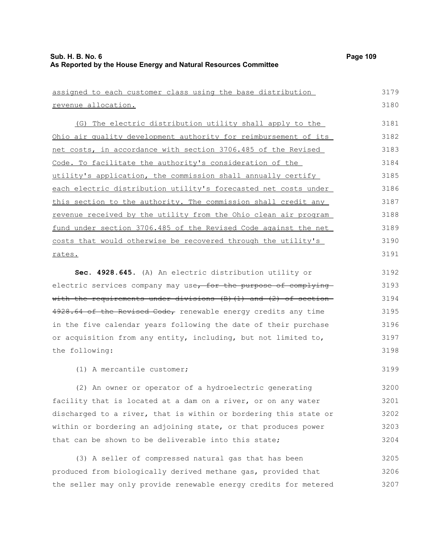| assigned to each customer class using the base distribution            | 3179 |
|------------------------------------------------------------------------|------|
| revenue allocation.                                                    | 3180 |
| (G) The electric distribution utility shall apply to the               | 3181 |
| Ohio air quality development authority for reimbursement of its        | 3182 |
| net costs, in accordance with section 3706.485 of the Revised          | 3183 |
| Code. To facilitate the authority's consideration of the               | 3184 |
| utility's application, the commission shall annually certify           | 3185 |
| each electric distribution utility's forecasted net costs under        | 3186 |
| this section to the authority. The commission shall credit any         | 3187 |
| revenue received by the utility from the Ohio clean air program        | 3188 |
| fund under section 3706.485 of the Revised Code against the net        | 3189 |
| costs that would otherwise be recovered through the utility's          | 3190 |
| rates.                                                                 | 3191 |
| Sec. 4928.645. (A) An electric distribution utility or                 | 3192 |
| electric services company may use, for the purpose of complying        | 3193 |
| with the requirements under divisions $(B)$ $(1)$ and $(2)$ of section | 3194 |
| 4928.64 of the Revised Code, renewable energy credits any time         | 3195 |
| in the five calendar years following the date of their purchase        | 3196 |
| or acquisition from any entity, including, but not limited to,         | 3197 |
| the following:                                                         | 3198 |
| (1) A mercantile customer;                                             | 3199 |
| (2) An owner or operator of a hydroelectric generating                 | 3200 |
| facility that is located at a dam on a river, or on any water          | 3201 |
| discharged to a river, that is within or bordering this state or       | 3202 |
| within or bordering an adjoining state, or that produces power         | 3203 |
| that can be shown to be deliverable into this state;                   | 3204 |
| (3) A seller of compressed natural gas that has been                   | 3205 |
| produced from biologically derived methane gas, provided that          | 3206 |
| the seller may only provide renewable energy credits for metered       | 3207 |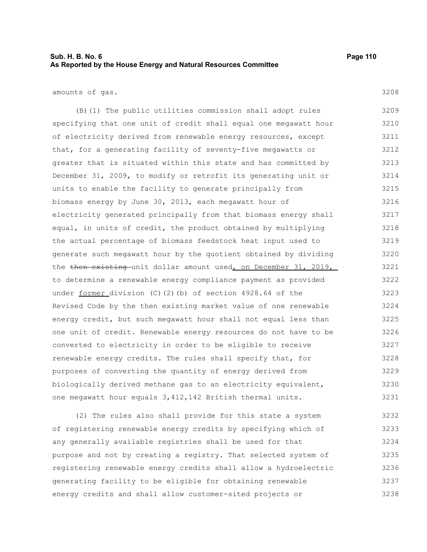## **Sub. H. B. No. 6 Page 110 As Reported by the House Energy and Natural Resources Committee**

amounts of gas.

(B)(1) The public utilities commission shall adopt rules specifying that one unit of credit shall equal one megawatt hour of electricity derived from renewable energy resources, except that, for a generating facility of seventy-five megawatts or greater that is situated within this state and has committed by December 31, 2009, to modify or retrofit its generating unit or units to enable the facility to generate principally from biomass energy by June 30, 2013, each megawatt hour of electricity generated principally from that biomass energy shall equal, in units of credit, the product obtained by multiplying the actual percentage of biomass feedstock heat input used to generate such megawatt hour by the quotient obtained by dividing the then existing unit dollar amount used, on December 31, 2019, to determine a renewable energy compliance payment as provided under former division (C)(2)(b) of section 4928.64 of the Revised Code by the then existing market value of one renewable energy credit, but such megawatt hour shall not equal less than one unit of credit. Renewable energy resources do not have to be converted to electricity in order to be eligible to receive renewable energy credits. The rules shall specify that, for purposes of converting the quantity of energy derived from biologically derived methane gas to an electricity equivalent, one megawatt hour equals 3,412,142 British thermal units. 3209 3210 3211 3212 3213 3214 3215 3216 3217 3218 3219 3220 3221 3222 3223 3224 3225 3226 3227 3228 3229 3230 3231

(2) The rules also shall provide for this state a system of registering renewable energy credits by specifying which of any generally available registries shall be used for that purpose and not by creating a registry. That selected system of registering renewable energy credits shall allow a hydroelectric generating facility to be eligible for obtaining renewable energy credits and shall allow customer-sited projects or 3232 3233 3234 3235 3236 3237 3238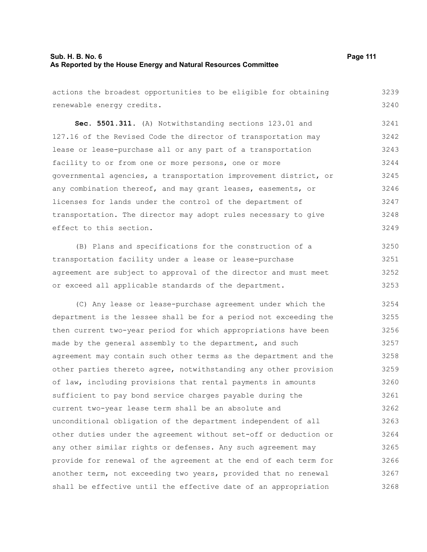actions the broadest opportunities to be eligible for obtaining renewable energy credits. 3239 3240

**Sec. 5501.311.** (A) Notwithstanding sections 123.01 and 127.16 of the Revised Code the director of transportation may lease or lease-purchase all or any part of a transportation facility to or from one or more persons, one or more governmental agencies, a transportation improvement district, or any combination thereof, and may grant leases, easements, or licenses for lands under the control of the department of transportation. The director may adopt rules necessary to give effect to this section. 3241 3242 3243 3244 3245 3246 3247 3248 3249

(B) Plans and specifications for the construction of a transportation facility under a lease or lease-purchase agreement are subject to approval of the director and must meet or exceed all applicable standards of the department. 3250 3251 3252 3253

(C) Any lease or lease-purchase agreement under which the department is the lessee shall be for a period not exceeding the then current two-year period for which appropriations have been made by the general assembly to the department, and such agreement may contain such other terms as the department and the other parties thereto agree, notwithstanding any other provision of law, including provisions that rental payments in amounts sufficient to pay bond service charges payable during the current two-year lease term shall be an absolute and unconditional obligation of the department independent of all other duties under the agreement without set-off or deduction or any other similar rights or defenses. Any such agreement may provide for renewal of the agreement at the end of each term for another term, not exceeding two years, provided that no renewal shall be effective until the effective date of an appropriation 3254 3255 3256 3257 3258 3259 3260 3261 3262 3263 3264 3265 3266 3267 3268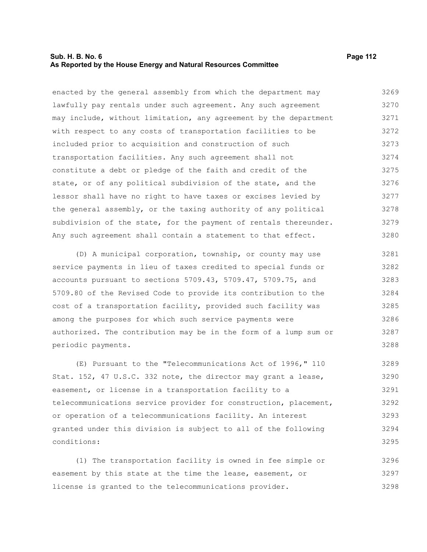### **Sub. H. B. No. 6 Page 112 As Reported by the House Energy and Natural Resources Committee**

enacted by the general assembly from which the department may lawfully pay rentals under such agreement. Any such agreement may include, without limitation, any agreement by the department with respect to any costs of transportation facilities to be included prior to acquisition and construction of such transportation facilities. Any such agreement shall not constitute a debt or pledge of the faith and credit of the state, or of any political subdivision of the state, and the lessor shall have no right to have taxes or excises levied by the general assembly, or the taxing authority of any political subdivision of the state, for the payment of rentals thereunder. Any such agreement shall contain a statement to that effect. 3269 3270 3271 3272 3273 3274 3275 3276 3277 3278 3279 3280

(D) A municipal corporation, township, or county may use service payments in lieu of taxes credited to special funds or accounts pursuant to sections 5709.43, 5709.47, 5709.75, and 5709.80 of the Revised Code to provide its contribution to the cost of a transportation facility, provided such facility was among the purposes for which such service payments were authorized. The contribution may be in the form of a lump sum or periodic payments. 3281 3282 3283 3284 3285 3286 3287 3288

(E) Pursuant to the "Telecommunications Act of 1996," 110 Stat. 152, 47 U.S.C. 332 note, the director may grant a lease, easement, or license in a transportation facility to a telecommunications service provider for construction, placement, or operation of a telecommunications facility. An interest granted under this division is subject to all of the following conditions: 3289 3290 3291 3292 3293 3294 3295

(1) The transportation facility is owned in fee simple or easement by this state at the time the lease, easement, or license is granted to the telecommunications provider. 3296 3297 3298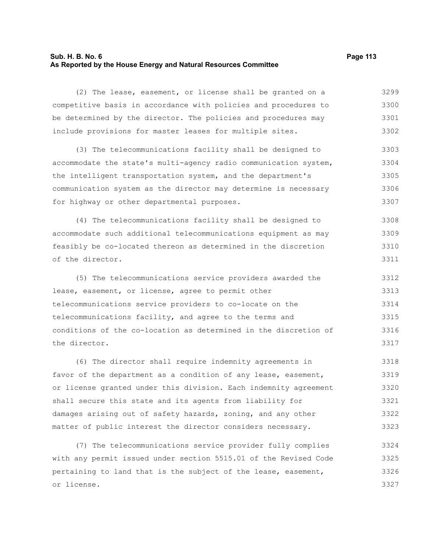### **Sub. H. B. No. 6 Page 113 As Reported by the House Energy and Natural Resources Committee**

(2) The lease, easement, or license shall be granted on a competitive basis in accordance with policies and procedures to be determined by the director. The policies and procedures may include provisions for master leases for multiple sites. 3299 3300 3301 3302

(3) The telecommunications facility shall be designed to accommodate the state's multi-agency radio communication system, the intelligent transportation system, and the department's communication system as the director may determine is necessary for highway or other departmental purposes. 3303 3304 3305 3306 3307

(4) The telecommunications facility shall be designed to accommodate such additional telecommunications equipment as may feasibly be co-located thereon as determined in the discretion of the director. 3308 3309 3310 3311

(5) The telecommunications service providers awarded the lease, easement, or license, agree to permit other telecommunications service providers to co-locate on the telecommunications facility, and agree to the terms and conditions of the co-location as determined in the discretion of the director. 3312 3313 3314 3315 3316 3317

(6) The director shall require indemnity agreements in favor of the department as a condition of any lease, easement, or license granted under this division. Each indemnity agreement shall secure this state and its agents from liability for damages arising out of safety hazards, zoning, and any other matter of public interest the director considers necessary. 3318 3319 3320 3321 3322 3323

(7) The telecommunications service provider fully complies with any permit issued under section 5515.01 of the Revised Code pertaining to land that is the subject of the lease, easement, or license. 3324 3325 3326 3327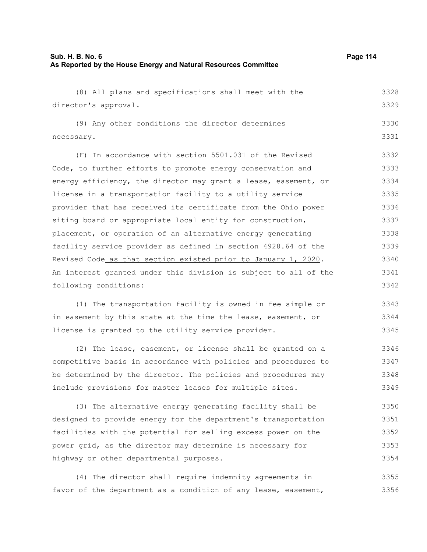| (8) All plans and specifications shall meet with the             | 3328 |
|------------------------------------------------------------------|------|
| director's approval.                                             | 3329 |
| (9) Any other conditions the director determines                 | 3330 |
| necessary.                                                       | 3331 |
| (F) In accordance with section 5501.031 of the Revised           | 3332 |
| Code, to further efforts to promote energy conservation and      | 3333 |
| energy efficiency, the director may grant a lease, easement, or  | 3334 |
| license in a transportation facility to a utility service        | 3335 |
| provider that has received its certificate from the Ohio power   | 3336 |
| siting board or appropriate local entity for construction,       | 3337 |
| placement, or operation of an alternative energy generating      | 3338 |
| facility service provider as defined in section 4928.64 of the   | 3339 |
| Revised Code_as that section existed prior to January 1, 2020.   | 3340 |
| An interest granted under this division is subject to all of the | 3341 |
| following conditions:                                            | 3342 |
| (1) The transportation facility is owned in fee simple or        | 3343 |
|                                                                  |      |
| in easement by this state at the time the lease, easement, or    | 3344 |
| license is granted to the utility service provider.              | 3345 |
| (2) The lease, easement, or license shall be granted on a        | 3346 |
| competitive basis in accordance with policies and procedures to  | 3347 |
| be determined by the director. The policies and procedures may   | 3348 |
| include provisions for master leases for multiple sites.         | 3349 |
| (3) The alternative energy generating facility shall be          | 3350 |
| designed to provide energy for the department's transportation   | 3351 |
| facilities with the potential for selling excess power on the    | 3352 |
| power grid, as the director may determine is necessary for       | 3353 |
| highway or other departmental purposes.                          | 3354 |
| (4) The director shall require indemnity agreements in           | 3355 |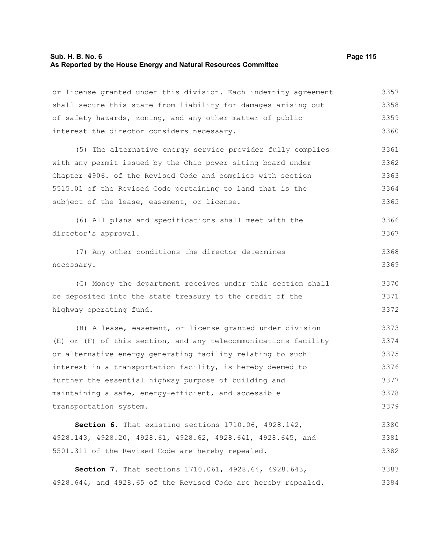# **Sub. H. B. No. 6 Page 115 As Reported by the House Energy and Natural Resources Committee**

| or license granted under this division. Each indemnity agreement | 3357 |
|------------------------------------------------------------------|------|
| shall secure this state from liability for damages arising out   | 3358 |
| of safety hazards, zoning, and any other matter of public        | 3359 |
| interest the director considers necessary.                       | 3360 |
| (5) The alternative energy service provider fully complies       | 3361 |
| with any permit issued by the Ohio power siting board under      | 3362 |
| Chapter 4906. of the Revised Code and complies with section      | 3363 |
| 5515.01 of the Revised Code pertaining to land that is the       | 3364 |
| subject of the lease, easement, or license.                      | 3365 |
| (6) All plans and specifications shall meet with the             | 3366 |
| director's approval.                                             | 3367 |
| (7) Any other conditions the director determines                 | 3368 |
| necessary.                                                       | 3369 |
| (G) Money the department receives under this section shall       | 3370 |
| be deposited into the state treasury to the credit of the        | 3371 |
| highway operating fund.                                          | 3372 |
| (H) A lease, easement, or license granted under division         | 3373 |
| (E) or (F) of this section, and any telecommunications facility  | 3374 |
| or alternative energy generating facility relating to such       | 3375 |
| interest in a transportation facility, is hereby deemed to       | 3376 |
| further the essential highway purpose of building and            | 3377 |
| maintaining a safe, energy-efficient, and accessible             | 3378 |
| transportation system.                                           | 3379 |
| Section 6. That existing sections 1710.06, 4928.142,             | 3380 |
| 4928.143, 4928.20, 4928.61, 4928.62, 4928.641, 4928.645, and     | 3381 |
| 5501.311 of the Revised Code are hereby repealed.                | 3382 |
| Section 7. That sections 1710.061, 4928.64, 4928.643,            | 3383 |
| 4928.644, and 4928.65 of the Revised Code are hereby repealed.   | 3384 |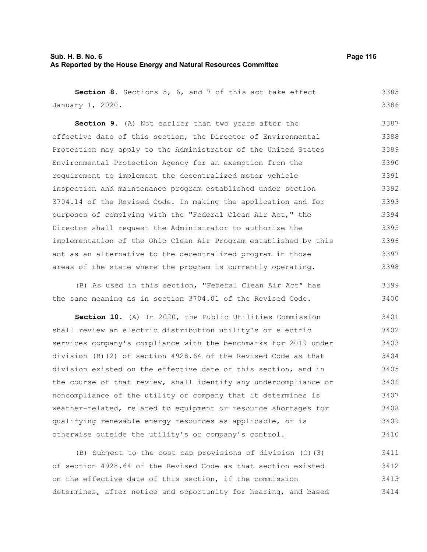### **Sub. H. B. No. 6 Page 116 As Reported by the House Energy and Natural Resources Committee**

3398

**Section 8.** Sections 5, 6, and 7 of this act take effect January 1, 2020. **Section 9.** (A) Not earlier than two years after the effective date of this section, the Director of Environmental Protection may apply to the Administrator of the United States Environmental Protection Agency for an exemption from the requirement to implement the decentralized motor vehicle inspection and maintenance program established under section 3704.14 of the Revised Code. In making the application and for purposes of complying with the "Federal Clean Air Act," the Director shall request the Administrator to authorize the implementation of the Ohio Clean Air Program established by this act as an alternative to the decentralized program in those 3385 3386 3387 3388 3389 3390 3391 3392 3393 3394 3395 3396 3397

(B) As used in this section, "Federal Clean Air Act" has the same meaning as in section 3704.01 of the Revised Code. 3399 3400

areas of the state where the program is currently operating.

**Section 10.** (A) In 2020, the Public Utilities Commission shall review an electric distribution utility's or electric services company's compliance with the benchmarks for 2019 under division (B)(2) of section 4928.64 of the Revised Code as that division existed on the effective date of this section, and in the course of that review, shall identify any undercompliance or noncompliance of the utility or company that it determines is weather-related, related to equipment or resource shortages for qualifying renewable energy resources as applicable, or is otherwise outside the utility's or company's control. 3401 3402 3403 3404 3405 3406 3407 3408 3409 3410

(B) Subject to the cost cap provisions of division (C)(3) of section 4928.64 of the Revised Code as that section existed on the effective date of this section, if the commission determines, after notice and opportunity for hearing, and based 3411 3412 3413 3414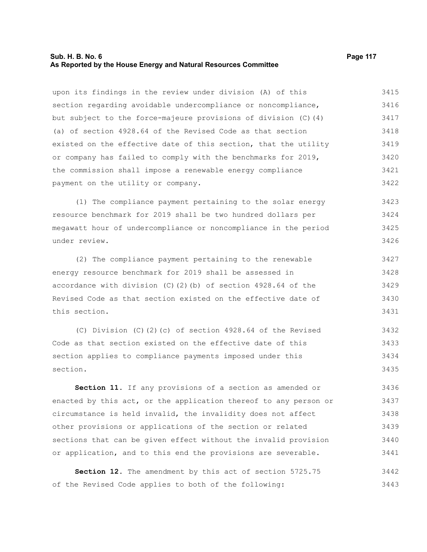### **Sub. H. B. No. 6 Page 117 As Reported by the House Energy and Natural Resources Committee**

upon its findings in the review under division (A) of this section regarding avoidable undercompliance or noncompliance, but subject to the force-majeure provisions of division (C)(4) (a) of section 4928.64 of the Revised Code as that section existed on the effective date of this section, that the utility or company has failed to comply with the benchmarks for 2019, the commission shall impose a renewable energy compliance payment on the utility or company. 3415 3416 3417 3418 3419 3420 3421 3422

(1) The compliance payment pertaining to the solar energy resource benchmark for 2019 shall be two hundred dollars per megawatt hour of undercompliance or noncompliance in the period under review. 3423 3424 3425 3426

(2) The compliance payment pertaining to the renewable energy resource benchmark for 2019 shall be assessed in accordance with division (C)(2)(b) of section 4928.64 of the Revised Code as that section existed on the effective date of this section. 3427 3428 3429 3430 3431

(C) Division (C)(2)(c) of section 4928.64 of the Revised Code as that section existed on the effective date of this section applies to compliance payments imposed under this section. 3432 3433 3434 3435

**Section 11.** If any provisions of a section as amended or enacted by this act, or the application thereof to any person or circumstance is held invalid, the invalidity does not affect other provisions or applications of the section or related sections that can be given effect without the invalid provision or application, and to this end the provisions are severable. 3436 3437 3438 3439 3440 3441

**Section 12.** The amendment by this act of section 5725.75 of the Revised Code applies to both of the following: 3442 3443